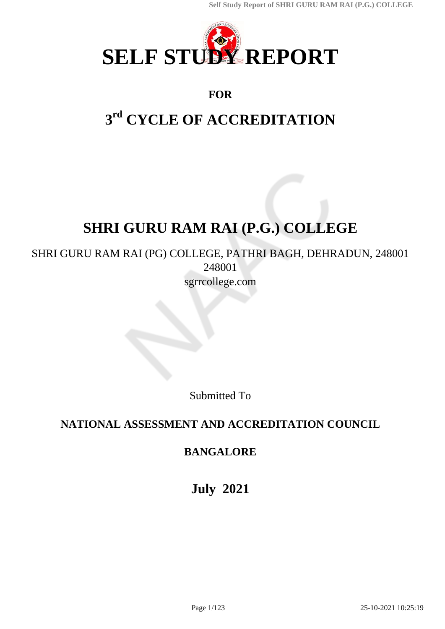

# **FOR**

# **3 rd CYCLE OF ACCREDITATION**

# **SHRI GURU RAM RAI (P.G.) COLLEGE**

# SHRI GURU RAM RAI (PG) COLLEGE, PATHRI BAGH, DEHRADUN, 248001 248001 sgrrcollege.com

Submitted To

# **NATIONAL ASSESSMENT AND ACCREDITATION COUNCIL**

# **BANGALORE**

**July 2021**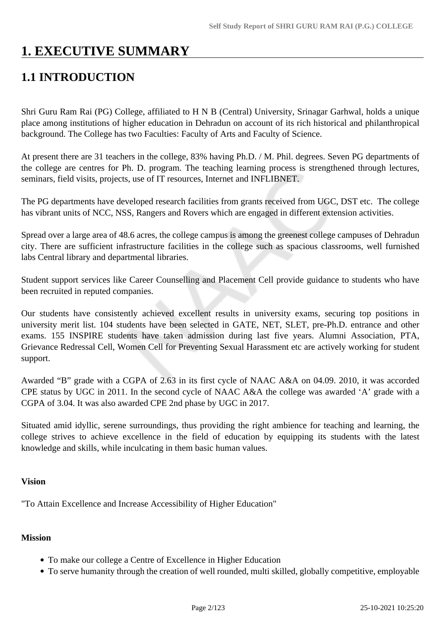# **1. EXECUTIVE SUMMARY**

# **1.1 INTRODUCTION**

Shri Guru Ram Rai (PG) College, affiliated to H N B (Central) University, Srinagar Garhwal, holds a unique place among institutions of higher education in Dehradun on account of its rich historical and philanthropical background. The College has two Faculties: Faculty of Arts and Faculty of Science.

At present there are 31 teachers in the college, 83% having Ph.D. / M. Phil. degrees. Seven PG departments of the college are centres for Ph. D. program. The teaching learning process is strengthened through lectures, seminars, field visits, projects, use of IT resources, Internet and INFLIBNET.

The PG departments have developed research facilities from grants received from UGC, DST etc. The college has vibrant units of NCC, NSS, Rangers and Rovers which are engaged in different extension activities.

Spread over a large area of 48.6 acres, the college campus is among the greenest college campuses of Dehradun city. There are sufficient infrastructure facilities in the college such as spacious classrooms, well furnished labs Central library and departmental libraries.

Student support services like Career Counselling and Placement Cell provide guidance to students who have been recruited in reputed companies.

Our students have consistently achieved excellent results in university exams, securing top positions in university merit list. 104 students have been selected in GATE, NET, SLET, pre-Ph.D. entrance and other exams. 155 INSPIRE students have taken admission during last five years. Alumni Association, PTA, Grievance Redressal Cell, Women Cell for Preventing Sexual Harassment etc are actively working for student support.

Awarded "B" grade with a CGPA of 2.63 in its first cycle of NAAC A&A on 04.09. 2010, it was accorded CPE status by UGC in 2011. In the second cycle of NAAC A&A the college was awarded 'A' grade with a CGPA of 3.04. It was also awarded CPE 2nd phase by UGC in 2017.

Situated amid idyllic, serene surroundings, thus providing the right ambience for teaching and learning, the college strives to achieve excellence in the field of education by equipping its students with the latest knowledge and skills, while inculcating in them basic human values.

#### **Vision**

"To Attain Excellence and Increase Accessibility of Higher Education"

#### **Mission**

- To make our college a Centre of Excellence in Higher Education
- To serve humanity through the creation of well rounded, multi skilled, globally competitive, employable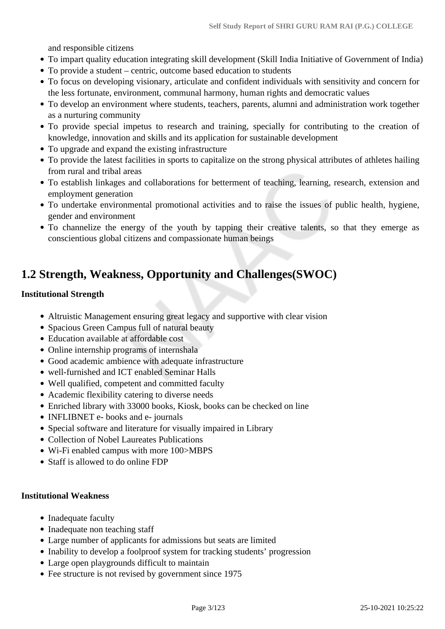and responsible citizens

- To impart quality education integrating skill development (Skill India Initiative of Government of India)
- To provide a student centric, outcome based education to students
- To focus on developing visionary, articulate and confident individuals with sensitivity and concern for the less fortunate, environment, communal harmony, human rights and democratic values
- To develop an environment where students, teachers, parents, alumni and administration work together as a nurturing community
- To provide special impetus to research and training, specially for contributing to the creation of knowledge, innovation and skills and its application for sustainable development
- To upgrade and expand the existing infrastructure
- To provide the latest facilities in sports to capitalize on the strong physical attributes of athletes hailing from rural and tribal areas
- To establish linkages and collaborations for betterment of teaching, learning, research, extension and employment generation
- To undertake environmental promotional activities and to raise the issues of public health, hygiene, gender and environment
- To channelize the energy of the youth by tapping their creative talents, so that they emerge as conscientious global citizens and compassionate human beings

# **1.2 Strength, Weakness, Opportunity and Challenges(SWOC)**

#### **Institutional Strength**

- Altruistic Management ensuring great legacy and supportive with clear vision
- Spacious Green Campus full of natural beauty
- Education available at affordable cost
- Online internship programs of internshala
- Good academic ambience with adequate infrastructure
- well-furnished and ICT enabled Seminar Halls
- Well qualified, competent and committed faculty
- Academic flexibility catering to diverse needs
- Enriched library with 33000 books, Kiosk, books can be checked on line
- INFLIBNET e- books and e- journals
- Special software and literature for visually impaired in Library
- Collection of Nobel Laureates Publications
- Wi-Fi enabled campus with more 100>MBPS
- Staff is allowed to do online FDP

#### **Institutional Weakness**

- Inadequate faculty
- Inadequate non teaching staff
- Large number of applicants for admissions but seats are limited
- Inability to develop a foolproof system for tracking students' progression
- Large open playgrounds difficult to maintain
- Fee structure is not revised by government since 1975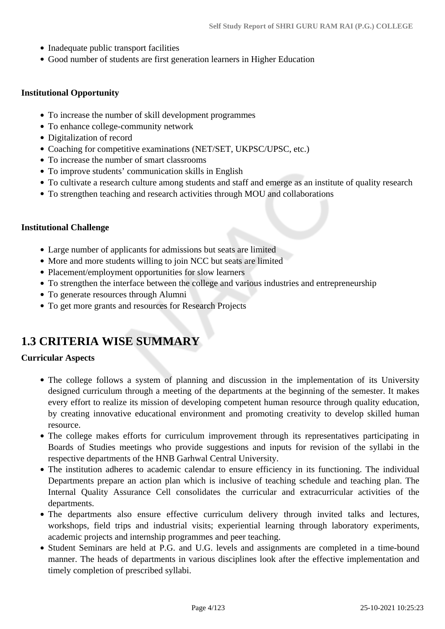- Inadequate public transport facilities
- Good number of students are first generation learners in Higher Education

#### **Institutional Opportunity**

- To increase the number of skill development programmes
- To enhance college-community network
- Digitalization of record
- Coaching for competitive examinations (NET/SET, UKPSC/UPSC, etc.)
- To increase the number of smart classrooms
- To improve students' communication skills in English
- To cultivate a research culture among students and staff and emerge as an institute of quality research
- To strengthen teaching and research activities through MOU and collaborations

#### **Institutional Challenge**

- Large number of applicants for admissions but seats are limited
- More and more students willing to join NCC but seats are limited
- Placement/employment opportunities for slow learners
- To strengthen the interface between the college and various industries and entrepreneurship
- To generate resources through Alumni
- To get more grants and resources for Research Projects

# **1.3 CRITERIA WISE SUMMARY**

#### **Curricular Aspects**

- The college follows a system of planning and discussion in the implementation of its University designed curriculum through a meeting of the departments at the beginning of the semester. It makes every effort to realize its mission of developing competent human resource through quality education, by creating innovative educational environment and promoting creativity to develop skilled human resource.
- The college makes efforts for curriculum improvement through its representatives participating in Boards of Studies meetings who provide suggestions and inputs for revision of the syllabi in the respective departments of the HNB Garhwal Central University.
- The institution adheres to academic calendar to ensure efficiency in its functioning. The individual Departments prepare an action plan which is inclusive of teaching schedule and teaching plan. The Internal Quality Assurance Cell consolidates the curricular and extracurricular activities of the departments.
- The departments also ensure effective curriculum delivery through invited talks and lectures, workshops, field trips and industrial visits; experiential learning through laboratory experiments, academic projects and internship programmes and peer teaching.
- Student Seminars are held at P.G. and U.G. levels and assignments are completed in a time-bound manner. The heads of departments in various disciplines look after the effective implementation and timely completion of prescribed syllabi.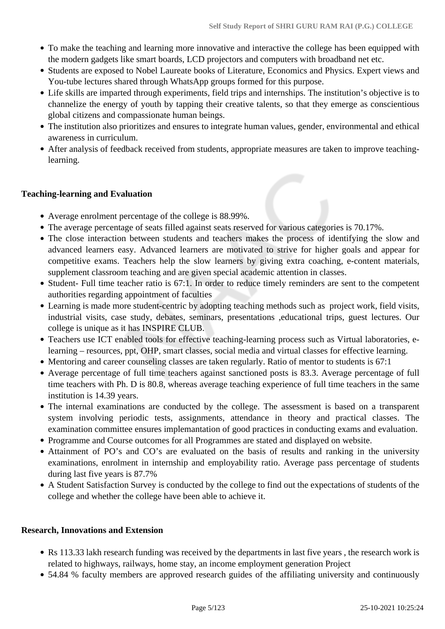- To make the teaching and learning more innovative and interactive the college has been equipped with the modern gadgets like smart boards, LCD projectors and computers with broadband net etc.
- Students are exposed to Nobel Laureate books of Literature, Economics and Physics. Expert views and You-tube lectures shared through WhatsApp groups formed for this purpose.
- Life skills are imparted through experiments, field trips and internships. The institution's objective is to channelize the energy of youth by tapping their creative talents, so that they emerge as conscientious global citizens and compassionate human beings.
- The institution also prioritizes and ensures to integrate human values, gender, environmental and ethical awareness in curriculum.
- After analysis of feedback received from students, appropriate measures are taken to improve teachinglearning.

#### **Teaching-learning and Evaluation**

- Average enrolment percentage of the college is 88.99%.
- The average percentage of seats filled against seats reserved for various categories is 70.17%.
- The close interaction between students and teachers makes the process of identifying the slow and advanced learners easy. Advanced learners are motivated to strive for higher goals and appear for competitive exams. Teachers help the slow learners by giving extra coaching, e-content materials, supplement classroom teaching and are given special academic attention in classes.
- Student- Full time teacher ratio is 67:1. In order to reduce timely reminders are sent to the competent authorities regarding appointment of faculties
- Learning is made more student-centric by adopting teaching methods such as project work, field visits, industrial visits, case study, debates, seminars, presentations ,educational trips, guest lectures. Our college is unique as it has INSPIRE CLUB.
- Teachers use ICT enabled tools for effective teaching-learning process such as Virtual laboratories, elearning – resources, ppt, OHP, smart classes, social media and virtual classes for effective learning.
- Mentoring and career counseling classes are taken regularly. Ratio of mentor to students is 67:1
- Average percentage of full time teachers against sanctioned posts is 83.3. Average percentage of full time teachers with Ph. D is 80.8, whereas average teaching experience of full time teachers in the same institution is 14.39 years.
- The internal examinations are conducted by the college. The assessment is based on a transparent system involving periodic tests, assignments, attendance in theory and practical classes. The examination committee ensures implemantation of good practices in conducting exams and evaluation.
- Programme and Course outcomes for all Programmes are stated and displayed on website.
- Attainment of PO's and CO's are evaluated on the basis of results and ranking in the university examinations, enrolment in internship and employability ratio. Average pass percentage of students during last five years is 87.7%
- A Student Satisfaction Survey is conducted by the college to find out the expectations of students of the college and whether the college have been able to achieve it.

#### **Research, Innovations and Extension**

- Rs 113.33 lakh research funding was received by the departments in last five years, the research work is related to highways, railways, home stay, an income employment generation Project
- 54.84 % faculty members are approved research guides of the affiliating university and continuously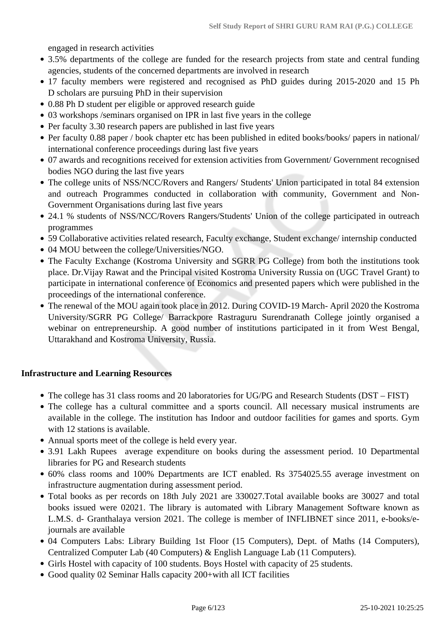engaged in research activities

- 3.5% departments of the college are funded for the research projects from state and central funding agencies, students of the concerned departments are involved in research
- 17 faculty members were registered and recognised as PhD guides during 2015-2020 and 15 Ph D scholars are pursuing PhD in their supervision
- 0.88 Ph D student per eligible or approved research guide
- 03 workshops /seminars organised on IPR in last five years in the college
- Per faculty 3.30 research papers are published in last five years
- Per faculty 0.88 paper / book chapter etc has been published in edited books/books/ papers in national/ international conference proceedings during last five years
- 07 awards and recognitions received for extension activities from Government/ Government recognised bodies NGO during the last five years
- The college units of NSS/NCC/Rovers and Rangers/ Students' Union participated in total 84 extension and outreach Programmes conducted in collaboration with community, Government and Non-Government Organisations during last five years
- 24.1 % students of NSS/NCC/Rovers Rangers/Students' Union of the college participated in outreach programmes
- 59 Collaborative activities related research, Faculty exchange, Student exchange/ internship conducted
- 04 MOU between the college/Universities/NGO.
- The Faculty Exchange (Kostroma University and SGRR PG College) from both the institutions took place. Dr.Vijay Rawat and the Principal visited Kostroma University Russia on (UGC Travel Grant) to participate in international conference of Economics and presented papers which were published in the proceedings of the international conference.
- The renewal of the MOU again took place in 2012. During COVID-19 March- April 2020 the Kostroma University/SGRR PG College/ Barrackpore Rastraguru Surendranath College jointly organised a webinar on entrepreneurship. A good number of institutions participated in it from West Bengal, Uttarakhand and Kostroma University, Russia.

#### **Infrastructure and Learning Resources**

- The college has 31 class rooms and 20 laboratories for UG/PG and Research Students (DST FIST)
- The college has a cultural committee and a sports council. All necessary musical instruments are available in the college. The institution has Indoor and outdoor facilities for games and sports. Gym with 12 stations is available.
- Annual sports meet of the college is held every year.
- 3.91 Lakh Rupees average expenditure on books during the assessment period. 10 Departmental libraries for PG and Research students
- 60% class rooms and 100% Departments are ICT enabled. Rs 3754025.55 average investment on infrastructure augmentation during assessment period.
- Total books as per records on 18th July 2021 are 330027.Total available books are 30027 and total books issued were 02021. The library is automated with Library Management Software known as L.M.S. d- Granthalaya version 2021. The college is member of INFLIBNET since 2011, e-books/ejournals are available
- 04 Computers Labs: Library Building 1st Floor (15 Computers), Dept. of Maths (14 Computers), Centralized Computer Lab (40 Computers) & English Language Lab (11 Computers).
- Girls Hostel with capacity of 100 students. Boys Hostel with capacity of 25 students.
- Good quality 02 Seminar Halls capacity 200+with all ICT facilities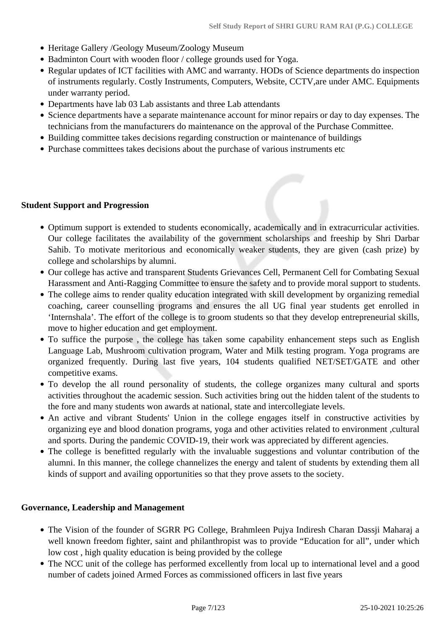- Heritage Gallery /Geology Museum/Zoology Museum
- Badminton Court with wooden floor / college grounds used for Yoga.
- Regular updates of ICT facilities with AMC and warranty. HODs of Science departments do inspection of instruments regularly. Costly Instruments, Computers, Website, CCTV,are under AMC. Equipments under warranty period.
- Departments have lab 03 Lab assistants and three Lab attendants
- Science departments have a separate maintenance account for minor repairs or day to day expenses. The technicians from the manufacturers do maintenance on the approval of the Purchase Committee.
- Building committee takes decisions regarding construction or maintenance of buildings
- Purchase committees takes decisions about the purchase of various instruments etc

#### **Student Support and Progression**

- Optimum support is extended to students economically, academically and in extracurricular activities. Our college facilitates the availability of the government scholarships and freeship by Shri Darbar Sahib. To motivate meritorious and economically weaker students, they are given (cash prize) by college and scholarships by alumni.
- Our college has active and transparent Students Grievances Cell, Permanent Cell for Combating Sexual Harassment and Anti-Ragging Committee to ensure the safety and to provide moral support to students.
- The college aims to render quality education integrated with skill development by organizing remedial coaching, career counselling programs and ensures the all UG final year students get enrolled in 'Internshala'. The effort of the college is to groom students so that they develop entrepreneurial skills, move to higher education and get employment.
- To suffice the purpose, the college has taken some capability enhancement steps such as English Language Lab, Mushroom cultivation program, Water and Milk testing program. Yoga programs are organized frequently. During last five years, 104 students qualified NET/SET/GATE and other competitive exams.
- To develop the all round personality of students, the college organizes many cultural and sports activities throughout the academic session. Such activities bring out the hidden talent of the students to the fore and many students won awards at national, state and intercollegiate levels.
- An active and vibrant Students' Union in the college engages itself in constructive activities by organizing eye and blood donation programs, yoga and other activities related to environment ,cultural and sports. During the pandemic COVID-19, their work was appreciated by different agencies.
- The college is benefitted regularly with the invaluable suggestions and voluntar contribution of the alumni. In this manner, the college channelizes the energy and talent of students by extending them all kinds of support and availing opportunities so that they prove assets to the society.

#### **Governance, Leadership and Management**

- The Vision of the founder of SGRR PG College, Brahmleen Puiva Indiresh Charan Dassii Maharaj a well known freedom fighter, saint and philanthropist was to provide "Education for all", under which low cost , high quality education is being provided by the college
- The NCC unit of the college has performed excellently from local up to international level and a good number of cadets joined Armed Forces as commissioned officers in last five years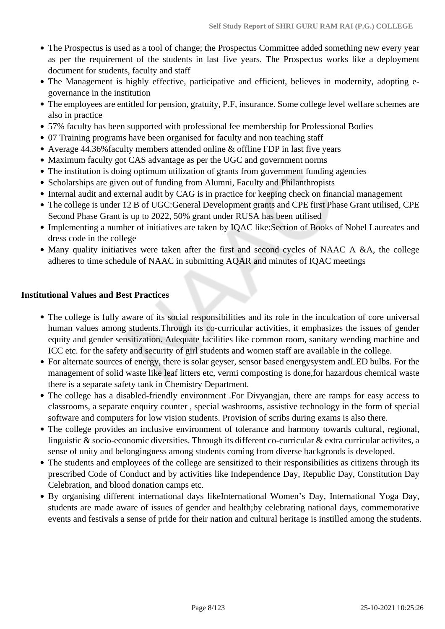- The Prospectus is used as a tool of change; the Prospectus Committee added something new every year as per the requirement of the students in last five years. The Prospectus works like a deployment document for students, faculty and staff
- The Management is highly effective, participative and efficient, believes in modernity, adopting egovernance in the institution
- The employees are entitled for pension, gratuity, P.F, insurance. Some college level welfare schemes are also in practice
- 57% faculty has been supported with professional fee membership for Professional Bodies
- 07 Training programs have been organised for faculty and non teaching staff
- Average 44.36%faculty members attended online & offline FDP in last five years
- Maximum faculty got CAS advantage as per the UGC and government norms
- The institution is doing optimum utilization of grants from government funding agencies
- Scholarships are given out of funding from Alumni, Faculty and Philanthropists
- Internal audit and external audit by CAG is in practice for keeping check on financial management
- The college is under 12 B of UGC:General Development grants and CPE first Phase Grant utilised, CPE Second Phase Grant is up to 2022, 50% grant under RUSA has been utilised
- Implementing a number of initiatives are taken by IQAC like:Section of Books of Nobel Laureates and dress code in the college
- Many quality initiatives were taken after the first and second cycles of NAAC A &A, the college adheres to time schedule of NAAC in submitting AQAR and minutes of IQAC meetings

#### **Institutional Values and Best Practices**

- The college is fully aware of its social responsibilities and its role in the inculcation of core universal human values among students.Through its co-curricular activities, it emphasizes the issues of gender equity and gender sensitization. Adequate facilities like common room, sanitary wending machine and ICC etc. for the safety and security of girl students and women staff are available in the college.
- For alternate sources of energy, there is solar geyser, sensor based energysystem andLED bulbs. For the management of solid waste like leaf litters etc, vermi composting is done,for hazardous chemical waste there is a separate safety tank in Chemistry Department.
- The college has a disabled-friendly environment .For Divyangjan, there are ramps for easy access to classrooms, a separate enquiry counter , special washrooms, assistive technology in the form of special software and computers for low vision students. Provision of scribs during exams is also there.
- The college provides an inclusive environment of tolerance and harmony towards cultural, regional, linguistic & socio-economic diversities. Through its different co-curricular & extra curricular activites, a sense of unity and belongingness among students coming from diverse backgronds is developed.
- The students and employees of the college are sensitized to their responsibilities as citizens through its prescribed Code of Conduct and by activities like Independence Day, Republic Day, Constitution Day Celebration, and blood donation camps etc.
- By organising different international days likeInternational Women's Day, International Yoga Day, students are made aware of issues of gender and health;by celebrating national days, commemorative events and festivals a sense of pride for their nation and cultural heritage is instilled among the students.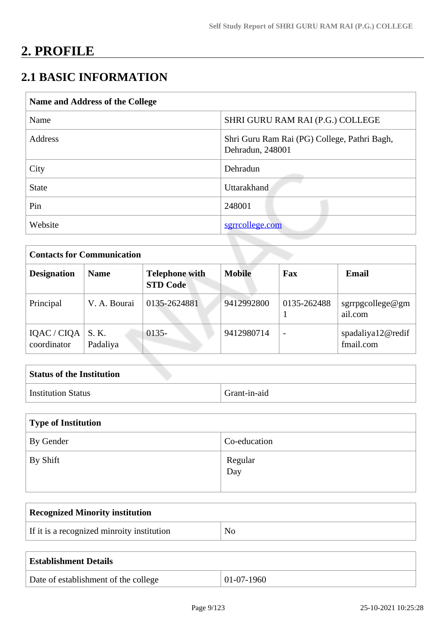# **2. PROFILE**

# **2.1 BASIC INFORMATION**

| Name and Address of the College |                                                                  |  |
|---------------------------------|------------------------------------------------------------------|--|
| Name                            | SHRI GURU RAM RAI (P.G.) COLLEGE                                 |  |
| Address                         | Shri Guru Ram Rai (PG) College, Pathri Bagh,<br>Dehradun, 248001 |  |
| City                            | Dehradun                                                         |  |
| <b>State</b>                    | <b>Uttarakhand</b>                                               |  |
| Pin                             | 248001                                                           |  |
| Website                         | sgrrcollege.com                                                  |  |

| <b>Contacts for Communication</b> |                   |                                          |               |             |                                |
|-----------------------------------|-------------------|------------------------------------------|---------------|-------------|--------------------------------|
| <b>Designation</b>                | <b>Name</b>       | <b>Telephone with</b><br><b>STD Code</b> | <b>Mobile</b> | Fax         | <b>Email</b>                   |
| Principal                         | V. A. Bourai      | 0135-2624881                             | 9412992800    | 0135-262488 | sgrrpgcollege@gm<br>ail.com    |
| IQAC / CIQA<br>coordinator        | S. K.<br>Padaliya | $0135 -$                                 | 9412980714    |             | spadaliya12@redif<br>fmail.com |

| <b>Status of the Institution</b> |              |
|----------------------------------|--------------|
| <b>Institution Status</b>        | Grant-in-aid |

| Type of Institution    |                |  |
|------------------------|----------------|--|
| <sup>1</sup> By Gender | Co-education   |  |
| By Shift               | Regular<br>Day |  |

| <b>Recognized Minority institution</b>     |    |
|--------------------------------------------|----|
| If it is a recognized minroity institution | No |
|                                            |    |

| <b>Establishment Details</b>         |              |
|--------------------------------------|--------------|
| Date of establishment of the college | $01-07-1960$ |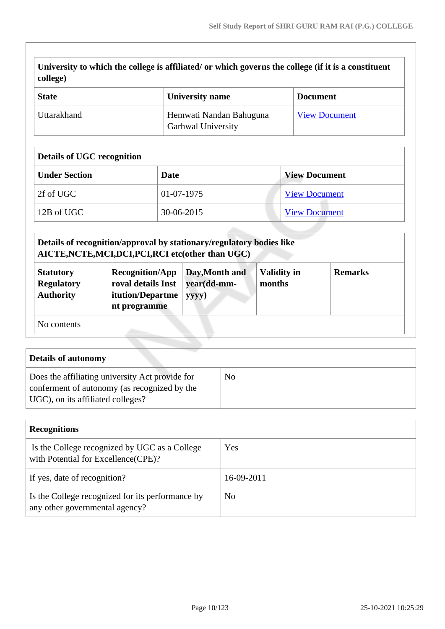|                  | University to which the college is affiliated/ or which governs the college (if it is a constituent |  |
|------------------|-----------------------------------------------------------------------------------------------------|--|
| $\vert$ college) |                                                                                                     |  |

| <b>State</b> | <b>University name</b>                               | <b>Document</b>      |
|--------------|------------------------------------------------------|----------------------|
| Uttarakhand  | Hemwati Nandan Bahuguna<br><b>Garhwal University</b> | <b>View Document</b> |

### **Details of UGC recognition**

| <b>Under Section</b> | Date       | <b>View Document</b> |
|----------------------|------------|----------------------|
| 2f of UGC            | 01-07-1975 | <b>View Document</b> |
| 12B of UGC           | 30-06-2015 | <b>View Document</b> |

|                                                           | Details of recognition/approval by stationary/regulatory bodies like<br>AICTE, NCTE, MCI, DCI, PCI, RCI etc(other than UGC) |                                        |                              |                |
|-----------------------------------------------------------|-----------------------------------------------------------------------------------------------------------------------------|----------------------------------------|------------------------------|----------------|
| <b>Statutory</b><br><b>Regulatory</b><br><b>Authority</b> | <b>Recognition/App</b><br>roval details Inst<br>itution/Departme<br>nt programme                                            | Day, Month and<br>year(dd-mm-<br>yyyy) | <b>Validity in</b><br>months | <b>Remarks</b> |
| No contents                                               |                                                                                                                             |                                        |                              |                |

| <b>Details of autonomy</b>                                                                                                           |                |
|--------------------------------------------------------------------------------------------------------------------------------------|----------------|
| Does the affiliating university Act provide for<br>conferment of autonomy (as recognized by the<br>UGC), on its affiliated colleges? | N <sub>o</sub> |

| <b>Recognitions</b>                                                                  |            |  |
|--------------------------------------------------------------------------------------|------------|--|
| Is the College recognized by UGC as a College<br>with Potential for Excellence(CPE)? | Yes        |  |
| If yes, date of recognition?                                                         | 16-09-2011 |  |
| Is the College recognized for its performance by<br>any other governmental agency?   | No         |  |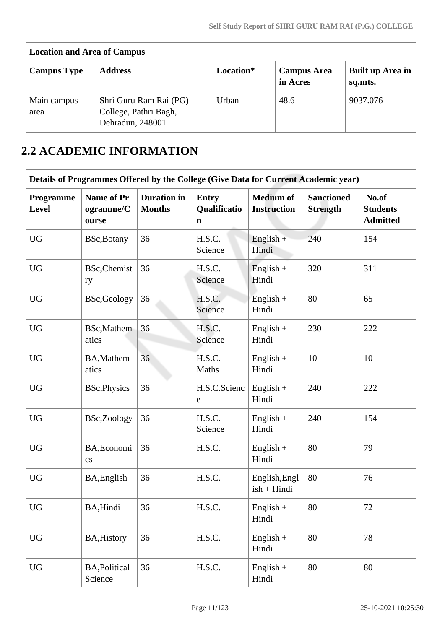| <b>Location and Area of Campus</b> |                                                                     |           |                                |                             |  |  |  |  |  |  |
|------------------------------------|---------------------------------------------------------------------|-----------|--------------------------------|-----------------------------|--|--|--|--|--|--|
| <b>Campus Type</b>                 | <b>Address</b>                                                      | Location* | <b>Campus Area</b><br>in Acres | Built up Area in<br>sq.mts. |  |  |  |  |  |  |
| Main campus<br>area                | Shri Guru Ram Rai (PG)<br>College, Pathri Bagh,<br>Dehradun, 248001 | Urban     | 48.6                           | 9037.076                    |  |  |  |  |  |  |

# **2.2 ACADEMIC INFORMATION**

|                           | Details of Programmes Offered by the College (Give Data for Current Academic year) |                                     |                                             |                                        |                                      |                                             |
|---------------------------|------------------------------------------------------------------------------------|-------------------------------------|---------------------------------------------|----------------------------------------|--------------------------------------|---------------------------------------------|
| Programme<br><b>Level</b> | Name of Pr<br>ogramme/C<br>ourse                                                   | <b>Duration</b> in<br><b>Months</b> | <b>Entry</b><br>Qualificatio<br>$\mathbf n$ | <b>Medium of</b><br><b>Instruction</b> | <b>Sanctioned</b><br><b>Strength</b> | No.of<br><b>Students</b><br><b>Admitted</b> |
| <b>UG</b>                 | BSc, Botany                                                                        | 36                                  | H.S.C.<br>Science                           | English $+$<br>Hindi                   | 240                                  | 154                                         |
| <b>UG</b>                 | BSc, Chemist<br>ry                                                                 | 36                                  | H.S.C.<br>Science                           | $English +$<br>Hindi                   | 320                                  | 311                                         |
| <b>UG</b>                 | BSc, Geology                                                                       | 36                                  | H.S.C.<br>Science                           | English $+$<br>Hindi                   | 80                                   | 65                                          |
| <b>UG</b>                 | BSc, Mathem<br>atics                                                               | 36                                  | H.S.C.<br>Science                           | English $+$<br>Hindi                   | 230                                  | 222                                         |
| <b>UG</b>                 | <b>BA, Mathem</b><br>atics                                                         | 36                                  | H.S.C.<br>Maths                             | $English +$<br>Hindi                   | 10                                   | 10                                          |
| <b>UG</b>                 | <b>BSc, Physics</b>                                                                | 36                                  | H.S.C.Scienc<br>e                           | $English +$<br>Hindi                   | 240                                  | 222                                         |
| <b>UG</b>                 | BSc,Zoology                                                                        | 36                                  | H.S.C.<br>Science                           | English $+$<br>Hindi                   | 240                                  | 154                                         |
| <b>UG</b>                 | BA, Economi<br>$\mathbf{c}\mathbf{s}$                                              | 36                                  | H.S.C.                                      | $English +$<br>Hindi                   | 80                                   | 79                                          |
| <b>UG</b>                 | BA, English                                                                        | 36                                  | H.S.C.                                      | English, Engl<br>$ish + Hindi$         | 80                                   | 76                                          |
| <b>UG</b>                 | BA, Hindi                                                                          | 36                                  | H.S.C.                                      | $English +$<br>Hindi                   | $80\,$                               | $72\,$                                      |
| <b>UG</b>                 | <b>BA, History</b>                                                                 | 36                                  | H.S.C.                                      | $English +$<br>Hindi                   | 80                                   | 78                                          |
| <b>UG</b>                 | <b>BA, Political</b><br>Science                                                    | 36                                  | H.S.C.                                      | $English +$<br>Hindi                   | 80                                   | 80                                          |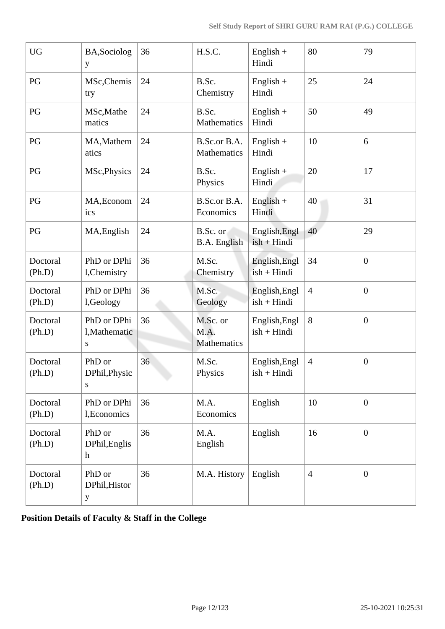| <b>UG</b>          | BA, Sociolog<br>y                      | 36 | H.S.C.                          | $English +$<br>Hindi           | 80             | 79               |
|--------------------|----------------------------------------|----|---------------------------------|--------------------------------|----------------|------------------|
| PG                 | MSc, Chemis<br>try                     | 24 | B.Sc.<br>Chemistry              | $English +$<br>Hindi           | 25             | 24               |
| PG                 | MSc, Mathe<br>matics                   | 24 | B.Sc.<br>Mathematics            | $English +$<br>Hindi           | 50             | 49               |
| PG                 | MA, Mathem<br>atics                    | 24 | B.Sc.or B.A.<br>Mathematics     | $English +$<br>Hindi           | 10             | 6                |
| PG                 | MSc, Physics                           | 24 | B.Sc.<br>Physics                | English $+$<br>Hindi           | 20             | 17               |
| PG                 | MA, Econom<br>ics                      | 24 | B.Sc.or B.A.<br>Economics       | $English +$<br>Hindi           | 40             | 31               |
| PG                 | MA, English                            | 24 | B.Sc. or<br><b>B.A.</b> English | English, Engl<br>$ish + Hindi$ | 40             | 29               |
| Doctoral<br>(Ph.D) | PhD or DPhi<br>l, Chemistry            | 36 | M.Sc.<br>Chemistry              | English, Engl<br>$ish + Hindi$ | 34             | $\boldsymbol{0}$ |
| Doctoral<br>(Ph.D) | PhD or DPhi<br>l,Geology               | 36 | M.Sc.<br>Geology                | English, Engl<br>$ish + Hindi$ | $\overline{4}$ | $\boldsymbol{0}$ |
| Doctoral<br>(Ph.D) | PhD or DPhi<br>l, Mathematic<br>S      | 36 | M.Sc. or<br>M.A.<br>Mathematics | English, Engl<br>$ish + Hindi$ | 8              | $\boldsymbol{0}$ |
| Doctoral<br>(Ph.D) | PhD or<br>DPhil, Physic<br>S           | 36 | M.Sc.<br>Physics                | English, Engl<br>$ish + Hindi$ | $\overline{4}$ | $\boldsymbol{0}$ |
| Doctoral<br>(Ph.D) | PhD or DPhi<br>1, Economics            | 36 | M.A.<br>Economics               | English                        | 10             | $\boldsymbol{0}$ |
| Doctoral<br>(Ph.D) | PhD or<br>DPhil, Englis<br>$\mathbf h$ | 36 | M.A.<br>English                 | English                        | 16             | $\overline{0}$   |
| Doctoral<br>(Ph.D) | PhD or<br>DPhil, Histor<br>y           | 36 | M.A. History                    | English                        | $\overline{4}$ | $\overline{0}$   |

**Position Details of Faculty & Staff in the College**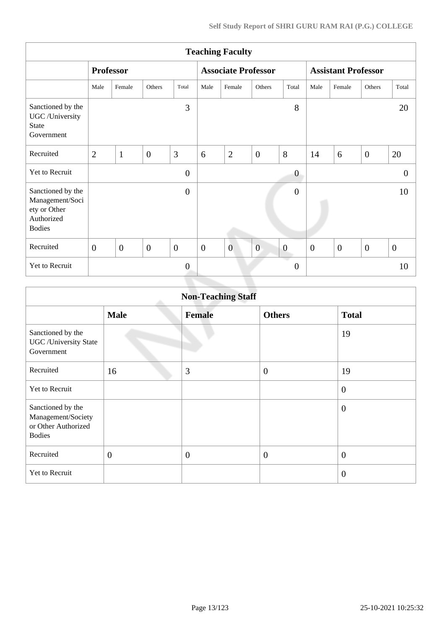| <b>Teaching Faculty</b>                                                             |                  |                  |                |                  |                  |                            |                |                  |                            |                  |                  |                  |
|-------------------------------------------------------------------------------------|------------------|------------------|----------------|------------------|------------------|----------------------------|----------------|------------------|----------------------------|------------------|------------------|------------------|
|                                                                                     |                  | <b>Professor</b> |                |                  |                  | <b>Associate Professor</b> |                |                  | <b>Assistant Professor</b> |                  |                  |                  |
|                                                                                     | Male             | Female           | Others         | Total            | Male             | Female                     | Others         | Total            | Male                       | Female           | Others           | Total            |
| Sanctioned by the<br>UGC /University<br><b>State</b><br>Government                  |                  |                  |                | 3                |                  |                            |                | 8                |                            |                  |                  | 20               |
| Recruited                                                                           | $\overline{2}$   | $\mathbf{1}$     | $\overline{0}$ | 3                | 6                | $\overline{2}$             | $\overline{0}$ | 8                | 14                         | 6                | $\overline{0}$   | 20               |
| Yet to Recruit                                                                      |                  |                  |                | $\overline{0}$   |                  |                            |                | $\boldsymbol{0}$ |                            |                  |                  | $\Omega$         |
| Sanctioned by the<br>Management/Soci<br>ety or Other<br>Authorized<br><b>Bodies</b> |                  |                  |                | $\boldsymbol{0}$ |                  |                            |                | $\boldsymbol{0}$ |                            |                  |                  | 10               |
| Recruited                                                                           | $\boldsymbol{0}$ | $\boldsymbol{0}$ | $\overline{0}$ | $\boldsymbol{0}$ | $\boldsymbol{0}$ | $\overline{0}$             | $\overline{0}$ | $\boldsymbol{0}$ | $\boldsymbol{0}$           | $\boldsymbol{0}$ | $\boldsymbol{0}$ | $\boldsymbol{0}$ |
| Yet to Recruit                                                                      |                  |                  |                | $\overline{0}$   |                  |                            |                | $\boldsymbol{0}$ |                            |                  |                  | 10               |
|                                                                                     |                  |                  |                |                  |                  |                            |                |                  |                            |                  |                  |                  |

|                                                                                 | <b>Non-Teaching Staff</b> |               |                  |                  |  |  |  |  |  |  |  |
|---------------------------------------------------------------------------------|---------------------------|---------------|------------------|------------------|--|--|--|--|--|--|--|
|                                                                                 | <b>Male</b>               | <b>Female</b> | <b>Others</b>    | <b>Total</b>     |  |  |  |  |  |  |  |
| Sanctioned by the<br><b>UGC</b> / University State<br>Government                |                           |               |                  | 19               |  |  |  |  |  |  |  |
| Recruited                                                                       | 16                        | 3             | $\boldsymbol{0}$ | 19               |  |  |  |  |  |  |  |
| Yet to Recruit                                                                  |                           |               |                  | $\mathbf{0}$     |  |  |  |  |  |  |  |
| Sanctioned by the<br>Management/Society<br>or Other Authorized<br><b>Bodies</b> |                           |               |                  | $\overline{0}$   |  |  |  |  |  |  |  |
| Recruited                                                                       | $\overline{0}$            | $\mathbf{0}$  | $\overline{0}$   | $\boldsymbol{0}$ |  |  |  |  |  |  |  |
| Yet to Recruit                                                                  |                           |               |                  | $\overline{0}$   |  |  |  |  |  |  |  |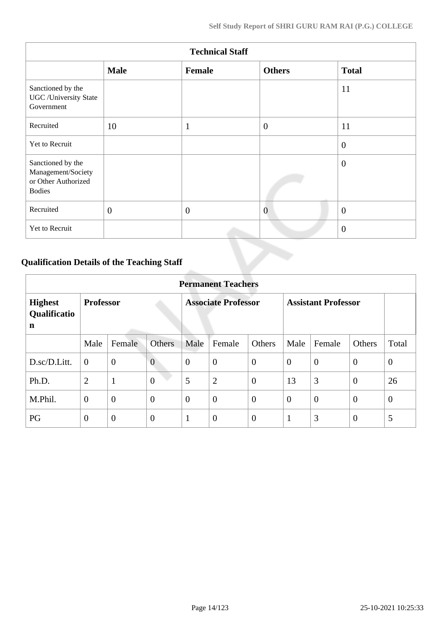|                                                                                 | <b>Technical Staff</b> |              |                |                  |  |  |  |  |  |  |  |
|---------------------------------------------------------------------------------|------------------------|--------------|----------------|------------------|--|--|--|--|--|--|--|
|                                                                                 | <b>Male</b>            | Female       | <b>Others</b>  | <b>Total</b>     |  |  |  |  |  |  |  |
| Sanctioned by the<br><b>UGC</b> /University State<br>Government                 |                        |              |                | 11               |  |  |  |  |  |  |  |
| Recruited                                                                       | 10                     | $\mathbf{1}$ | $\overline{0}$ | 11               |  |  |  |  |  |  |  |
| Yet to Recruit                                                                  |                        |              |                | $\theta$         |  |  |  |  |  |  |  |
| Sanctioned by the<br>Management/Society<br>or Other Authorized<br><b>Bodies</b> |                        |              |                | $\boldsymbol{0}$ |  |  |  |  |  |  |  |
| Recruited                                                                       | $\overline{0}$         | $\theta$     | $\overline{0}$ | $\overline{0}$   |  |  |  |  |  |  |  |
| Yet to Recruit                                                                  |                        |              |                | $\overline{0}$   |  |  |  |  |  |  |  |

# **Qualification Details of the Teaching Staff**

|                                     | <b>Permanent Teachers</b> |                |                  |                            |                |                |                            |                |                |                |  |
|-------------------------------------|---------------------------|----------------|------------------|----------------------------|----------------|----------------|----------------------------|----------------|----------------|----------------|--|
| <b>Highest</b><br>Qualificatio<br>n | <b>Professor</b>          |                |                  | <b>Associate Professor</b> |                |                | <b>Assistant Professor</b> |                |                |                |  |
|                                     | Male                      | Female         | <b>Others</b>    | Male                       | Female         | Others         | Male                       | Female         | Others         | Total          |  |
| D.sc/D.Litt.                        | $\overline{0}$            | $\overline{0}$ | $\overline{0}$   | $\theta$                   | $\overline{0}$ | $\overline{0}$ | $\overline{0}$             | $\theta$       | $\overline{0}$ | $\overline{0}$ |  |
| Ph.D.                               | $\overline{2}$            | $\mathbf{1}$   | $\boldsymbol{0}$ | 5                          | $\overline{2}$ | $\overline{0}$ | 13                         | 3              | $\overline{0}$ | 26             |  |
| M.Phil.                             | $\overline{0}$            | $\overline{0}$ | $\overline{0}$   | $\theta$                   | $\overline{0}$ | $\overline{0}$ | $\overline{0}$             | $\overline{0}$ | $\overline{0}$ | $\overline{0}$ |  |
| PG                                  | $\overline{0}$            | $\overline{0}$ | $\overline{0}$   | 1                          | $\overline{0}$ | $\overline{0}$ | -1                         | 3              | $\overline{0}$ | 5              |  |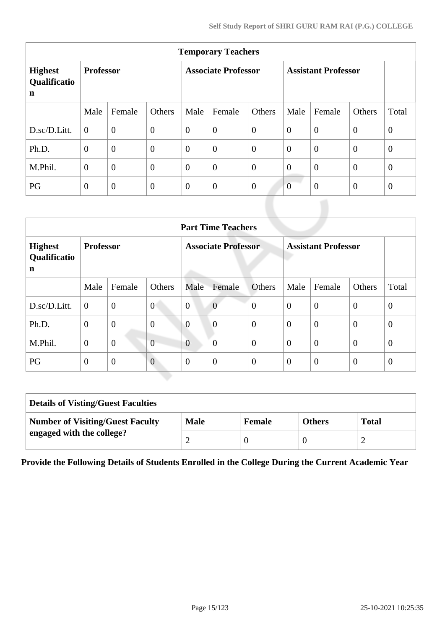| <b>Temporary Teachers</b>           |                  |                |                |                            |                  |                |                            |                |                |                |  |
|-------------------------------------|------------------|----------------|----------------|----------------------------|------------------|----------------|----------------------------|----------------|----------------|----------------|--|
| <b>Highest</b><br>Qualificatio<br>n | <b>Professor</b> |                |                | <b>Associate Professor</b> |                  |                | <b>Assistant Professor</b> |                |                |                |  |
|                                     | Male             | Female         | Others         | Male                       | Female           | Others         | Male                       | Female         | Others         | Total          |  |
| D.sc/D.Litt.                        | $\Omega$         | $\overline{0}$ | $\overline{0}$ | $\overline{0}$             | $\boldsymbol{0}$ | $\overline{0}$ | $\overline{0}$             | $\overline{0}$ | $\overline{0}$ | $\overline{0}$ |  |
| Ph.D.                               | $\theta$         | $\overline{0}$ | $\overline{0}$ | $\overline{0}$             | $\overline{0}$   | $\overline{0}$ | $\overline{0}$             | $\overline{0}$ | $\theta$       | $\overline{0}$ |  |
| M.Phil.                             | $\overline{0}$   | $\overline{0}$ | $\overline{0}$ | $\overline{0}$             | $\boldsymbol{0}$ | $\overline{0}$ | $\overline{0}$             | $\overline{0}$ | $\overline{0}$ | $\overline{0}$ |  |
| PG                                  | $\theta$         | $\theta$       | $\overline{0}$ | $\theta$                   | $\theta$         | $\theta$       | $\overline{0}$             | $\theta$       | $\overline{0}$ | $\overline{0}$ |  |

|                                     | <b>Part Time Teachers</b> |                |                  |                            |                  |                  |                            |                |                |                |  |  |
|-------------------------------------|---------------------------|----------------|------------------|----------------------------|------------------|------------------|----------------------------|----------------|----------------|----------------|--|--|
| <b>Highest</b><br>Qualificatio<br>n | <b>Professor</b>          |                |                  | <b>Associate Professor</b> |                  |                  | <b>Assistant Professor</b> |                |                |                |  |  |
|                                     | Male                      | Female         | Others           | Male                       | Female           | Others           | Male                       | Female         | Others         | Total          |  |  |
| D.sc/D.Litt.                        | $\boldsymbol{0}$          | $\overline{0}$ | $\mathbf{0}$     | $\boldsymbol{0}$           | $\overline{0}$   | $\boldsymbol{0}$ | $\theta$                   | $\mathbf{0}$   | $\overline{0}$ | $\overline{0}$ |  |  |
| Ph.D.                               | $\mathbf{0}$              | $\overline{0}$ | $\boldsymbol{0}$ | $\overline{0}$             | $\overline{0}$   | $\mathbf{0}$     | $\overline{0}$             | $\overline{0}$ | $\overline{0}$ | $\mathbf{0}$   |  |  |
| M.Phil.                             | $\mathbf{0}$              | $\overline{0}$ | $\overline{0}$   | $\overline{0}$             | $\boldsymbol{0}$ | $\mathbf{0}$     | $\theta$                   | $\overline{0}$ | $\mathbf{0}$   | $\mathbf{0}$   |  |  |
| PG                                  | $\boldsymbol{0}$          | $\mathbf{0}$   | $\overline{0}$   | $\overline{0}$             | $\overline{0}$   | $\overline{0}$   | $\overline{0}$             | $\theta$       | $\mathbf{0}$   | $\theta$       |  |  |

| <b>Details of Visting/Guest Faculties</b> |             |               |               |              |  |  |  |  |
|-------------------------------------------|-------------|---------------|---------------|--------------|--|--|--|--|
| <b>Number of Visiting/Guest Faculty</b>   | <b>Male</b> | <b>Female</b> | <b>Others</b> | <b>Total</b> |  |  |  |  |
| engaged with the college?                 |             |               |               |              |  |  |  |  |

**Provide the Following Details of Students Enrolled in the College During the Current Academic Year**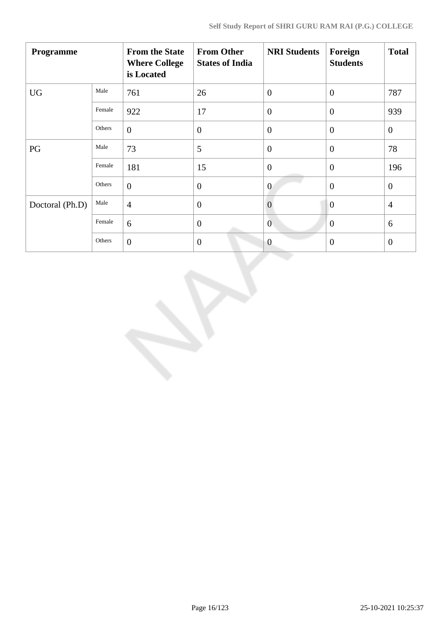| Programme       |        | <b>From the State</b><br><b>Where College</b><br>is Located | <b>From Other</b><br><b>States of India</b> | <b>NRI Students</b> | Foreign<br><b>Students</b> | <b>Total</b>     |
|-----------------|--------|-------------------------------------------------------------|---------------------------------------------|---------------------|----------------------------|------------------|
| <b>UG</b>       | Male   | 761                                                         | 26                                          | $\theta$            | $\overline{0}$             | 787              |
|                 | Female | 922                                                         | 17                                          | $\overline{0}$      | $\theta$                   | 939              |
|                 | Others | $\overline{0}$                                              | $\theta$                                    | $\overline{0}$      | $\theta$                   | $\boldsymbol{0}$ |
| PG              | Male   | 73                                                          | 5                                           | $\overline{0}$      | $\overline{0}$             | 78               |
|                 | Female | 181                                                         | 15                                          | $\overline{0}$      | $\theta$                   | 196              |
|                 | Others | $\overline{0}$                                              | $\boldsymbol{0}$                            | $\overline{0}$      | $\overline{0}$             | $\mathbf{0}$     |
| Doctoral (Ph.D) | Male   | $\overline{4}$                                              | $\overline{0}$                              | $\overline{0}$      | $\overline{0}$             | $\overline{4}$   |
|                 | Female | 6                                                           | $\mathbf{0}$                                | $\mathbf{0}$        | $\theta$                   | 6                |
|                 | Others | $\overline{0}$                                              | $\mathbf{0}$                                | $\overline{0}$      | $\mathbf{0}$               | $\mathbf{0}$     |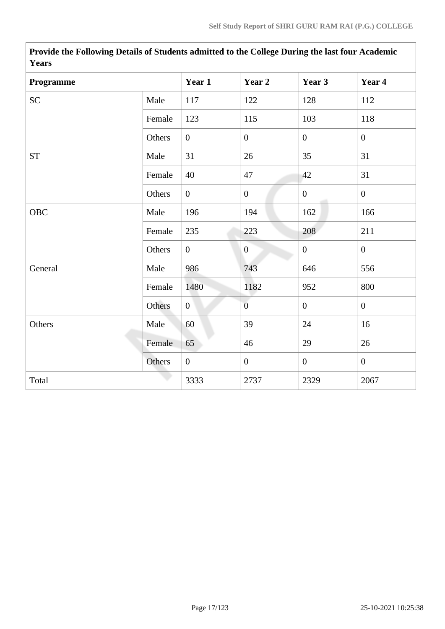| r ears     |        |                |                  |                |                |
|------------|--------|----------------|------------------|----------------|----------------|
| Programme  |        | Year 1         | Year 2           | Year 3         | Year 4         |
| SC         | Male   | 117            | 122              | 128            | 112            |
|            | Female | 123            | 115              | 103            | 118            |
|            | Others | $\overline{0}$ | $\boldsymbol{0}$ | $\overline{0}$ | $\overline{0}$ |
| <b>ST</b>  | Male   | 31             | 26               | 35             | 31             |
|            | Female | 40             | 47               | 42             | 31             |
|            | Others | $\overline{0}$ | $\boldsymbol{0}$ | $\mathbf{0}$   | $\overline{0}$ |
| <b>OBC</b> | Male   | 196            | 194              | 162            | 166            |
|            | Female | 235            | 223              | 208            | 211            |
|            | Others | $\overline{0}$ | $\mathbf{0}$     | $\overline{0}$ | $\overline{0}$ |
| General    | Male   | 986            | 743              | 646            | 556            |
|            | Female | 1480           | 1182             | 952            | 800            |
|            | Others | $\overline{0}$ | $\overline{0}$   | $\overline{0}$ | $\overline{0}$ |
| Others     | Male   | 60             | 39               | 24             | 16             |
|            | Female | 65             | 46               | 29             | 26             |
|            | Others | $\overline{0}$ | $\overline{0}$   | $\overline{0}$ | $\overline{0}$ |
| Total      |        | 3333           | 2737             | 2329           | 2067           |

**Provide the Following Details of Students admitted to the College During the last four Academic Years**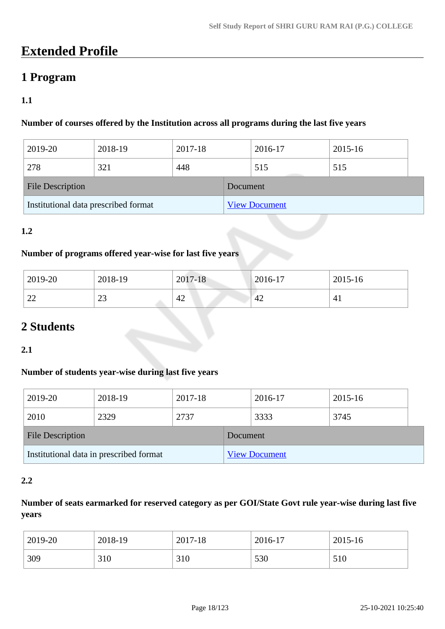# **Extended Profile**

# **1 Program**

## **1.1**

## **Number of courses offered by the Institution across all programs during the last five years**

| 2019-20                              | 2018-19 | 2017-18 |                      | 2016-17 | 2015-16 |  |
|--------------------------------------|---------|---------|----------------------|---------|---------|--|
| 278                                  | 321     | 448     |                      | 515     | 515     |  |
| <b>File Description</b>              |         |         | Document             |         |         |  |
| Institutional data prescribed format |         |         | <b>View Document</b> |         |         |  |

#### **1.2**

#### **Number of programs offered year-wise for last five years**

| 2019-20                            | 2018-19   | 2017-18 | $2016 - 17$ | 2015-16 |
|------------------------------------|-----------|---------|-------------|---------|
| $\sim$<br>$\overline{\phantom{m}}$ | n n<br>رے | 42      | 42          | 4.1     |

# **2 Students**

#### **2.1**

#### **Number of students year-wise during last five years**

| 2019-20                                 | 2018-19 | 2017-18  |                      | 2016-17 | 2015-16 |  |
|-----------------------------------------|---------|----------|----------------------|---------|---------|--|
| 2010                                    | 2329    | 2737     |                      | 3333    | 3745    |  |
| <b>File Description</b>                 |         | Document |                      |         |         |  |
| Institutional data in prescribed format |         |          | <b>View Document</b> |         |         |  |

#### **2.2**

### **Number of seats earmarked for reserved category as per GOI/State Govt rule year-wise during last five years**

| 2019-20 | 2018-19 | 2017-18 | 2016-17 | 2015-16 |
|---------|---------|---------|---------|---------|
| 309     | 310     | 310     | 530     | 510     |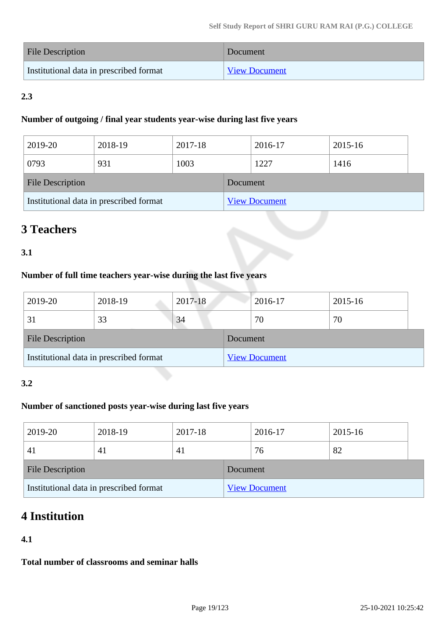| File Description                        | Document             |
|-----------------------------------------|----------------------|
| Institutional data in prescribed format | <b>View Document</b> |

# **2.3**

#### **Number of outgoing / final year students year-wise during last five years**

| 2019-20                                 | 2018-19 | 2017-18  |                      | 2016-17 | 2015-16 |  |
|-----------------------------------------|---------|----------|----------------------|---------|---------|--|
| 0793                                    | 931     | 1003     |                      | 1227    | 1416    |  |
| <b>File Description</b>                 |         | Document |                      |         |         |  |
| Institutional data in prescribed format |         |          | <b>View Document</b> |         |         |  |

# **3 Teachers**

### **3.1**

### **Number of full time teachers year-wise during the last five years**

| 2019-20                                 | 2018-19 | 2017-18  |                      | 2016-17 | 2015-16 |
|-----------------------------------------|---------|----------|----------------------|---------|---------|
| 31                                      | 33      | 34       |                      | 70      | 70      |
| <b>File Description</b>                 |         | Document |                      |         |         |
| Institutional data in prescribed format |         |          | <b>View Document</b> |         |         |

#### **3.2**

### **Number of sanctioned posts year-wise during last five years**

| 2019-20                                 | 2018-19  | 2017-18  |                      | 2016-17 | 2015-16 |  |
|-----------------------------------------|----------|----------|----------------------|---------|---------|--|
| $\left 4\right $                        | <b>4</b> | 41       |                      | 76      | 82      |  |
| <b>File Description</b>                 |          | Document |                      |         |         |  |
| Institutional data in prescribed format |          |          | <b>View Document</b> |         |         |  |

# **4 Institution**

### **4.1**

**Total number of classrooms and seminar halls**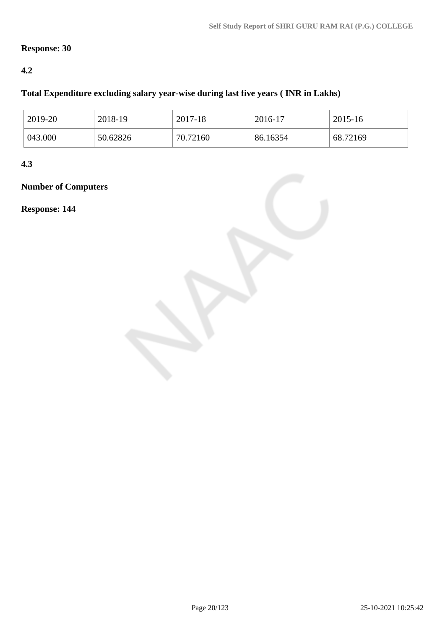## **Response: 30**

### **4.2**

### **Total Expenditure excluding salary year-wise during last five years ( INR in Lakhs)**

| 2019-20 | 2018-19  | 2017-18  | 2016-17  | 2015-16  |
|---------|----------|----------|----------|----------|
| 043.000 | 50.62826 | 70.72160 | 86.16354 | 68.72169 |

**4.3**

# **Number of Computers**

**Response: 144**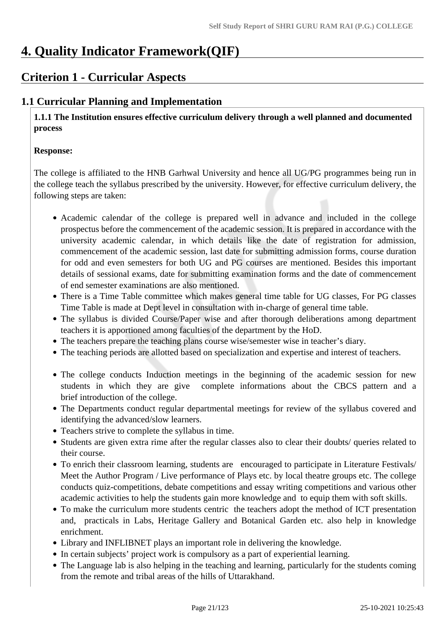# **4. Quality Indicator Framework(QIF)**

# **Criterion 1 - Curricular Aspects**

# **1.1 Curricular Planning and Implementation**

 **1.1.1 The Institution ensures effective curriculum delivery through a well planned and documented process**

#### **Response:**

The college is affiliated to the HNB Garhwal University and hence all UG/PG programmes being run in the college teach the syllabus prescribed by the university. However, for effective curriculum delivery, the following steps are taken:

- Academic calendar of the college is prepared well in advance and included in the college prospectus before the commencement of the academic session. It is prepared in accordance with the university academic calendar, in which details like the date of registration for admission, commencement of the academic session, last date for submitting admission forms, course duration for odd and even semesters for both UG and PG courses are mentioned. Besides this important details of sessional exams, date for submitting examination forms and the date of commencement of end semester examinations are also mentioned.
- There is a Time Table committee which makes general time table for UG classes, For PG classes Time Table is made at Dept level in consultation with in-charge of general time table.
- The syllabus is divided Course/Paper wise and after thorough deliberations among department teachers it is apportioned among faculties of the department by the HoD.
- The teachers prepare the teaching plans course wise/semester wise in teacher's diary.
- The teaching periods are allotted based on specialization and expertise and interest of teachers.
- The college conducts Induction meetings in the beginning of the academic session for new students in which they are give complete informations about the CBCS pattern and a brief introduction of the college.
- The Departments conduct regular departmental meetings for review of the syllabus covered and identifying the advanced/slow learners.
- Teachers strive to complete the syllabus in time.
- Students are given extra rime after the regular classes also to clear their doubts/ queries related to their course.
- To enrich their classroom learning, students are encouraged to participate in Literature Festivals/ Meet the Author Program / Live performance of Plays etc. by local theatre groups etc. The college conducts quiz-competitions, debate competitions and essay writing competitions and various other academic activities to help the students gain more knowledge and to equip them with soft skills.
- To make the curriculum more students centric the teachers adopt the method of ICT presentation and, practicals in Labs, Heritage Gallery and Botanical Garden etc. also help in knowledge enrichment.
- Library and INFLIBNET plays an important role in delivering the knowledge.
- In certain subjects' project work is compulsory as a part of experiential learning.
- The Language lab is also helping in the teaching and learning, particularly for the students coming from the remote and tribal areas of the hills of Uttarakhand.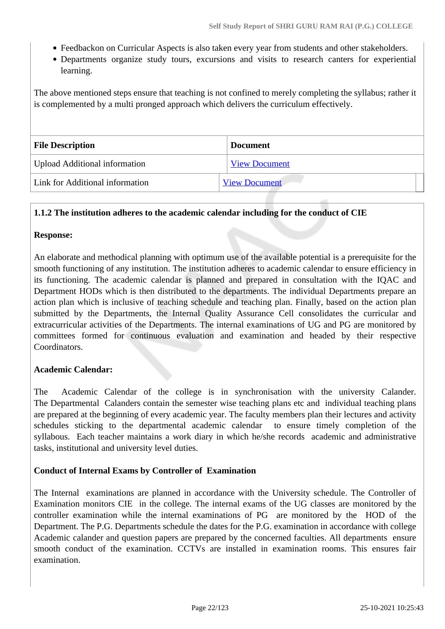- Feedbackon on Curricular Aspects is also taken every year from students and other stakeholders.
- Departments organize study tours, excursions and visits to research canters for experiential learning.

The above mentioned steps ensure that teaching is not confined to merely completing the syllabus; rather it is complemented by a multi pronged approach which delivers the curriculum effectively.

| <b>File Description</b>              | <b>Document</b>      |
|--------------------------------------|----------------------|
| <b>Upload Additional information</b> | <b>View Document</b> |
| Link for Additional information      | <b>View Document</b> |

#### **1.1.2 The institution adheres to the academic calendar including for the conduct of CIE**

#### **Response:**

An elaborate and methodical planning with optimum use of the available potential is a prerequisite for the smooth functioning of any institution. The institution adheres to academic calendar to ensure efficiency in its functioning. The academic calendar is planned and prepared in consultation with the IQAC and Department HODs which is then distributed to the departments. The individual Departments prepare an action plan which is inclusive of teaching schedule and teaching plan. Finally, based on the action plan submitted by the Departments, the Internal Quality Assurance Cell consolidates the curricular and extracurricular activities of the Departments. The internal examinations of UG and PG are monitored by committees formed for continuous evaluation and examination and headed by their respective Coordinators.

#### **Academic Calendar:**

The Academic Calendar of the college is in synchronisation with the university Calander. The Departmental Calanders contain the semester wise teaching plans etc and individual teaching plans are prepared at the beginning of every academic year. The faculty members plan their lectures and activity schedules sticking to the departmental academic calendar to ensure timely completion of the syllabous. Each teacher maintains a work diary in which he/she records academic and administrative tasks, institutional and university level duties.

#### **Conduct of Internal Exams by Controller of Examination**

The Internal examinations are planned in accordance with the University schedule. The Controller of Examination monitors CIE in the college. The internal exams of the UG classes are monitored by the controller examination while the internal examinations of PG are monitored by the HOD of the Department. The P.G. Departments schedule the dates for the P.G. examination in accordance with college Academic calander and question papers are prepared by the concerned faculties. All departments ensure smooth conduct of the examination. CCTVs are installed in examination rooms. This ensures fair examination.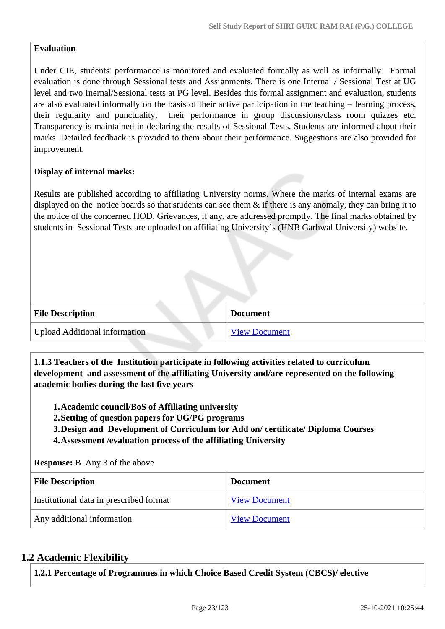### **Evaluation**

Under CIE, students' performance is monitored and evaluated formally as well as informally. Formal evaluation is done through Sessional tests and Assignments. There is one Internal / Sessional Test at UG level and two Inernal/Sessional tests at PG level. Besides this formal assignment and evaluation, students are also evaluated informally on the basis of their active participation in the teaching – learning process, their regularity and punctuality, their performance in group discussions/class room quizzes etc. Transparency is maintained in declaring the results of Sessional Tests. Students are informed about their marks. Detailed feedback is provided to them about their performance. Suggestions are also provided for improvement.

#### **Display of internal marks:**

Results are published according to affiliating University norms. Where the marks of internal exams are displayed on the notice boards so that students can see them  $\&$  if there is any anomaly, they can bring it to the notice of the concerned HOD. Grievances, if any, are addressed promptly. The final marks obtained by students in Sessional Tests are uploaded on affiliating University's (HNB Garhwal University) website.

| <b>File Description</b>              | <b>Document</b>      |
|--------------------------------------|----------------------|
| <b>Upload Additional information</b> | <b>View Document</b> |

 **1.1.3 Teachers of the Institution participate in following activities related to curriculum development and assessment of the affiliating University and/are represented on the following academic bodies during the last five years** 

**1.Academic council/BoS of Affiliating university**

**2.Setting of question papers for UG/PG programs** 

**3.Design and Development of Curriculum for Add on/ certificate/ Diploma Courses** 

**4.Assessment /evaluation process of the affiliating University**

**Response:** B. Any 3 of the above

| <b>File Description</b>                 | <b>Document</b>      |  |
|-----------------------------------------|----------------------|--|
| Institutional data in prescribed format | <b>View Document</b> |  |
| Any additional information              | <b>View Document</b> |  |

## **1.2 Academic Flexibility**

**1.2.1 Percentage of Programmes in which Choice Based Credit System (CBCS)/ elective**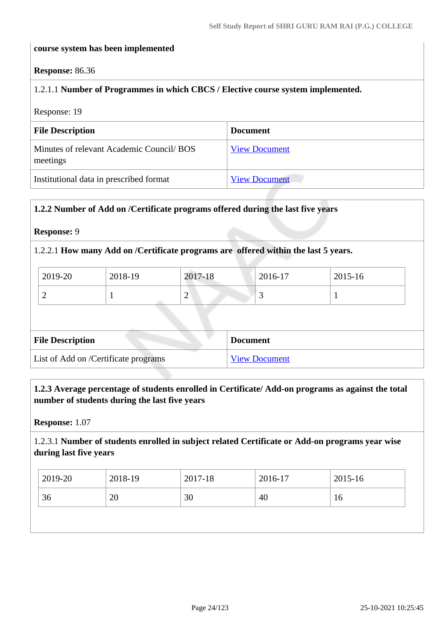#### **course system has been implemented**

#### **Response:** 86.36

#### 1.2.1.1 **Number of Programmes in which CBCS / Elective course system implemented.**

Response: 19

| <b>File Description</b>                               | <b>Document</b>      |
|-------------------------------------------------------|----------------------|
| Minutes of relevant Academic Council/ BOS<br>meetings | <b>View Document</b> |
| Institutional data in prescribed format               | <b>View Document</b> |

#### **1.2.2 Number of Add on /Certificate programs offered during the last five years**

#### **Response:** 9

#### 1.2.2.1 **How many Add on /Certificate programs are offered within the last 5 years.**

| 2019-20 | 2018-19 | 2017-18 | 2016-17  | 2015-16 |
|---------|---------|---------|----------|---------|
|         |         | ∼       | <u>ب</u> |         |

| <b>File Description</b>              | <b>Document</b>      |
|--------------------------------------|----------------------|
| List of Add on /Certificate programs | <b>View Document</b> |

#### **1.2.3 Average percentage of students enrolled in Certificate/ Add-on programs as against the total number of students during the last five years**

**Response:** 1.07

1.2.3.1 **Number of students enrolled in subject related Certificate or Add-on programs year wise during last five years**

| 2019-20 | 2018-19 | 2017-18 | 2016-17 | 2015-16 |
|---------|---------|---------|---------|---------|
| 36      | 20      | 30      | 40      | 10      |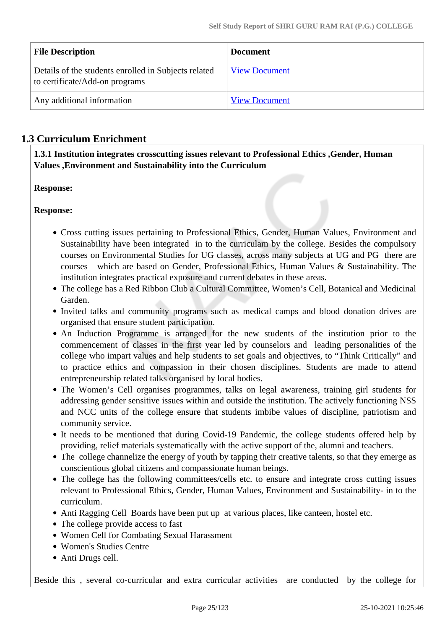| <b>File Description</b>                                                                | <b>Document</b>      |
|----------------------------------------------------------------------------------------|----------------------|
| Details of the students enrolled in Subjects related<br>to certificate/Add-on programs | <b>View Document</b> |
| Any additional information                                                             | <b>View Document</b> |

# **1.3 Curriculum Enrichment**

 **1.3.1 Institution integrates crosscutting issues relevant to Professional Ethics ,Gender, Human Values ,Environment and Sustainability into the Curriculum**

**Response:** 

**Response:** 

- Cross cutting issues pertaining to Professional Ethics, Gender, Human Values, Environment and Sustainability have been integrated in to the curriculam by the college. Besides the compulsory courses on Environmental Studies for UG classes, across many subjects at UG and PG there are courses which are based on Gender, Professional Ethics, Human Values & Sustainability. The institution integrates practical exposure and current debates in these areas.
- The college has a Red Ribbon Club a Cultural Committee, Women's Cell, Botanical and Medicinal Garden.
- Invited talks and community programs such as medical camps and blood donation drives are organised that ensure student participation.
- An Induction Programme is arranged for the new students of the institution prior to the commencement of classes in the first year led by counselors and leading personalities of the college who impart values and help students to set goals and objectives, to "Think Critically" and to practice ethics and compassion in their chosen disciplines. Students are made to attend entrepreneurship related talks organised by local bodies.
- The Women's Cell organises programmes, talks on legal awareness, training girl students for addressing gender sensitive issues within and outside the institution. The actively functioning NSS and NCC units of the college ensure that students imbibe values of discipline, patriotism and community service.
- It needs to be mentioned that during Covid-19 Pandemic, the college students offered help by providing, relief materials systematically with the active support of the, alumni and teachers.
- The college channelize the energy of youth by tapping their creative talents, so that they emerge as conscientious global citizens and compassionate human beings.
- The college has the following committees/cells etc. to ensure and integrate cross cutting issues relevant to Professional Ethics, Gender, Human Values, Environment and Sustainability- in to the curriculum.
- Anti Ragging Cell Boards have been put up at various places, like canteen, hostel etc.
- The college provide access to fast
- Women Cell for Combating Sexual Harassment
- Women's Studies Centre
- Anti Drugs cell.

Beside this , several co-curricular and extra curricular activities are conducted by the college for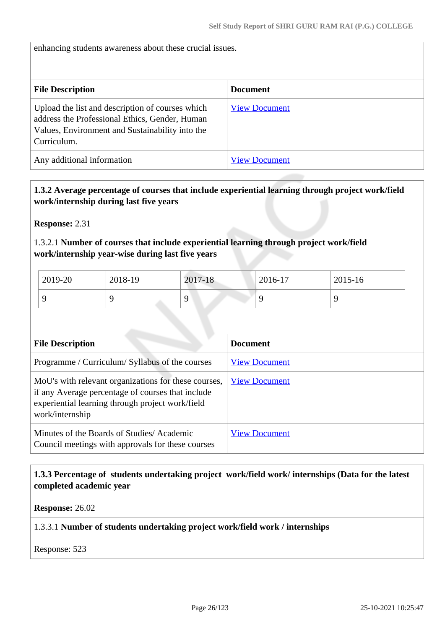enhancing students awareness about these crucial issues.

| <b>File Description</b>                                                                                                                                              | <b>Document</b>      |
|----------------------------------------------------------------------------------------------------------------------------------------------------------------------|----------------------|
| Upload the list and description of courses which<br>address the Professional Ethics, Gender, Human<br>Values, Environment and Sustainability into the<br>Curriculum. | <b>View Document</b> |
| Any additional information                                                                                                                                           | <b>View Document</b> |

#### **1.3.2 Average percentage of courses that include experiential learning through project work/field work/internship during last five years**

**Response:** 2.31

1.3.2.1 **Number of courses that include experiential learning through project work/field work/internship year-wise during last five years**

| $2019-20$ | 2018-19 | 2017-18 | 2016-17 | 2015-16 |
|-----------|---------|---------|---------|---------|
|           |         |         |         |         |

| <b>File Description</b>                                                                                                                                                          | <b>Document</b>      |
|----------------------------------------------------------------------------------------------------------------------------------------------------------------------------------|----------------------|
| Programme / Curriculum/ Syllabus of the courses                                                                                                                                  | <b>View Document</b> |
| MoU's with relevant organizations for these courses,<br>if any Average percentage of courses that include<br>experiential learning through project work/field<br>work/internship | <b>View Document</b> |
| Minutes of the Boards of Studies/Academic<br>Council meetings with approvals for these courses                                                                                   | <b>View Document</b> |

#### **1.3.3 Percentage of students undertaking project work/field work/ internships (Data for the latest completed academic year**

**Response:** 26.02

#### 1.3.3.1 **Number of students undertaking project work/field work / internships**

Response: 523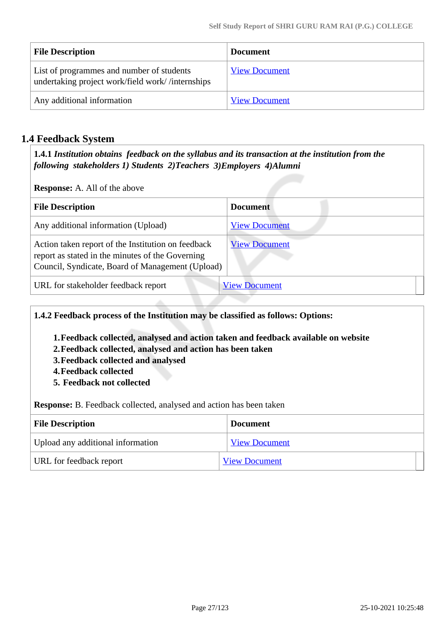| <b>File Description</b>                                                                       | <b>Document</b>      |
|-----------------------------------------------------------------------------------------------|----------------------|
| List of programmes and number of students<br>undertaking project work/field work//internships | <b>View Document</b> |
| Any additional information                                                                    | <b>View Document</b> |

## **1.4 Feedback System**

 **1.4.1** *Institution obtains feedback on the syllabus and its transaction at the institution from the following stakeholders 1) Students 2)Teachers 3)Employers 4)Alumni* 

**Response:** A. All of the above

| <b>File Description</b>                                                                                                                                    | <b>Document</b>      |
|------------------------------------------------------------------------------------------------------------------------------------------------------------|----------------------|
| Any additional information (Upload)                                                                                                                        | <b>View Document</b> |
| Action taken report of the Institution on feedback<br>report as stated in the minutes of the Governing<br>Council, Syndicate, Board of Management (Upload) | <b>View Document</b> |
| URL for stakeholder feedback report                                                                                                                        | <b>View Document</b> |

**1.4.2 Feedback process of the Institution may be classified as follows: Options:**

- **1.Feedback collected, analysed and action taken and feedback available on website**
- **2.Feedback collected, analysed and action has been taken**
- **3.Feedback collected and analysed**
- **4.Feedback collected**
- **5. Feedback not collected**

**Response:** B. Feedback collected, analysed and action has been taken

| <b>File Description</b>           | <b>Document</b>      |
|-----------------------------------|----------------------|
| Upload any additional information | <b>View Document</b> |
| URL for feedback report           | <b>View Document</b> |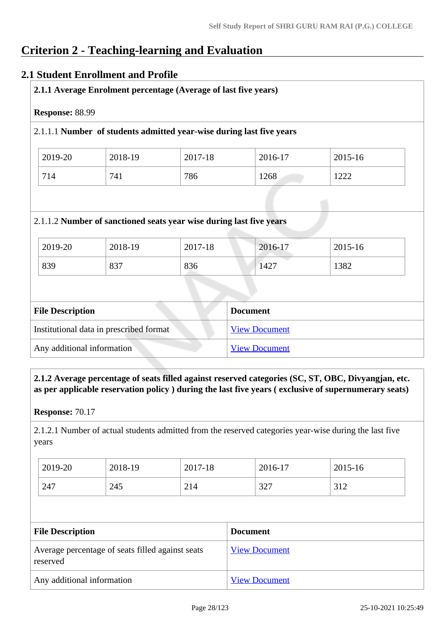# **Criterion 2 - Teaching-learning and Evaluation**

### **2.1 Student Enrollment and Profile**

| Response: 88.99 |         | 2.1.1.1 Number of students admitted year-wise during last five years |         |         |
|-----------------|---------|----------------------------------------------------------------------|---------|---------|
| 2019-20         | 2018-19 | 2017-18                                                              | 2016-17 | 2015-16 |
| 714             | 741     | 786                                                                  | 1268    | 1222    |
|                 |         | 2.1.1.2 Number of sanctioned seats year wise during last five years  |         |         |
| 2019-20         | 2018-19 | 2017-18                                                              | 2016-17 | 2015-16 |

| Institutional data in prescribed format | <b>View Document</b> |
|-----------------------------------------|----------------------|
| Any additional information              | <b>View Document</b> |

 **2.1.2 Average percentage of seats filled against reserved categories (SC, ST, OBC, Divyangjan, etc. as per applicable reservation policy ) during the last five years ( exclusive of supernumerary seats)**

**Response:** 70.17

2.1.2.1 Number of actual students admitted from the reserved categories year-wise during the last five years

| 2019-20 | 2018-19 | 2017-18 | 2016-17 | 2015-16 |
|---------|---------|---------|---------|---------|
| 247     | 245     | 214     | 327     | 312     |

| <b>File Description</b>                                      | <b>Document</b>      |
|--------------------------------------------------------------|----------------------|
| Average percentage of seats filled against seats<br>reserved | <b>View Document</b> |
| Any additional information                                   | <b>View Document</b> |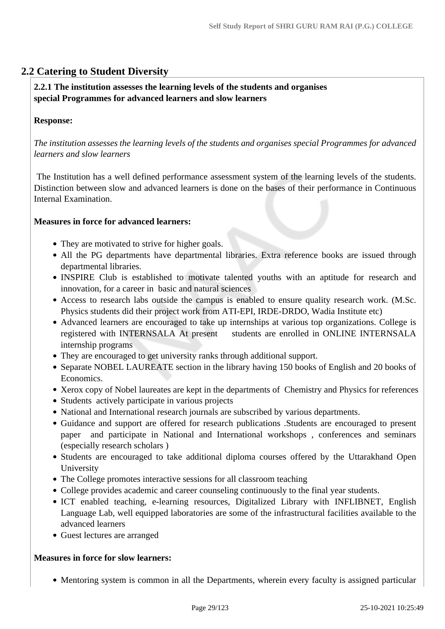## **2.2 Catering to Student Diversity**

#### **2.2.1 The institution assesses the learning levels of the students and organises special Programmes for advanced learners and slow learners**

#### **Response:**

*The institution assesses the learning levels of the students and organises special Programmes for advanced learners and slow learners*

 The Institution has a well defined performance assessment system of the learning levels of the students. Distinction between slow and advanced learners is done on the bases of their performance in Continuous Internal Examination.

#### **Measures in force for advanced learners:**

- They are motivated to strive for higher goals.
- All the PG departments have departmental libraries. Extra reference books are issued through departmental libraries.
- INSPIRE Club is established to motivate talented youths with an aptitude for research and innovation, for a career in basic and natural sciences
- Access to research labs outside the campus is enabled to ensure quality research work. (M.Sc. Physics students did their project work from ATI-EPI, IRDE-DRDO, Wadia Institute etc)
- Advanced learners are encouraged to take up internships at various top organizations. College is registered with INTERNSALA At present students are enrolled in ONLINE INTERNSALA internship programs
- They are encouraged to get university ranks through additional support.
- Separate NOBEL LAUREATE section in the library having 150 books of English and 20 books of Economics.
- Xerox copy of Nobel laureates are kept in the departments of Chemistry and Physics for references
- Students actively participate in various projects
- National and International research journals are subscribed by various departments.
- Guidance and support are offered for research publications .Students are encouraged to present paper and participate in National and International workshops , conferences and seminars (especially research scholars )
- Students are encouraged to take additional diploma courses offered by the Uttarakhand Open University
- The College promotes interactive sessions for all classroom teaching
- College provides academic and career counseling continuously to the final year students.
- ICT enabled teaching, e-learning resources, Digitalized Library with INFLIBNET, English Language Lab, well equipped laboratories are some of the infrastructural facilities available to the advanced learners
- Guest lectures are arranged

#### **Measures in force for slow learners:**

• Mentoring system is common in all the Departments, wherein every faculty is assigned particular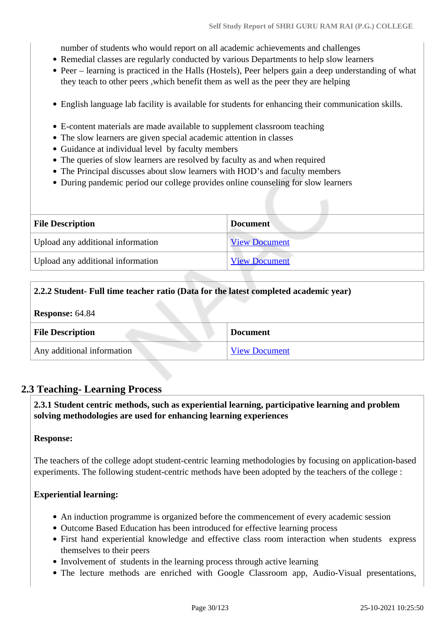number of students who would report on all academic achievements and challenges

- Remedial classes are regularly conducted by various Departments to help slow learners
- Peer learning is practiced in the Halls (Hostels), Peer helpers gain a deep understanding of what they teach to other peers ,which benefit them as well as the peer they are helping
- English language lab facility is available for students for enhancing their communication skills.
- E-content materials are made available to supplement classroom teaching
- The slow learners are given special academic attention in classes
- Guidance at individual level by faculty members
- The queries of slow learners are resolved by faculty as and when required
- The Principal discusses about slow learners with HOD's and faculty members
- During pandemic period our college provides online counseling for slow learners

| <b>File Description</b>           | <b>Document</b>      |
|-----------------------------------|----------------------|
| Upload any additional information | <b>View Document</b> |
| Upload any additional information | <b>View Document</b> |

#### **2.2.2 Student- Full time teacher ratio (Data for the latest completed academic year)**

| <b>Response: 64.84</b>     |                      |
|----------------------------|----------------------|
| <b>File Description</b>    | <b>Document</b>      |
| Any additional information | <b>View Document</b> |

## **2.3 Teaching- Learning Process**

 **2.3.1 Student centric methods, such as experiential learning, participative learning and problem solving methodologies are used for enhancing learning experiences**

#### **Response:**

The teachers of the college adopt student-centric learning methodologies by focusing on application-based experiments. The following student-centric methods have been adopted by the teachers of the college :

#### **Experiential learning:**

- An induction programme is organized before the commencement of every academic session
- Outcome Based Education has been introduced for effective learning process
- First hand experiential knowledge and effective class room interaction when students express themselves to their peers
- Involvement of students in the learning process through active learning
- The lecture methods are enriched with Google Classroom app, Audio-Visual presentations,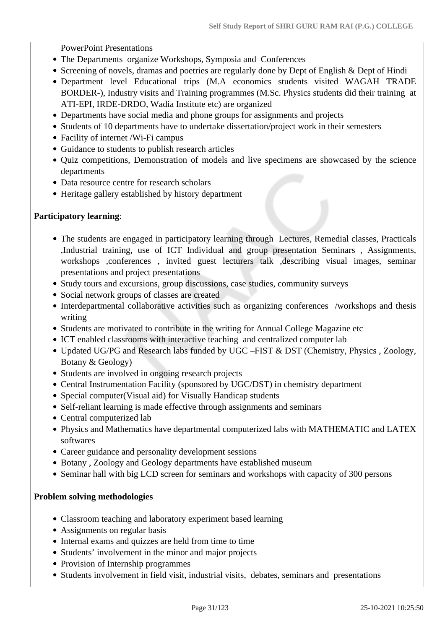PowerPoint Presentations

- The Departments organize Workshops, Symposia and Conferences
- Screening of novels, dramas and poetries are regularly done by Dept of English & Dept of Hindi
- Department level Educational trips (M.A economics students visited WAGAH TRADE BORDER-), Industry visits and Training programmes (M.Sc. Physics students did their training at ATI-EPI, IRDE-DRDO, Wadia Institute etc) are organized
- Departments have social media and phone groups for assignments and projects
- Students of 10 departments have to undertake dissertation/project work in their semesters
- Facility of internet /Wi-Fi campus
- Guidance to students to publish research articles
- Quiz competitions, Demonstration of models and live specimens are showcased by the science departments
- Data resource centre for research scholars
- Heritage gallery established by history department

#### **Participatory learning**:

- The students are engaged in participatory learning through Lectures, Remedial classes, Practicals ,Industrial training, use of ICT Individual and group presentation Seminars , Assignments, workshops ,conferences , invited guest lecturers talk ,describing visual images, seminar presentations and project presentations
- Study tours and excursions, group discussions, case studies, community surveys
- Social network groups of classes are created
- Interdepartmental collaborative activities such as organizing conferences /workshops and thesis writing
- Students are motivated to contribute in the writing for Annual College Magazine etc
- ICT enabled classrooms with interactive teaching and centralized computer lab
- Updated UG/PG and Research labs funded by UGC –FIST & DST (Chemistry, Physics, Zoology, Botany & Geology)
- Students are involved in ongoing research projects
- Central Instrumentation Facility (sponsored by UGC/DST) in chemistry department
- Special computer(Visual aid) for Visually Handicap students
- Self-reliant learning is made effective through assignments and seminars
- Central computerized lab
- Physics and Mathematics have departmental computerized labs with MATHEMATIC and LATEX softwares
- Career guidance and personality development sessions
- Botany , Zoology and Geology departments have established museum
- Seminar hall with big LCD screen for seminars and workshops with capacity of 300 persons

#### **Problem solving methodologies**

- Classroom teaching and laboratory experiment based learning
- Assignments on regular basis
- Internal exams and quizzes are held from time to time
- Students' involvement in the minor and major projects
- Provision of Internship programmes
- Students involvement in field visit, industrial visits, debates, seminars and presentations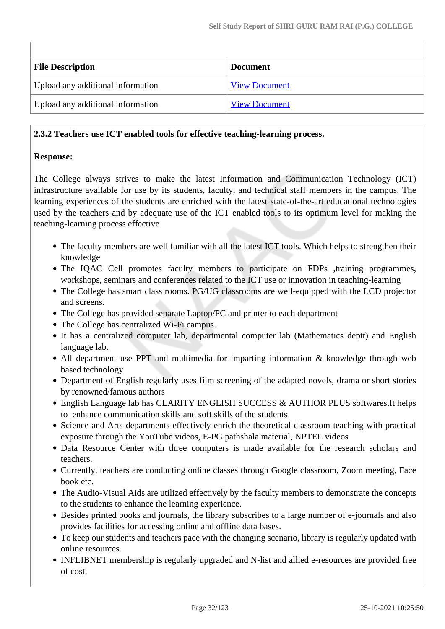| <b>File Description</b>           | <b>Document</b>      |
|-----------------------------------|----------------------|
| Upload any additional information | <b>View Document</b> |
| Upload any additional information | <b>View Document</b> |

#### **2.3.2 Teachers use ICT enabled tools for effective teaching-learning process.**

#### **Response:**

The College always strives to make the latest Information and Communication Technology (ICT) infrastructure available for use by its students, faculty, and technical staff members in the campus. The learning experiences of the students are enriched with the latest state-of-the-art educational technologies used by the teachers and by adequate use of the ICT enabled tools to its optimum level for making the teaching-learning process effective

- The faculty members are well familiar with all the latest ICT tools. Which helps to strengthen their knowledge
- The IQAC Cell promotes faculty members to participate on FDPs ,training programmes, workshops, seminars and conferences related to the ICT use or innovation in teaching-learning
- The College has smart class rooms. PG/UG classrooms are well-equipped with the LCD projector and screens.
- The College has provided separate Laptop/PC and printer to each department
- The College has centralized Wi-Fi campus.
- It has a centralized computer lab, departmental computer lab (Mathematics deptt) and English language lab.
- All department use PPT and multimedia for imparting information & knowledge through web based technology
- Department of English regularly uses film screening of the adapted novels, drama or short stories by renowned/famous authors
- English Language lab has CLARITY ENGLISH SUCCESS & AUTHOR PLUS softwares.It helps to enhance communication skills and soft skills of the students
- Science and Arts departments effectively enrich the theoretical classroom teaching with practical exposure through the YouTube videos, E-PG pathshala material, NPTEL videos
- Data Resource Center with three computers is made available for the research scholars and teachers.
- Currently, teachers are conducting online classes through Google classroom, Zoom meeting, Face book etc.
- The Audio-Visual Aids are utilized effectively by the faculty members to demonstrate the concepts to the students to enhance the learning experience.
- Besides printed books and journals, the library subscribes to a large number of e-journals and also provides facilities for accessing online and offline data bases.
- To keep our students and teachers pace with the changing scenario, library is regularly updated with online resources.
- INFLIBNET membership is regularly upgraded and N-list and allied e-resources are provided free of cost.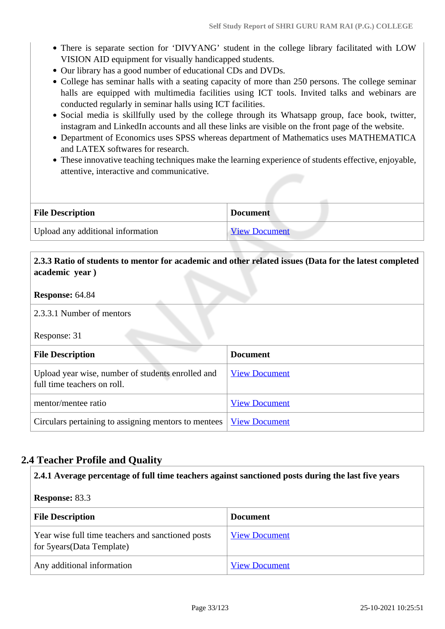- There is separate section for 'DIVYANG' student in the college library facilitated with LOW VISION AID equipment for visually handicapped students.
- Our library has a good number of educational CDs and DVDs.
- College has seminar halls with a seating capacity of more than 250 persons. The college seminar halls are equipped with multimedia facilities using ICT tools. Invited talks and webinars are conducted regularly in seminar halls using ICT facilities.
- Social media is skillfully used by the college through its Whatsapp group, face book, twitter, instagram and LinkedIn accounts and all these links are visible on the front page of the website.
- Department of Economics uses SPSS whereas department of Mathematics uses MATHEMATICA and LATEX softwares for research.
- These innovative teaching techniques make the learning experience of students effective, enjoyable, attentive, interactive and communicative.

| <b>File Description</b>           | <b>Document</b>      |
|-----------------------------------|----------------------|
| Upload any additional information | <b>View Document</b> |

### **2.3.3 Ratio of students to mentor for academic and other related issues (Data for the latest completed academic year )**

#### **Response:** 64.84

2.3.3.1 Number of mentors

Response: 31

| <b>File Description</b>                                                          | <b>Document</b>      |
|----------------------------------------------------------------------------------|----------------------|
| Upload year wise, number of students enrolled and<br>full time teachers on roll. | <b>View Document</b> |
| mentor/mentee ratio                                                              | <b>View Document</b> |
| Circulars pertaining to assigning mentors to mentees                             | <b>View Document</b> |

## **2.4 Teacher Profile and Quality**

#### **2.4.1 Average percentage of full time teachers against sanctioned posts during the last five years**

#### **Response:** 83.3

| <b>File Description</b>                                                          | <b>Document</b>      |
|----------------------------------------------------------------------------------|----------------------|
| Year wise full time teachers and sanctioned posts<br>for 5 years (Data Template) | <b>View Document</b> |
| Any additional information                                                       | <b>View Document</b> |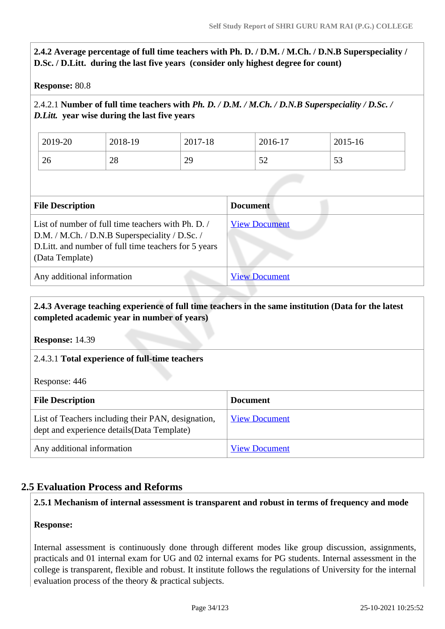## **2.4.2 Average percentage of full time teachers with Ph. D. / D.M. / M.Ch. / D.N.B Superspeciality / D.Sc. / D.Litt. during the last five years (consider only highest degree for count)**

#### **Response:** 80.8

### 2.4.2.1 **Number of full time teachers with** *Ph. D. / D.M. / M.Ch. / D.N.B Superspeciality / D.Sc. / D.Litt.* **year wise during the last five years**

| 2019-20 | 2018-19 | 2017-18 | 2016-17 | 2015-16 |
|---------|---------|---------|---------|---------|
| 26      | 28      | 29      | ے ب     | 53      |

| <b>File Description</b>                                                                                                                                                          | <b>Document</b>      |
|----------------------------------------------------------------------------------------------------------------------------------------------------------------------------------|----------------------|
| List of number of full time teachers with Ph. D. /<br>D.M. / M.Ch. / D.N.B Superspeciality / D.Sc. /<br>D. Litt. and number of full time teachers for 5 years<br>(Data Template) | <b>View Document</b> |
| Any additional information                                                                                                                                                       | <b>View Document</b> |

#### **2.4.3 Average teaching experience of full time teachers in the same institution (Data for the latest completed academic year in number of years)**

**Response:** 14.39

#### 2.4.3.1 **Total experience of full-time teachers**

Response: 446

| <b>File Description</b>                                                                           | <b>Document</b>      |
|---------------------------------------------------------------------------------------------------|----------------------|
| List of Teachers including their PAN, designation,<br>dept and experience details (Data Template) | <b>View Document</b> |
| Any additional information                                                                        | <b>View Document</b> |

### **2.5 Evaluation Process and Reforms**

#### **2.5.1 Mechanism of internal assessment is transparent and robust in terms of frequency and mode**

#### **Response:**

Internal assessment is continuously done through different modes like group discussion, assignments, practicals and 01 internal exam for UG and 02 internal exams for PG students. Internal assessment in the college is transparent, flexible and robust. It institute follows the regulations of University for the internal evaluation process of the theory & practical subjects.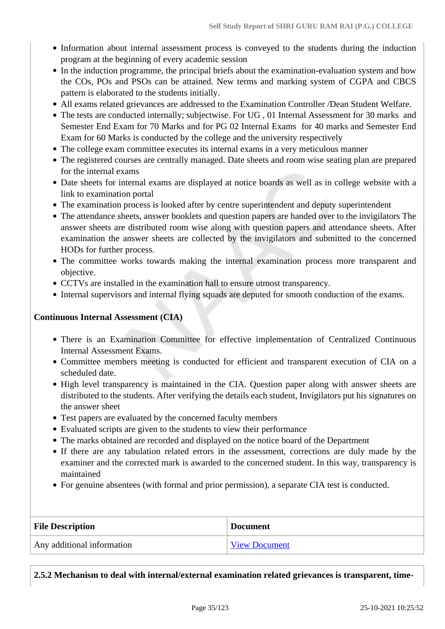- Information about internal assessment process is conveyed to the students during the induction program at the beginning of every academic session
- In the induction programme, the principal briefs about the examination-evaluation system and how the COs, POs and PSOs can be attained. New terms and marking system of CGPA and CBCS pattern is elaborated to the students initially.
- All exams related grievances are addressed to the Examination Controller /Dean Student Welfare.
- The tests are conducted internally; subjectwise. For UG , 01 Internal Assessment for 30 marks and Semester End Exam for 70 Marks and for PG 02 Internal Exams for 40 marks and Semester End Exam for 60 Marks is conducted by the college and the university respectively
- The college exam committee executes its internal exams in a very meticulous manner
- The registered courses are centrally managed. Date sheets and room wise seating plan are prepared for the internal exams
- Date sheets for internal exams are displayed at notice boards as well as in college website with a link to examination portal
- The examination process is looked after by centre superintendent and deputy superintendent
- The attendance sheets, answer booklets and question papers are handed over to the invigilators The answer sheets are distributed room wise along with question papers and attendance sheets. After examination the answer sheets are collected by the invigilators and submitted to the concerned HODs for further process.
- The committee works towards making the internal examination process more transparent and objective.
- CCTVs are installed in the examination hall to ensure utmost transparency.
- Internal supervisors and internal flying squads are deputed for smooth conduction of the exams.

#### **Continuous Internal Assessment (CIA)**

- There is an Examination Committee for effective implementation of Centralized Continuous Internal Assessment Exams.
- Committee members meeting is conducted for efficient and transparent execution of CIA on a scheduled date.
- High level transparency is maintained in the CIA. Question paper along with answer sheets are distributed to the students. After verifying the details each student, Invigilators put his signatures on the answer sheet
- Test papers are evaluated by the concerned faculty members
- Evaluated scripts are given to the students to view their performance
- The marks obtained are recorded and displayed on the notice board of the Department
- If there are any tabulation related errors in the assessment, corrections are duly made by the examiner and the corrected mark is awarded to the concerned student. In this way, transparency is maintained
- For genuine absentees (with formal and prior permission), a separate CIA test is conducted.

| <b>File Description</b>    | <b>Document</b>      |
|----------------------------|----------------------|
| Any additional information | <b>View Document</b> |

**2.5.2 Mechanism to deal with internal/external examination related grievances is transparent, time-**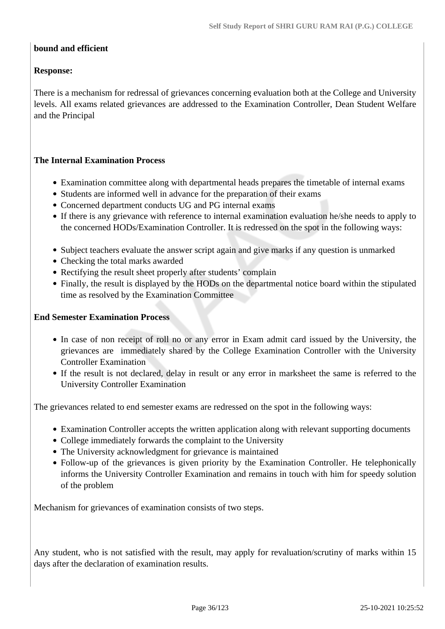#### **bound and efficient**

#### **Response:**

There is a mechanism for redressal of grievances concerning evaluation both at the College and University levels. All exams related grievances are addressed to the Examination Controller, Dean Student Welfare and the Principal

#### **The Internal Examination Process**

- Examination committee along with departmental heads prepares the timetable of internal exams
- Students are informed well in advance for the preparation of their exams
- Concerned department conducts UG and PG internal exams
- If there is any grievance with reference to internal examination evaluation he/she needs to apply to the concerned HODs/Examination Controller. It is redressed on the spot in the following ways:
- Subject teachers evaluate the answer script again and give marks if any question is unmarked
- Checking the total marks awarded
- Rectifying the result sheet properly after students' complain
- Finally, the result is displayed by the HODs on the departmental notice board within the stipulated time as resolved by the Examination Committee

#### **End Semester Examination Process**

- In case of non receipt of roll no or any error in Exam admit card issued by the University, the grievances are immediately shared by the College Examination Controller with the University Controller Examination
- If the result is not declared, delay in result or any error in marksheet the same is referred to the University Controller Examination

The grievances related to end semester exams are redressed on the spot in the following ways:

- Examination Controller accepts the written application along with relevant supporting documents
- College immediately forwards the complaint to the University
- The University acknowledgment for grievance is maintained
- Follow-up of the grievances is given priority by the Examination Controller. He telephonically informs the University Controller Examination and remains in touch with him for speedy solution of the problem

Mechanism for grievances of examination consists of two steps.

Any student, who is not satisfied with the result, may apply for revaluation/scrutiny of marks within 15 days after the declaration of examination results.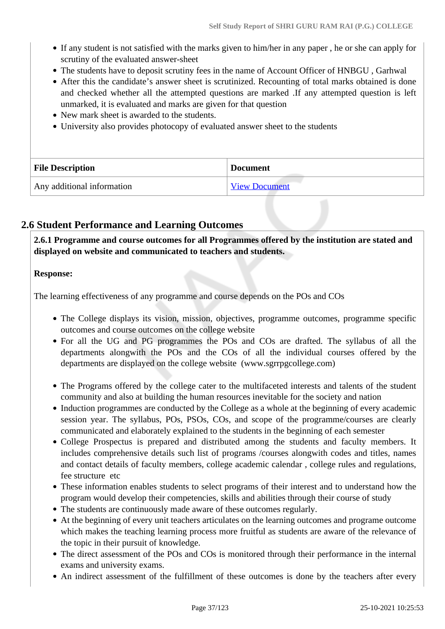- If any student is not satisfied with the marks given to him/her in any paper , he or she can apply for scrutiny of the evaluated answer-sheet
- The students have to deposit scrutiny fees in the name of Account Officer of HNBGU , Garhwal
- After this the candidate's answer sheet is scrutinized. Recounting of total marks obtained is done and checked whether all the attempted questions are marked .If any attempted question is left unmarked, it is evaluated and marks are given for that question
- New mark sheet is awarded to the students.
- University also provides photocopy of evaluated answer sheet to the students

| <b>File Description</b>    | <b>Document</b>      |
|----------------------------|----------------------|
| Any additional information | <b>View Document</b> |

# **2.6 Student Performance and Learning Outcomes**

 **2.6.1 Programme and course outcomes for all Programmes offered by the institution are stated and displayed on website and communicated to teachers and students.**

### **Response:**

The learning effectiveness of any programme and course depends on the POs and COs

- The College displays its vision, mission, objectives, programme outcomes, programme specific outcomes and course outcomes on the college website
- For all the UG and PG programmes the POs and COs are drafted. The syllabus of all the departments alongwith the POs and the COs of all the individual courses offered by the departments are displayed on the college website (www.sgrrpgcollege.com)
- The Programs offered by the college cater to the multifaceted interests and talents of the student community and also at building the human resources inevitable for the society and nation
- Induction programmes are conducted by the College as a whole at the beginning of every academic session year. The syllabus, POs, PSOs, COs, and scope of the programme/courses are clearly communicated and elaborately explained to the students in the beginning of each semester
- College Prospectus is prepared and distributed among the students and faculty members. It includes comprehensive details such list of programs /courses alongwith codes and titles, names and contact details of faculty members, college academic calendar , college rules and regulations, fee structure etc
- These information enables students to select programs of their interest and to understand how the program would develop their competencies, skills and abilities through their course of study
- The students are continuously made aware of these outcomes regularly.
- At the beginning of every unit teachers articulates on the learning outcomes and programe outcome which makes the teaching learning process more fruitful as students are aware of the relevance of the topic in their pursuit of knowledge.
- The direct assessment of the POs and COs is monitored through their performance in the internal exams and university exams.
- An indirect assessment of the fulfillment of these outcomes is done by the teachers after every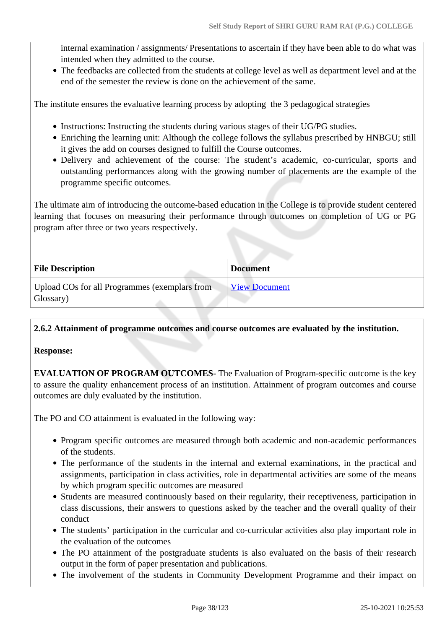internal examination / assignments/ Presentations to ascertain if they have been able to do what was intended when they admitted to the course.

The feedbacks are collected from the students at college level as well as department level and at the end of the semester the review is done on the achievement of the same.

The institute ensures the evaluative learning process by adopting the 3 pedagogical strategies

- Instructions: Instructing the students during various stages of their UG/PG studies.
- Enriching the learning unit: Although the college follows the syllabus prescribed by HNBGU; still it gives the add on courses designed to fulfill the Course outcomes.
- Delivery and achievement of the course: The student's academic, co-curricular, sports and outstanding performances along with the growing number of placements are the example of the programme specific outcomes.

The ultimate aim of introducing the outcome-based education in the College is to provide student centered learning that focuses on measuring their performance through outcomes on completion of UG or PG program after three or two years respectively.

| <b>File Description</b>                                    | <b>Document</b>      |
|------------------------------------------------------------|----------------------|
| Upload COs for all Programmes (exemplars from<br>Glossary) | <b>View Document</b> |

**2.6.2 Attainment of programme outcomes and course outcomes are evaluated by the institution.**

### **Response:**

**EVALUATION OF PROGRAM OUTCOMES-** The Evaluation of Program-specific outcome is the key to assure the quality enhancement process of an institution. Attainment of program outcomes and course outcomes are duly evaluated by the institution.

The PO and CO attainment is evaluated in the following way:

- Program specific outcomes are measured through both academic and non-academic performances of the students.
- The performance of the students in the internal and external examinations, in the practical and assignments, participation in class activities, role in departmental activities are some of the means by which program specific outcomes are measured
- Students are measured continuously based on their regularity, their receptiveness, participation in class discussions, their answers to questions asked by the teacher and the overall quality of their conduct
- The students' participation in the curricular and co-curricular activities also play important role in the evaluation of the outcomes
- The PO attainment of the postgraduate students is also evaluated on the basis of their research output in the form of paper presentation and publications.
- The involvement of the students in Community Development Programme and their impact on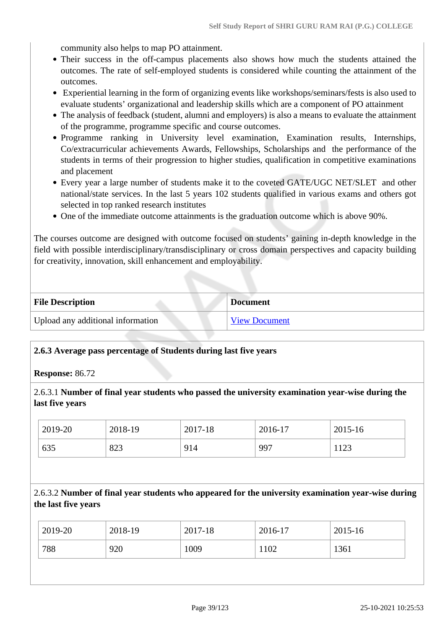community also helps to map PO attainment.

- Their success in the off-campus placements also shows how much the students attained the outcomes. The rate of self-employed students is considered while counting the attainment of the outcomes.
- Experiential learning in the form of organizing events like workshops/seminars/fests is also used to evaluate students' organizational and leadership skills which are a component of PO attainment
- The analysis of feedback (student, alumni and employers) is also a means to evaluate the attainment of the programme, programme specific and course outcomes.
- Programme ranking in University level examination, Examination results, Internships, Co/extracurricular achievements Awards, Fellowships, Scholarships and the performance of the students in terms of their progression to higher studies, qualification in competitive examinations and placement
- Every year a large number of students make it to the coveted GATE/UGC NET/SLET and other national/state services. In the last 5 years 102 students qualified in various exams and others got selected in top ranked research institutes
- One of the immediate outcome attainments is the graduation outcome which is above 90%.

The courses outcome are designed with outcome focused on students' gaining in-depth knowledge in the field with possible interdisciplinary/transdisciplinary or cross domain perspectives and capacity building for creativity, innovation, skill enhancement and employability.

| <b>File Description</b>           | <b>Document</b>      |
|-----------------------------------|----------------------|
| Upload any additional information | <b>View Document</b> |

### **2.6.3 Average pass percentage of Students during last five years**

**Response:** 86.72

2.6.3.1 **Number of final year students who passed the university examination year-wise during the last five years**

| 2019-20 | 2018-19 | 2017-18 | 2016-17 | 2015-16 |
|---------|---------|---------|---------|---------|
| 635     | 823     | 914     | 997     | 1123    |

# 2.6.3.2 **Number of final year students who appeared for the university examination year-wise during the last five years**

| 2019-20 | 2018-19 | 2017-18 | 2016-17 | 2015-16 |
|---------|---------|---------|---------|---------|
| 788     | 920     | 1009    | 1102    | 1361    |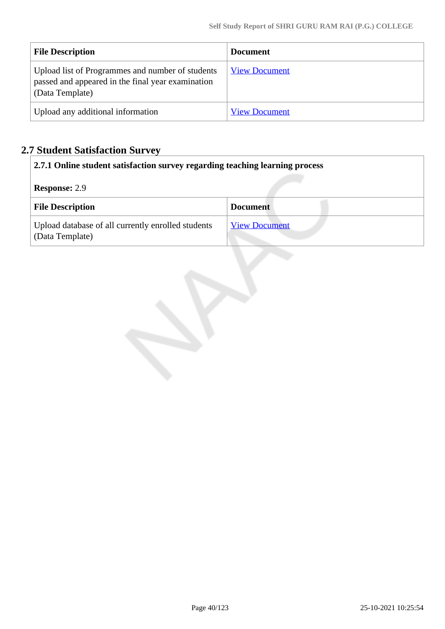| <b>File Description</b>                                                                                                  | <b>Document</b>      |
|--------------------------------------------------------------------------------------------------------------------------|----------------------|
| Upload list of Programmes and number of students<br>passed and appeared in the final year examination<br>(Data Template) | <b>View Document</b> |
| Upload any additional information                                                                                        | <b>View Document</b> |

# **2.7 Student Satisfaction Survey**

|                      | 2.7.1 Online student satisfaction survey regarding teaching learning process |                      |  |  |
|----------------------|------------------------------------------------------------------------------|----------------------|--|--|
| <b>Response: 2.9</b> |                                                                              |                      |  |  |
|                      | <b>File Description</b>                                                      | <b>Document</b>      |  |  |
|                      | Upload database of all currently enrolled students<br>(Data Template)        | <b>View Document</b> |  |  |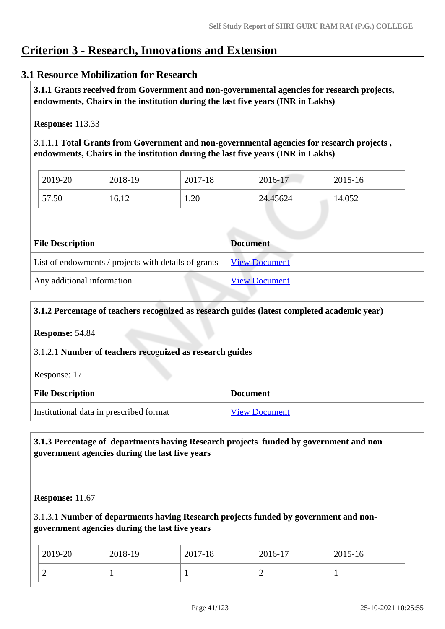# **Criterion 3 - Research, Innovations and Extension**

# **3.1 Resource Mobilization for Research**

 **3.1.1 Grants received from Government and non-governmental agencies for research projects, endowments, Chairs in the institution during the last five years (INR in Lakhs)** 

**Response:** 113.33

3.1.1.1 **Total Grants from Government and non-governmental agencies for research projects , endowments, Chairs in the institution during the last five years (INR in Lakhs)**

| 2019-20 | 2018-19 | 2017-18 | 2016-17  | 2015-16 |
|---------|---------|---------|----------|---------|
| 57.50   | 16.12   | 1.20    | 24.45624 | 14.052  |

| <b>File Description</b>                              | <b>Document</b>      |
|------------------------------------------------------|----------------------|
| List of endowments / projects with details of grants | <b>View Document</b> |
| Any additional information                           | <b>View Document</b> |

### **3.1.2 Percentage of teachers recognized as research guides (latest completed academic year)**

**Response:** 54.84

3.1.2.1 **Number of teachers recognized as research guides**

Response: 17

| <b>File Description</b>                 | <b>Document</b>      |
|-----------------------------------------|----------------------|
| Institutional data in prescribed format | <b>View Document</b> |

# **3.1.3 Percentage of departments having Research projects funded by government and non government agencies during the last five years**

**Response:** 11.67

3.1.3.1 **Number of departments having Research projects funded by government and nongovernment agencies during the last five years**

| 2019-20 | 2018-19 | 2017-18 | 2016-17 | 2015-16 |
|---------|---------|---------|---------|---------|
| ∽       |         |         | ∼       |         |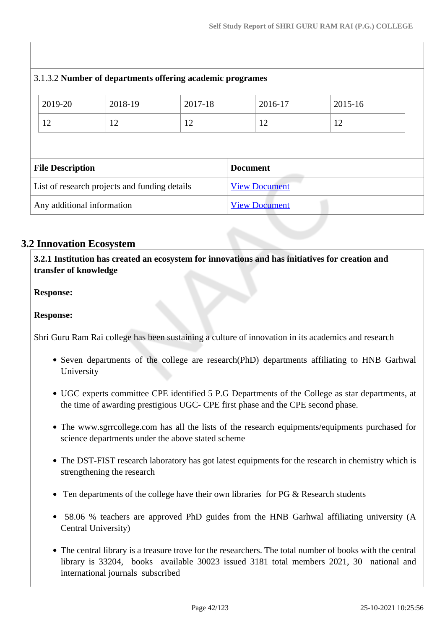| 3.1.3.2 Number of departments offering academic programes |                                               |         |         |                      |         |  |
|-----------------------------------------------------------|-----------------------------------------------|---------|---------|----------------------|---------|--|
|                                                           | 2019-20                                       | 2018-19 | 2017-18 | 2016-17              | 2015-16 |  |
|                                                           | 12                                            | 12      | 12      | 12                   | 12      |  |
|                                                           | <b>File Description</b>                       |         |         | <b>Document</b>      |         |  |
|                                                           | List of research projects and funding details |         |         | <b>View Document</b> |         |  |
|                                                           | Any additional information                    |         |         | <b>View Document</b> |         |  |

# **3.2 Innovation Ecosystem**

 **3.2.1 Institution has created an ecosystem for innovations and has initiatives for creation and transfer of knowledge**

**Response:** 

**Response:** 

Shri Guru Ram Rai college has been sustaining a culture of innovation in its academics and research

- Seven departments of the college are research(PhD) departments affiliating to HNB Garhwal University
- UGC experts committee CPE identified 5 P.G Departments of the College as star departments, at the time of awarding prestigious UGC- CPE first phase and the CPE second phase.
- The www.sgrrcollege.com has all the lists of the research equipments/equipments purchased for science departments under the above stated scheme
- The DST-FIST research laboratory has got latest equipments for the research in chemistry which is strengthening the research
- Ten departments of the college have their own libraries for PG & Research students
- 58.06 % teachers are approved PhD guides from the HNB Garhwal affiliating university (A Central University)
- The central library is a treasure trove for the researchers. The total number of books with the central library is 33204, books available 30023 issued 3181 total members 2021, 30 national and international journals subscribed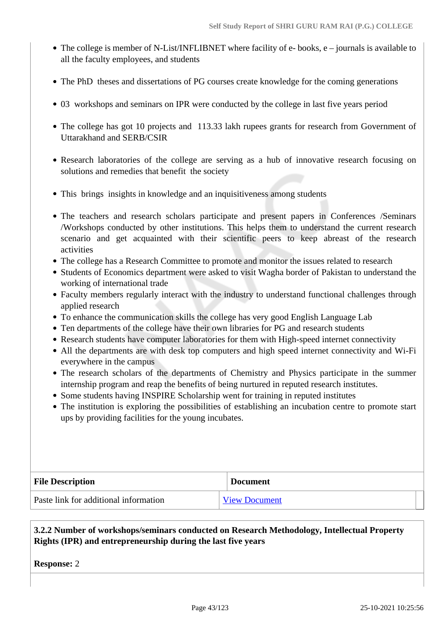- The college is member of N-List/INFLIBNET where facility of e- books, e journals is available to all the faculty employees, and students
- The PhD theses and dissertations of PG courses create knowledge for the coming generations
- 03 workshops and seminars on IPR were conducted by the college in last five years period
- The college has got 10 projects and 113.33 lakh rupees grants for research from Government of Uttarakhand and SERB/CSIR
- Research laboratories of the college are serving as a hub of innovative research focusing on solutions and remedies that benefit the society
- This brings insights in knowledge and an inquisitiveness among students
- The teachers and research scholars participate and present papers in Conferences /Seminars /Workshops conducted by other institutions. This helps them to understand the current research scenario and get acquainted with their scientific peers to keep abreast of the research activities
- The college has a Research Committee to promote and monitor the issues related to research
- Students of Economics department were asked to visit Wagha border of Pakistan to understand the working of international trade
- Faculty members regularly interact with the industry to understand functional challenges through applied research
- To enhance the communication skills the college has very good English Language Lab
- Ten departments of the college have their own libraries for PG and research students
- Research students have computer laboratories for them with High-speed internet connectivity
- All the departments are with desk top computers and high speed internet connectivity and Wi-Fi everywhere in the campus
- The research scholars of the departments of Chemistry and Physics participate in the summer internship program and reap the benefits of being nurtured in reputed research institutes.
- Some students having INSPIRE Scholarship went for training in reputed institutes
- The institution is exploring the possibilities of establishing an incubation centre to promote start ups by providing facilities for the young incubates.

| <b>File Description</b>               | <b>Document</b>      |  |
|---------------------------------------|----------------------|--|
| Paste link for additional information | <b>View Document</b> |  |

### **3.2.2 Number of workshops/seminars conducted on Research Methodology, Intellectual Property Rights (IPR) and entrepreneurship during the last five years**

**Response:** 2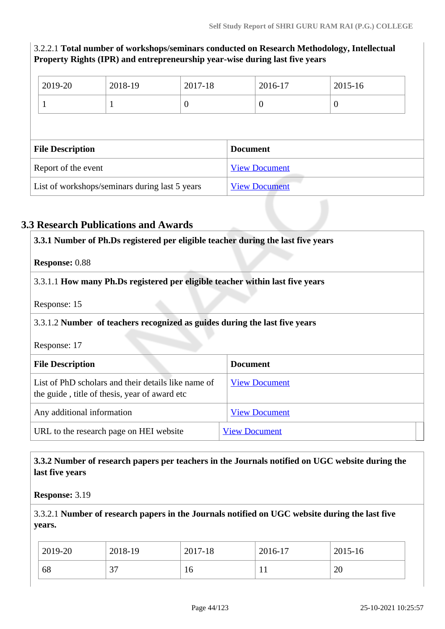# 3.2.2.1 **Total number of workshops/seminars conducted on Research Methodology, Intellectual Property Rights (IPR) and entrepreneurship year-wise during last five years**

| 2019-20                                        | 2018-19 | 2017-18         |                      | 2016-17  | 2015-16          |
|------------------------------------------------|---------|-----------------|----------------------|----------|------------------|
|                                                | Л       | $\overline{0}$  |                      | $\theta$ | $\boldsymbol{0}$ |
|                                                |         |                 |                      |          |                  |
| <b>File Description</b>                        |         | <b>Document</b> |                      |          |                  |
| Report of the event                            |         |                 | <b>View Document</b> |          |                  |
| List of workshops/seminars during last 5 years |         |                 | <b>View Document</b> |          |                  |

# **3.3 Research Publications and Awards**

| 3.3.1 Number of Ph.Ds registered per eligible teacher during the last five years                     |                      |  |  |
|------------------------------------------------------------------------------------------------------|----------------------|--|--|
| <b>Response: 0.88</b>                                                                                |                      |  |  |
| 3.3.1.1 How many Ph.Ds registered per eligible teacher within last five years                        |                      |  |  |
| Response: 15                                                                                         |                      |  |  |
| 3.3.1.2 Number of teachers recognized as guides during the last five years                           |                      |  |  |
| Response: 17                                                                                         |                      |  |  |
| <b>File Description</b>                                                                              | <b>Document</b>      |  |  |
| List of PhD scholars and their details like name of<br>the guide, title of thesis, year of award etc | <b>View Document</b> |  |  |
| Any additional information                                                                           | <b>View Document</b> |  |  |
| URL to the research page on HEI website                                                              | <b>View Document</b> |  |  |

### **3.3.2 Number of research papers per teachers in the Journals notified on UGC website during the last five years**

**Response:** 3.19

# 3.3.2.1 **Number of research papers in the Journals notified on UGC website during the last five years.**

| 2019-20 | 2018-19     | 2017-18 | 2016-17 | 2015-16  |
|---------|-------------|---------|---------|----------|
| 68      | $\sim$<br>◡ | 10      | . .     | ററ<br>∠∪ |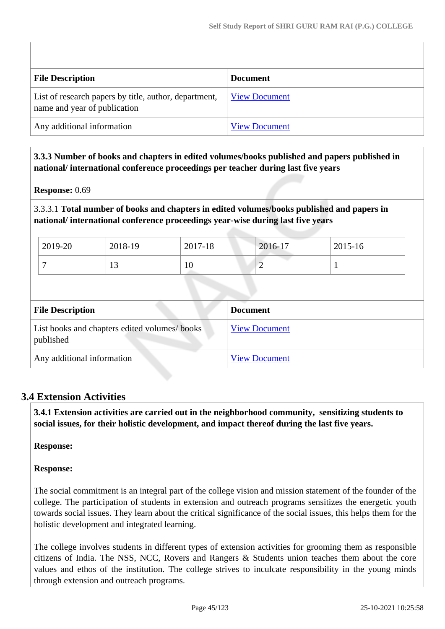| <b>File Description</b>                                                               | <b>Document</b>      |
|---------------------------------------------------------------------------------------|----------------------|
| List of research papers by title, author, department,<br>name and year of publication | <b>View Document</b> |
| Any additional information                                                            | <b>View Document</b> |

 **3.3.3 Number of books and chapters in edited volumes/books published and papers published in national/ international conference proceedings per teacher during last five years**

### **Response:** 0.69

3.3.3.1 **Total number of books and chapters in edited volumes/books published and papers in national/ international conference proceedings year-wise during last five years**

| 2019-20 | 2018-19 | 2017-18 | 2016-17 | 2015-16 |
|---------|---------|---------|---------|---------|
|         |         | 10      | ∸       |         |

| <b>File Description</b>                                    | <b>Document</b>      |
|------------------------------------------------------------|----------------------|
| List books and chapters edited volumes/ books<br>published | <b>View Document</b> |
| Any additional information                                 | <b>View Document</b> |

### **3.4 Extension Activities**

 **3.4.1 Extension activities are carried out in the neighborhood community, sensitizing students to social issues, for their holistic development, and impact thereof during the last five years.**

### **Response:**

### **Response:**

The social commitment is an integral part of the college vision and mission statement of the founder of the college. The participation of students in extension and outreach programs sensitizes the energetic youth towards social issues. They learn about the critical significance of the social issues, this helps them for the holistic development and integrated learning.

The college involves students in different types of extension activities for grooming them as responsible citizens of India. The NSS, NCC, Rovers and Rangers & Students union teaches them about the core values and ethos of the institution. The college strives to inculcate responsibility in the young minds through extension and outreach programs.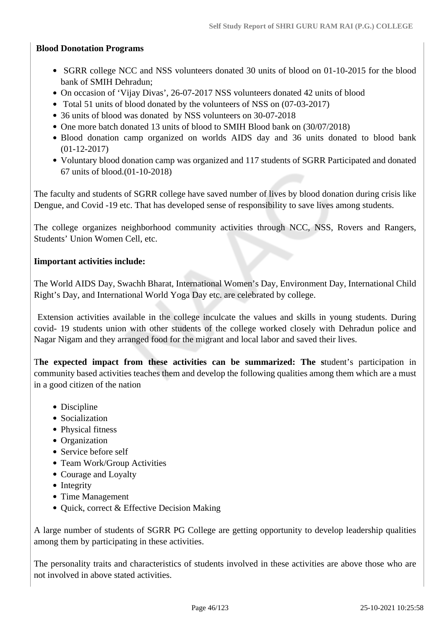### **Blood Donotation Programs**

- SGRR college NCC and NSS volunteers donated 30 units of blood on 01-10-2015 for the blood bank of SMIH Dehradun;
- On occasion of 'Vijay Divas', 26-07-2017 NSS volunteers donated 42 units of blood
- Total 51 units of blood donated by the volunteers of NSS on (07-03-2017)
- 36 units of blood was donated by NSS volunteers on 30-07-2018
- One more batch donated 13 units of blood to SMIH Blood bank on (30/07/2018)
- Blood donation camp organized on worlds AIDS day and 36 units donated to blood bank (01-12-2017)
- Voluntary blood donation camp was organized and 117 students of SGRR Participated and donated 67 units of blood.(01-10-2018)

The faculty and students of SGRR college have saved number of lives by blood donation during crisis like Dengue, and Covid -19 etc. That has developed sense of responsibility to save lives among students.

The college organizes neighborhood community activities through NCC, NSS, Rovers and Rangers, Students' Union Women Cell, etc.

### **Iimportant activities include:**

The World AIDS Day, Swachh Bharat, International Women's Day, Environment Day, International Child Right's Day, and International World Yoga Day etc. are celebrated by college.

 Extension activities available in the college inculcate the values and skills in young students. During covid- 19 students union with other students of the college worked closely with Dehradun police and Nagar Nigam and they arranged food for the migrant and local labor and saved their lives.

T**he expected impact from these activities can be summarized: The s**tudent's participation in community based activities teaches them and develop the following qualities among them which are a must in a good citizen of the nation

- Discipline
- Socialization
- Physical fitness
- Organization
- Service before self
- Team Work/Group Activities
- Courage and Loyalty
- Integrity
- Time Management
- Quick, correct & Effective Decision Making

A large number of students of SGRR PG College are getting opportunity to develop leadership qualities among them by participating in these activities.

The personality traits and characteristics of students involved in these activities are above those who are not involved in above stated activities.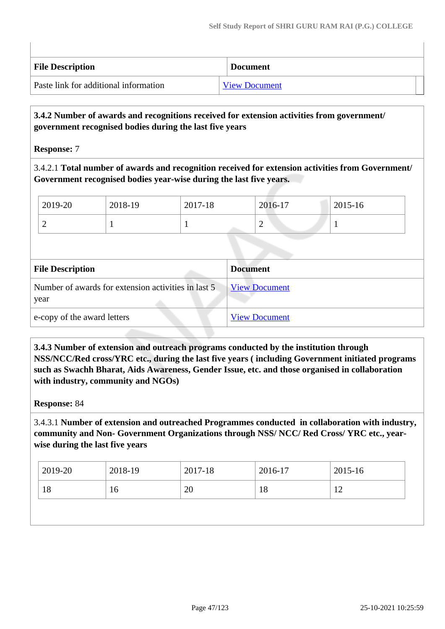| <b>File Description</b>               | <b>Document</b>      |
|---------------------------------------|----------------------|
| Paste link for additional information | <b>View Document</b> |

### **3.4.2 Number of awards and recognitions received for extension activities from government/ government recognised bodies during the last five years**

**Response:** 7

3.4.2.1 **Total number of awards and recognition received for extension activities from Government/ Government recognised bodies year-wise during the last five years.**

| 2019-20 | 2018-19 | 2017-18 | 2016-17 | 2015-16 |
|---------|---------|---------|---------|---------|
| ∽       |         |         | ∸       | л.      |

| <b>File Description</b>                                     | <b>Document</b>      |
|-------------------------------------------------------------|----------------------|
| Number of awards for extension activities in last 5<br>year | <b>View Document</b> |
| e-copy of the award letters                                 | <b>View Document</b> |

 **3.4.3 Number of extension and outreach programs conducted by the institution through NSS/NCC/Red cross/YRC etc., during the last five years ( including Government initiated programs such as Swachh Bharat, Aids Awareness, Gender Issue, etc. and those organised in collaboration with industry, community and NGOs)**

**Response:** 84

3.4.3.1 **Number of extension and outreached Programmes conducted in collaboration with industry, community and Non- Government Organizations through NSS/ NCC/ Red Cross/ YRC etc., yearwise during the last five years**

| $ 2019-20 $ | 2018-19 | 2017-18 | 2016-17 | 2015-16 |
|-------------|---------|---------|---------|---------|
| 18<br>16    |         | 20      | 18      | 12      |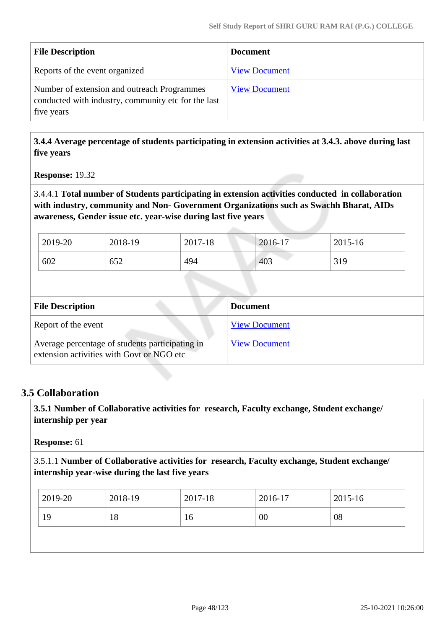| <b>File Description</b>                                                                                          | <b>Document</b>      |
|------------------------------------------------------------------------------------------------------------------|----------------------|
| Reports of the event organized                                                                                   | <b>View Document</b> |
| Number of extension and outreach Programmes<br>conducted with industry, community etc for the last<br>five years | <b>View Document</b> |

 **3.4.4 Average percentage of students participating in extension activities at 3.4.3. above during last five years**

**Response:** 19.32

3.4.4.1 **Total number of Students participating in extension activities conducted in collaboration with industry, community and Non- Government Organizations such as Swachh Bharat, AIDs awareness, Gender issue etc. year-wise during last five years**

| 2019-20 | 2018-19 | 2017-18 | 2016-17 | 2015-16 |
|---------|---------|---------|---------|---------|
| 602     | 652     | 494     | 403     | 319     |

| <b>File Description</b>                                                                      | <b>Document</b>      |
|----------------------------------------------------------------------------------------------|----------------------|
| Report of the event                                                                          | <b>View Document</b> |
| Average percentage of students participating in<br>extension activities with Govt or NGO etc | <b>View Document</b> |

# **3.5 Collaboration**

 **3.5.1 Number of Collaborative activities for research, Faculty exchange, Student exchange/ internship per year**

**Response:** 61

3.5.1.1 **Number of Collaborative activities for research, Faculty exchange, Student exchange/ internship year-wise during the last five years**

| 2019-20<br>2018-19<br>2017-18<br>2016-17 | 2015-16 |
|------------------------------------------|---------|
| 00<br>19<br>18<br>16                     | 08      |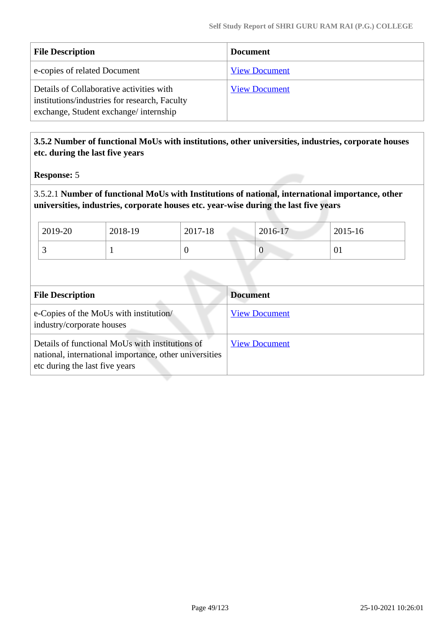| <b>File Description</b>                                                                                                            | <b>Document</b>      |
|------------------------------------------------------------------------------------------------------------------------------------|----------------------|
| e-copies of related Document                                                                                                       | <b>View Document</b> |
| Details of Collaborative activities with<br>institutions/industries for research, Faculty<br>exchange, Student exchange/internship | <b>View Document</b> |

# **3.5.2 Number of functional MoUs with institutions, other universities, industries, corporate houses etc. during the last five years**

### **Response:** 5

3.5.2.1 **Number of functional MoUs with Institutions of national, international importance, other universities, industries, corporate houses etc. year-wise during the last five years**

| $12019-20$ | 2018-19 | 2017-18 | 2016-17 | 2015-16 |
|------------|---------|---------|---------|---------|
| . .        |         | ν       | U       | 01      |

| <b>File Description</b>                                                                                                                     | <b>Document</b>      |
|---------------------------------------------------------------------------------------------------------------------------------------------|----------------------|
| e-Copies of the MoUs with institution/<br>industry/corporate houses                                                                         | <b>View Document</b> |
| Details of functional MoUs with institutions of<br>national, international importance, other universities<br>etc during the last five years | <b>View Document</b> |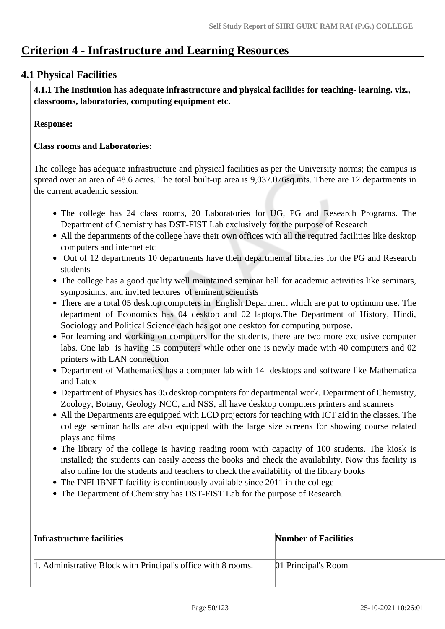# **Criterion 4 - Infrastructure and Learning Resources**

# **4.1 Physical Facilities**

 **4.1.1 The Institution has adequate infrastructure and physical facilities for teaching- learning. viz., classrooms, laboratories, computing equipment etc.** 

### **Response:**

### **Class rooms and Laboratories:**

The college has adequate infrastructure and physical facilities as per the University norms; the campus is spread over an area of 48.6 acres. The total built-up area is 9,037.076sq.mts. There are 12 departments in the current academic session.

- The college has 24 class rooms, 20 Laboratories for UG, PG and Research Programs. The Department of Chemistry has DST-FIST Lab exclusively for the purpose of Research
- All the departments of the college have their own offices with all the required facilities like desktop computers and internet etc
- Out of 12 departments 10 departments have their departmental libraries for the PG and Research students
- The college has a good quality well maintained seminar hall for academic activities like seminars, symposiums, and invited lectures of eminent scientists
- There are a total 05 desktop computers in English Department which are put to optimum use. The department of Economics has 04 desktop and 02 laptops.The Department of History, Hindi, Sociology and Political Science each has got one desktop for computing purpose.
- For learning and working on computers for the students, there are two more exclusive computer labs. One lab is having 15 computers while other one is newly made with 40 computers and 02 printers with LAN connection
- Department of Mathematics has a computer lab with 14 desktops and software like Mathematica and Latex
- Department of Physics has 05 desktop computers for departmental work. Department of Chemistry, Zoology, Botany, Geology NCC, and NSS, all have desktop computers printers and scanners
- All the Departments are equipped with LCD projectors for teaching with ICT aid in the classes. The college seminar halls are also equipped with the large size screens for showing course related plays and films
- The library of the college is having reading room with capacity of 100 students. The kiosk is installed; the students can easily access the books and check the availability. Now this facility is also online for the students and teachers to check the availability of the library books
- The INFLIBNET facility is continuously available since 2011 in the college
- The Department of Chemistry has DST-FIST Lab for the purpose of Research.

| Infrastructure facilities                                     | <b>Number of Facilities</b> |  |
|---------------------------------------------------------------|-----------------------------|--|
| 1. Administrative Block with Principal's office with 8 rooms. | 01 Principal's Room         |  |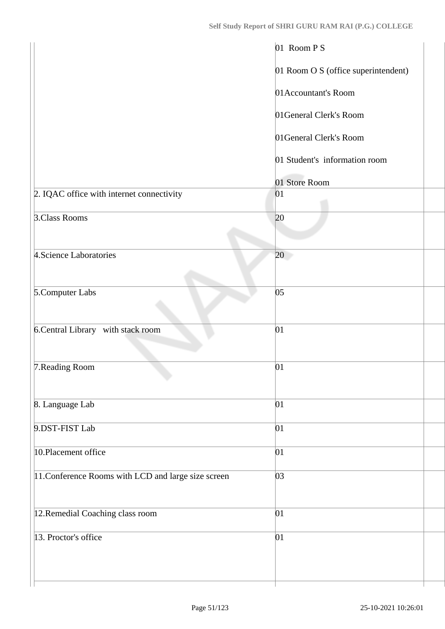|                                                     | 01 Room P S                         |
|-----------------------------------------------------|-------------------------------------|
|                                                     | 01 Room O S (office superintendent) |
|                                                     | 01 Accountant's Room                |
|                                                     | 01General Clerk's Room              |
|                                                     | 01General Clerk's Room              |
|                                                     | 01 Student's information room       |
|                                                     | 01 Store Room                       |
| 2. IQAC office with internet connectivity           | 01                                  |
| 3.Class Rooms                                       | 20                                  |
| 4. Science Laboratories                             | 20                                  |
| 5.Computer Labs                                     | 05                                  |
| 6. Central Library with stack room                  | 01                                  |
| 7. Reading Room                                     | 01                                  |
| 8. Language Lab                                     | 01                                  |
| 9.DST-FIST Lab                                      | 01                                  |
| 10. Placement office                                | 01                                  |
| 11. Conference Rooms with LCD and large size screen | 03                                  |
| 12.Remedial Coaching class room                     | 01                                  |
| 13. Proctor's office                                | 01                                  |
|                                                     |                                     |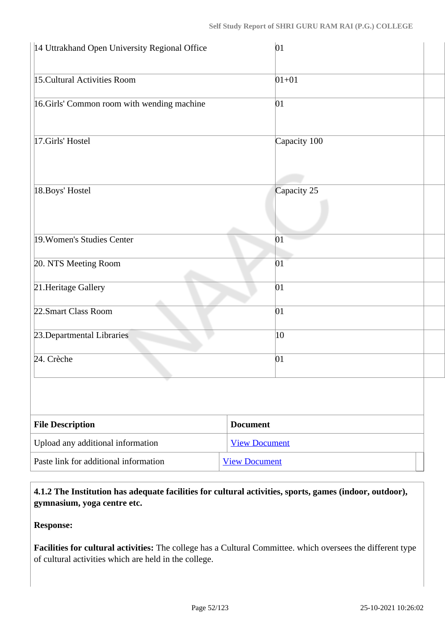| 14 Uttrakhand Open University Regional Office | 01                   |
|-----------------------------------------------|----------------------|
| 15. Cultural Activities Room                  | $01 + 01$            |
| 16.Girls' Common room with wending machine    | 01                   |
| 17.Girls' Hostel                              | Capacity 100         |
| 18. Boys' Hostel                              | Capacity 25          |
| 19. Women's Studies Center                    | 01                   |
| 20. NTS Meeting Room                          | 01                   |
| 21. Heritage Gallery                          | 01                   |
| 22. Smart Class Room                          | 01                   |
| 23. Departmental Libraries                    | 10                   |
| 24. Crèche                                    | 01                   |
|                                               |                      |
| <b>File Description</b>                       | <b>Document</b>      |
| Upload any additional information             | <b>View Document</b> |
| Paste link for additional information         | <b>View Document</b> |

 **4.1.2 The Institution has adequate facilities for cultural activities, sports, games (indoor, outdoor), gymnasium, yoga centre etc.** 

**Response:** 

**Facilities for cultural activities:** The college has a Cultural Committee. which oversees the different type of cultural activities which are held in the college.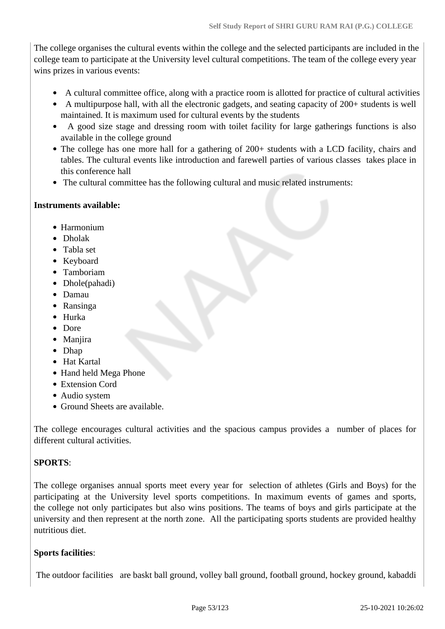The college organises the cultural events within the college and the selected participants are included in the college team to participate at the University level cultural competitions. The team of the college every year wins prizes in various events:

- A cultural committee office, along with a practice room is allotted for practice of cultural activities
- A multipurpose hall, with all the electronic gadgets, and seating capacity of 200+ students is well maintained. It is maximum used for cultural events by the students
- A good size stage and dressing room with toilet facility for large gatherings functions is also available in the college ground
- The college has one more hall for a gathering of 200+ students with a LCD facility, chairs and tables. The cultural events like introduction and farewell parties of various classes takes place in this conference hall
- The cultural committee has the following cultural and music related instruments:

### **Instruments available:**

- Harmonium
- Dholak
- Tabla set
- Keyboard
- Tamboriam
- Dhole(pahadi)
- Damau
- Ransinga
- Hurka
- Dore
- Maniira
- Dhap
- Hat Kartal
- Hand held Mega Phone
- Extension Cord
- Audio system
- Ground Sheets are available.

The college encourages cultural activities and the spacious campus provides a number of places for different cultural activities.

# **SPORTS**:

The college organises annual sports meet every year for selection of athletes (Girls and Boys) for the participating at the University level sports competitions. In maximum events of games and sports, the college not only participates but also wins positions. The teams of boys and girls participate at the university and then represent at the north zone. All the participating sports students are provided healthy nutritious diet.

# **Sports facilities**:

The outdoor facilities are baskt ball ground, volley ball ground, football ground, hockey ground, kabaddi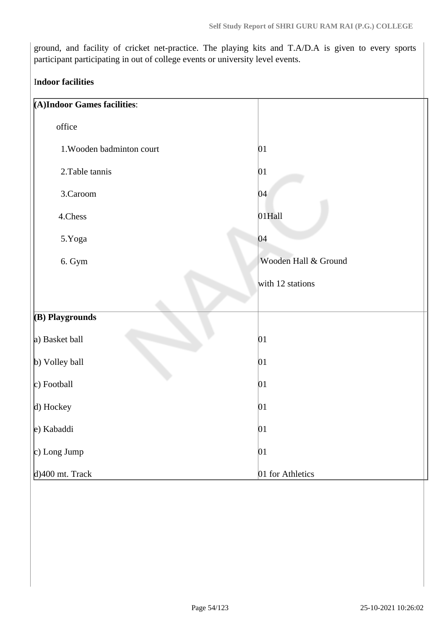ground, and facility of cricket net-practice. The playing kits and T.A/D.A is given to every sports participant participating in out of college events or university level events.

### I**ndoor facilities**

| (A)Indoor Games facilities: |                      |
|-----------------------------|----------------------|
| office                      |                      |
| 1. Wooden badminton court   | 01                   |
| 2. Table tannis             | 01                   |
| 3.Caroom                    | 04                   |
| 4.Chess                     | 01Hall               |
| 5.Yoga                      | 04                   |
| 6. Gym                      | Wooden Hall & Ground |
|                             | with 12 stations     |
|                             |                      |
| (B) Playgrounds             |                      |
| a) Basket ball              | 01                   |
| b) Volley ball              | 01                   |
| $ c)$ Football              | 01                   |
| $\vert$ d) Hockey           | 01                   |
| e) Kabaddi                  | 01                   |
| $\vert c)$ Long Jump        | 01                   |
| $d$ )400 mt. Track          | 01 for Athletics     |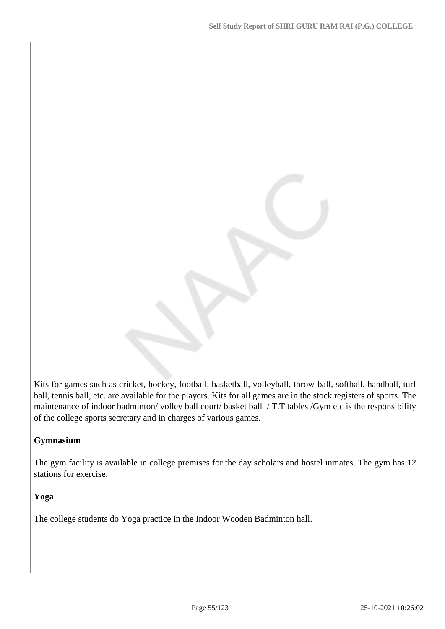Kits for games such as cricket, hockey, football, basketball, volleyball, throw-ball, softball, handball, turf ball, tennis ball, etc. are available for the players. Kits for all games are in the stock registers of sports. The maintenance of indoor badminton/ volley ball court/ basket ball / T.T tables /Gym etc is the responsibility of the college sports secretary and in charges of various games.

### **Gymnasium**

The gym facility is available in college premises for the day scholars and hostel inmates. The gym has 12 stations for exercise.

### **Yoga**

The college students do Yoga practice in the Indoor Wooden Badminton hall.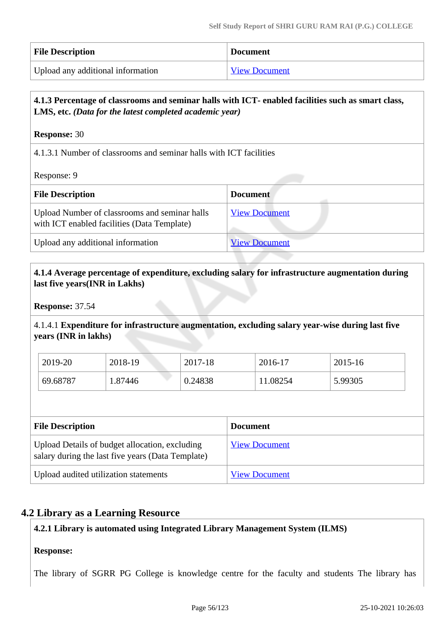| <b>File Description</b>           | <b>Document</b>      |
|-----------------------------------|----------------------|
| Upload any additional information | <b>View Document</b> |

# **4.1.3 Percentage of classrooms and seminar halls with ICT- enabled facilities such as smart class, LMS, etc.** *(Data for the latest completed academic year)*

### **Response:** 30

4.1.3.1 Number of classrooms and seminar halls with ICT facilities

Response: 9

| <b>File Description</b>                                                                      | <b>Document</b>      |
|----------------------------------------------------------------------------------------------|----------------------|
| Upload Number of classrooms and seminar halls<br>with ICT enabled facilities (Data Template) | <b>View Document</b> |
| Upload any additional information                                                            | <b>View Document</b> |

### **4.1.4 Average percentage of expenditure, excluding salary for infrastructure augmentation during last five years(INR in Lakhs)**

**Response:** 37.54

4.1.4.1 **Expenditure for infrastructure augmentation, excluding salary year-wise during last five years (INR in lakhs)**

| 2019-20  | 2018-19 | 2017-18 | 2016-17  | 2015-16 |
|----------|---------|---------|----------|---------|
| 69.68787 | .87446  | 0.24838 | 11.08254 | 5.99305 |

| <b>File Description</b>                                                                             | <b>Document</b>      |
|-----------------------------------------------------------------------------------------------------|----------------------|
| Upload Details of budget allocation, excluding<br>salary during the last five years (Data Template) | <b>View Document</b> |
| Upload audited utilization statements                                                               | <b>View Document</b> |

# **4.2 Library as a Learning Resource**

### **4.2.1 Library is automated using Integrated Library Management System (ILMS)**

### **Response:**

The library of SGRR PG College is knowledge centre for the faculty and students The library has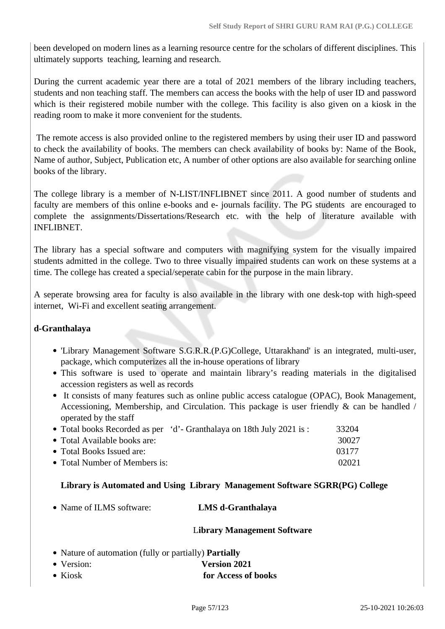been developed on modern lines as a learning resource centre for the scholars of different disciplines. This ultimately supports teaching, learning and research.

During the current academic year there are a total of 2021 members of the library including teachers, students and non teaching staff. The members can access the books with the help of user ID and password which is their registered mobile number with the college. This facility is also given on a kiosk in the reading room to make it more convenient for the students.

 The remote access is also provided online to the registered members by using their user ID and password to check the availability of books. The members can check availability of books by: Name of the Book, Name of author, Subject, Publication etc, A number of other options are also available for searching online books of the library.

The college library is a member of N-LIST/INFLIBNET since 2011. A good number of students and faculty are members of this online e-books and e- journals facility. The PG students are encouraged to complete the assignments/Dissertations/Research etc. with the help of literature available with INFLIBNET.

The library has a special software and computers with magnifying system for the visually impaired students admitted in the college. Two to three visually impaired students can work on these systems at a time. The college has created a special/seperate cabin for the purpose in the main library.

A seperate browsing area for faculty is also available in the library with one desk-top with high-speed internet, Wi-Fi and excellent seating arrangement.

### **d-Granthalaya**

- 'Library Management Software S.G.R.R.(P.G)College, Uttarakhand' is an integrated, multi-user, package, which computerizes all the in-house operations of library
- This software is used to operate and maintain library's reading materials in the digitalised accession registers as well as records
- It consists of many features such as online public access catalogue (OPAC), Book Management, Accessioning, Membership, and Circulation. This package is user friendly & can be handled / operated by the staff

|                               | • Total books Recorded as per 'd'- Granthalaya on 18th July 2021 is: | 33204 |
|-------------------------------|----------------------------------------------------------------------|-------|
| • Total Available books are:  |                                                                      | 30027 |
| • Total Books Issued are:     |                                                                      | 03177 |
| • Total Number of Members is: |                                                                      | 02021 |

### **Library is Automated and Using Library Management Software SGRR(PG) College**

Name of ILMS software: **LMS d-Granthalaya**

### L**ibrary Management Software**

- Nature of automation (fully or partially) **Partially**
- Version: **Version 2021**
- Kiosk **for Access of books**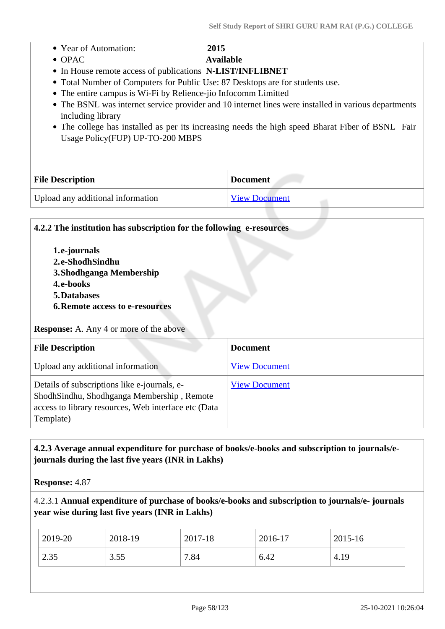|  | • Year of Automation: | 2015 |
|--|-----------------------|------|
|--|-----------------------|------|

OPAC **Available**

- In House remote access of publications **N-LIST/INFLIBNET**
- Total Number of Computers for Public Use: 87 Desktops are for students use.
- The entire campus is Wi-Fi by Relience-jio Infocomm Limitted
- The BSNL was internet service provider and 10 internet lines were installed in various departments including library
- The college has installed as per its increasing needs the high speed Bharat Fiber of BSNL Fair Usage Policy(FUP) UP-TO-200 MBPS

| <b>File Description</b>           | <b>Document</b>      |
|-----------------------------------|----------------------|
| Upload any additional information | <b>View Document</b> |

# **4.2.2 The institution has subscription for the following e-resources**

- **1.e-journals 2.e-ShodhSindhu 3.Shodhganga Membership 4.e-books 5.Databases**
- **6.Remote access to e-resources**

**Response:** A. Any 4 or more of the above

| <b>File Description</b>                                                                                                                                         | <b>Document</b>      |
|-----------------------------------------------------------------------------------------------------------------------------------------------------------------|----------------------|
| Upload any additional information                                                                                                                               | <b>View Document</b> |
| Details of subscriptions like e-journals, e-<br>ShodhSindhu, Shodhganga Membership, Remote<br>access to library resources, Web interface etc (Data<br>Template) | <b>View Document</b> |

# **4.2.3 Average annual expenditure for purchase of books/e-books and subscription to journals/ejournals during the last five years (INR in Lakhs)**

**Response:** 4.87

### 4.2.3.1 **Annual expenditure of purchase of books/e-books and subscription to journals/e- journals year wise during last five years (INR in Lakhs)**

| 2019-20 | 2018-19 | 2017-18 | 2016-17 | 2015-16 |
|---------|---------|---------|---------|---------|
| 2.35    | 3.55    | 7.84    | 6.42    | 4.19    |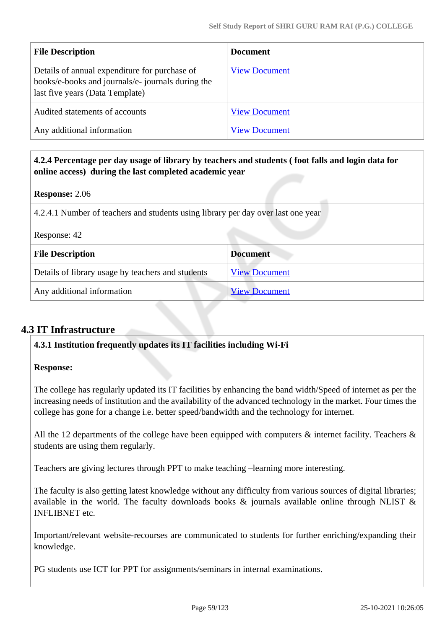| <b>File Description</b>                                                                                                               | <b>Document</b>      |
|---------------------------------------------------------------------------------------------------------------------------------------|----------------------|
| Details of annual expenditure for purchase of<br>books/e-books and journals/e- journals during the<br>last five years (Data Template) | <b>View Document</b> |
| Audited statements of accounts                                                                                                        | <b>View Document</b> |
| Any additional information                                                                                                            | <b>View Document</b> |

# **4.2.4 Percentage per day usage of library by teachers and students ( foot falls and login data for online access) during the last completed academic year**

### **Response:** 2.06

4.2.4.1 Number of teachers and students using library per day over last one year

| Response: 42                                      |                      |
|---------------------------------------------------|----------------------|
| <b>File Description</b>                           | <b>Document</b>      |
| Details of library usage by teachers and students | <b>View Document</b> |
| Any additional information                        | <b>View Document</b> |

# **4.3 IT Infrastructure**

# **4.3.1 Institution frequently updates its IT facilities including Wi-Fi**

### **Response:**

The college has regularly updated its IT facilities by enhancing the band width/Speed of internet as per the increasing needs of institution and the availability of the advanced technology in the market. Four times the college has gone for a change i.e. better speed/bandwidth and the technology for internet.

All the 12 departments of the college have been equipped with computers  $\&$  internet facility. Teachers  $\&$ students are using them regularly.

Teachers are giving lectures through PPT to make teaching –learning more interesting.

The faculty is also getting latest knowledge without any difficulty from various sources of digital libraries; available in the world. The faculty downloads books  $\&$  journals available online through NLIST  $\&$ INFLIBNET etc.

Important/relevant website-recourses are communicated to students for further enriching/expanding their knowledge.

PG students use ICT for PPT for assignments/seminars in internal examinations.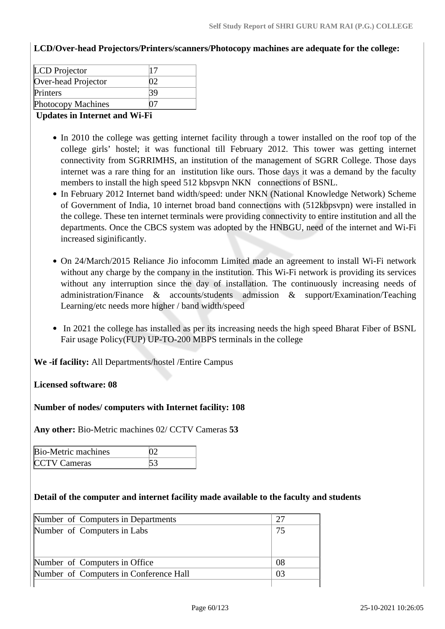**LCD/Over-head Projectors/Printers/scanners/Photocopy machines are adequate for the college:**

| <b>Photocopy Machines</b> |    |  |
|---------------------------|----|--|
| Printers                  |    |  |
| Over-head Projector       | Y) |  |
| <b>LCD</b> Projector      |    |  |

### **Updates in Internet and Wi-Fi**

- In 2010 the college was getting internet facility through a tower installed on the roof top of the college girls' hostel; it was functional till February 2012. This tower was getting internet connectivity from SGRRIMHS, an institution of the management of SGRR College. Those days internet was a rare thing for an institution like ours. Those days it was a demand by the faculty members to install the high speed 512 kbpsvpn NKN connections of BSNL.
- In February 2012 Internet band width/speed: under NKN (National Knowledge Network) Scheme of Government of India, 10 internet broad band connections with (512kbpsvpn) were installed in the college. These ten internet terminals were providing connectivity to entire institution and all the departments. Once the CBCS system was adopted by the HNBGU, need of the internet and Wi-Fi increased siginificantly.
- On 24/March/2015 Reliance Jio infocomm Limited made an agreement to install Wi-Fi network without any charge by the company in the institution. This Wi-Fi network is providing its services without any interruption since the day of installation. The continuously increasing needs of administration/Finance & accounts/students admission & support/Examination/Teaching Learning/etc needs more higher / band width/speed
- In 2021 the college has installed as per its increasing needs the high speed Bharat Fiber of BSNL Fair usage Policy(FUP) UP-TO-200 MBPS terminals in the college

**We -if facility:** All Departments/hostel /Entire Campus

**Licensed software: 08**

**Number of nodes/ computers with Internet facility: 108**

**Any other:** Bio-Metric machines 02/ CCTV Cameras **53**

| Bio-Metric machines |  |
|---------------------|--|
| <b>CCTV</b> Cameras |  |

### **Detail of the computer and internet facility made available to the faculty and students**

| Number of Computers in Departments     | 27 |
|----------------------------------------|----|
| Number of Computers in Labs            | 75 |
|                                        |    |
|                                        |    |
| Number of Computers in Office          | 08 |
| Number of Computers in Conference Hall | 03 |
|                                        |    |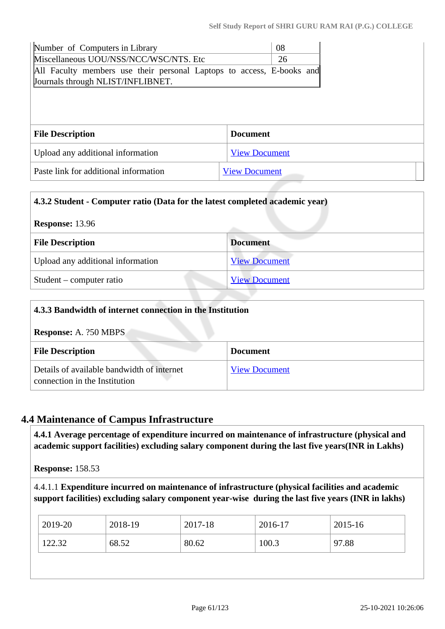| Number of Computers in Library                                        |                      | 08 |  |  |  |  |  |
|-----------------------------------------------------------------------|----------------------|----|--|--|--|--|--|
| Miscellaneous UOU/NSS/NCC/WSC/NTS. Etc                                |                      | 26 |  |  |  |  |  |
| All Faculty members use their personal Laptops to access, E-books and |                      |    |  |  |  |  |  |
| Journals through NLIST/INFLIBNET.                                     |                      |    |  |  |  |  |  |
|                                                                       |                      |    |  |  |  |  |  |
|                                                                       |                      |    |  |  |  |  |  |
|                                                                       |                      |    |  |  |  |  |  |
|                                                                       |                      |    |  |  |  |  |  |
| <b>File Description</b>                                               | <b>Document</b>      |    |  |  |  |  |  |
| Upload any additional information                                     | <b>View Document</b> |    |  |  |  |  |  |

| 4.3.2 Student - Computer ratio (Data for the latest completed academic year) |                      |  |  |
|------------------------------------------------------------------------------|----------------------|--|--|
| <b>Response: 13.96</b>                                                       |                      |  |  |
| <b>File Description</b>                                                      | <b>Document</b>      |  |  |
| Upload any additional information                                            | <b>View Document</b> |  |  |
| Student – computer ratio                                                     | <b>View Document</b> |  |  |

| 4.3.3 Bandwidth of internet connection in the Institution                   |                      |  |  |
|-----------------------------------------------------------------------------|----------------------|--|--|
| <b>Response:</b> A. ?50 MBPS                                                |                      |  |  |
| <b>File Description</b>                                                     | <b>Document</b>      |  |  |
| Details of available bandwidth of internet<br>connection in the Institution | <b>View Document</b> |  |  |

# **4.4 Maintenance of Campus Infrastructure**

 **4.4.1 Average percentage of expenditure incurred on maintenance of infrastructure (physical and academic support facilities) excluding salary component during the last five years(INR in Lakhs)**

**Response:** 158.53

4.4.1.1 **Expenditure incurred on maintenance of infrastructure (physical facilities and academic support facilities) excluding salary component year-wise during the last five years (INR in lakhs)**

| $\frac{1}{2019}$ -20 | 2018-19 | 2017-18 | 2016-17 | 2015-16 |
|----------------------|---------|---------|---------|---------|
| 122.32               | 68.52   | 80.62   | 100.3   | 97.88   |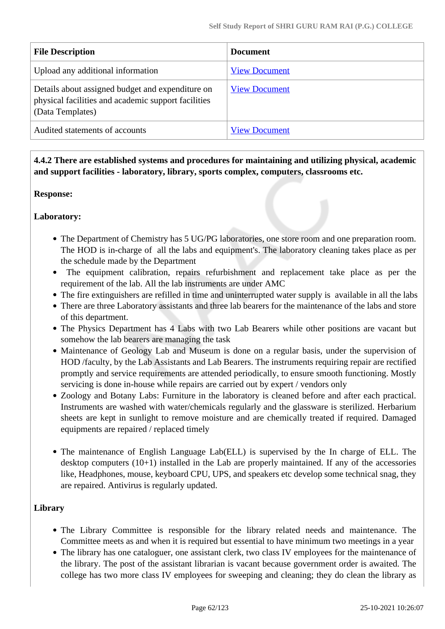| <b>File Description</b>                                                                                                     | <b>Document</b>      |
|-----------------------------------------------------------------------------------------------------------------------------|----------------------|
| Upload any additional information                                                                                           | <b>View Document</b> |
| Details about assigned budget and expenditure on<br>physical facilities and academic support facilities<br>(Data Templates) | <b>View Document</b> |
| Audited statements of accounts                                                                                              | <b>View Document</b> |

 **4.4.2 There are established systems and procedures for maintaining and utilizing physical, academic and support facilities - laboratory, library, sports complex, computers, classrooms etc.**

### **Response:**

### **Laboratory:**

- The Department of Chemistry has 5 UG/PG laboratories, one store room and one preparation room. The HOD is in-charge of all the labs and equipment's. The laboratory cleaning takes place as per the schedule made by the Department
- The equipment calibration, repairs refurbishment and replacement take place as per the requirement of the lab. All the lab instruments are under AMC
- The fire extinguishers are refilled in time and uninterrupted water supply is available in all the labs
- There are three Laboratory assistants and three lab bearers for the maintenance of the labs and store of this department.
- The Physics Department has 4 Labs with two Lab Bearers while other positions are vacant but somehow the lab bearers are managing the task
- Maintenance of Geology Lab and Museum is done on a regular basis, under the supervision of HOD /faculty, by the Lab Assistants and Lab Bearers. The instruments requiring repair are rectified promptly and service requirements are attended periodically, to ensure smooth functioning. Mostly servicing is done in-house while repairs are carried out by expert / vendors only
- Zoology and Botany Labs: Furniture in the laboratory is cleaned before and after each practical. Instruments are washed with water/chemicals regularly and the glassware is sterilized. Herbarium sheets are kept in sunlight to remove moisture and are chemically treated if required. Damaged equipments are repaired / replaced timely
- The maintenance of English Language Lab(ELL) is supervised by the In charge of ELL. The desktop computers (10+1) installed in the Lab are properly maintained. If any of the accessories like, Headphones, mouse, keyboard CPU, UPS, and speakers etc develop some technical snag, they are repaired. Antivirus is regularly updated.

# **Library**

- The Library Committee is responsible for the library related needs and maintenance. The Committee meets as and when it is required but essential to have minimum two meetings in a year
- The library has one cataloguer, one assistant clerk, two class IV employees for the maintenance of the library. The post of the assistant librarian is vacant because government order is awaited. The college has two more class IV employees for sweeping and cleaning; they do clean the library as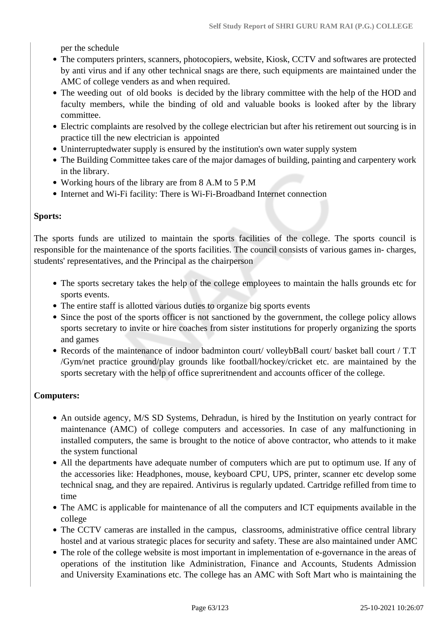per the schedule

- The computers printers, scanners, photocopiers, website, Kiosk, CCTV and softwares are protected by anti virus and if any other technical snags are there, such equipments are maintained under the AMC of college venders as and when required.
- The weeding out of old books is decided by the library committee with the help of the HOD and faculty members, while the binding of old and valuable books is looked after by the library committee.
- Electric complaints are resolved by the college electrician but after his retirement out sourcing is in practice till the new electrician is appointed
- Uninterruptedwater supply is ensured by the institution's own water supply system
- The Building Committee takes care of the major damages of building, painting and carpentery work in the library.
- Working hours of the library are from 8 A.M to 5 P.M
- Internet and Wi-Fi facility: There is Wi-Fi-Broadband Internet connection

### **Sports:**

The sports funds are utilized to maintain the sports facilities of the college. The sports council is responsible for the maintenance of the sports facilities. The council consists of various games in- charges, students' representatives, and the Principal as the chairperson

- The sports secretary takes the help of the college employees to maintain the halls grounds etc for sports events.
- The entire staff is allotted various duties to organize big sports events
- Since the post of the sports officer is not sanctioned by the government, the college policy allows sports secretary to invite or hire coaches from sister institutions for properly organizing the sports and games
- Records of the maintenance of indoor badminton court/ volleybBall court/ basket ball court / T.T /Gym/net practice ground/play grounds like football/hockey/cricket etc. are maintained by the sports secretary with the help of office supreritnendent and accounts officer of the college.

### **Computers:**

- An outside agency, M/S SD Systems, Dehradun, is hired by the Institution on yearly contract for maintenance (AMC) of college computers and accessories. In case of any malfunctioning in installed computers, the same is brought to the notice of above contractor, who attends to it make the system functional
- All the departments have adequate number of computers which are put to optimum use. If any of the accessories like: Headphones, mouse, keyboard CPU, UPS, printer, scanner etc develop some technical snag, and they are repaired. Antivirus is regularly updated. Cartridge refilled from time to time
- The AMC is applicable for maintenance of all the computers and ICT equipments available in the college
- The CCTV cameras are installed in the campus, classrooms, administrative office central library hostel and at various strategic places for security and safety. These are also maintained under AMC
- The role of the college website is most important in implementation of e-governance in the areas of operations of the institution like Administration, Finance and Accounts, Students Admission and University Examinations etc. The college has an AMC with Soft Mart who is maintaining the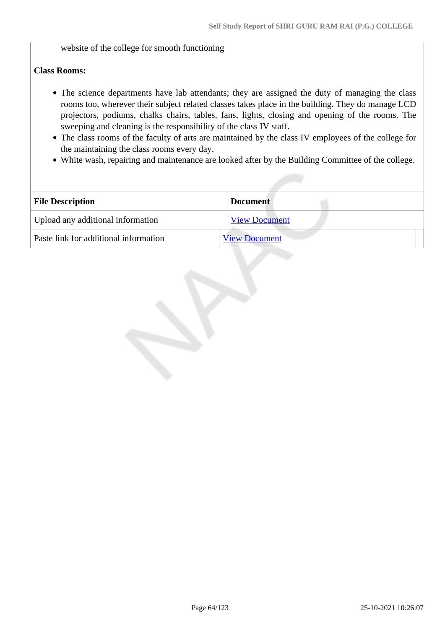website of the college for smooth functioning

### **Class Rooms:**

- The science departments have lab attendants; they are assigned the duty of managing the class rooms too, wherever their subject related classes takes place in the building. They do manage LCD projectors, podiums, chalks chairs, tables, fans, lights, closing and opening of the rooms. The sweeping and cleaning is the responsibility of the class IV staff.
- The class rooms of the faculty of arts are maintained by the class IV employees of the college for the maintaining the class rooms every day.
- White wash, repairing and maintenance are looked after by the Building Committee of the college.

| <b>File Description</b><br><b>Document</b> |                      |
|--------------------------------------------|----------------------|
| Upload any additional information          | <b>View Document</b> |
| Paste link for additional information      | <b>View Document</b> |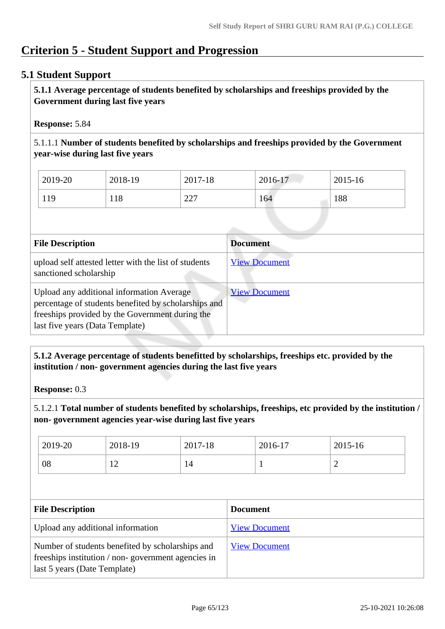# **Criterion 5 - Student Support and Progression**

# **5.1 Student Support**

 **5.1.1 Average percentage of students benefited by scholarships and freeships provided by the Government during last five years** 

### **Response:** 5.84

5.1.1.1 **Number of students benefited by scholarships and freeships provided by the Government year-wise during last five years**

| 2019-20 | 2018-19 | 2017-18        | 2016-17 | 2015-16 |
|---------|---------|----------------|---------|---------|
| 119     | 118     | つつつ<br>ا ساسلہ | 164     | 188     |

| <b>File Description</b>                                                                                                                                                                 | <b>Document</b>      |
|-----------------------------------------------------------------------------------------------------------------------------------------------------------------------------------------|----------------------|
| upload self attested letter with the list of students<br>sanctioned scholarship                                                                                                         | <b>View Document</b> |
| Upload any additional information Average<br>percentage of students benefited by scholarships and<br>freeships provided by the Government during the<br>last five years (Data Template) | <b>View Document</b> |

### **5.1.2 Average percentage of students benefitted by scholarships, freeships etc. provided by the institution / non- government agencies during the last five years**

**Response:** 0.3

5.1.2.1 **Total number of students benefited by scholarships, freeships, etc provided by the institution / non- government agencies year-wise during last five years**

| 2019-20 | 2018-19        | 2017-18 | 2016-17 | $2015 - 16$ |
|---------|----------------|---------|---------|-------------|
| 08      | $\overline{1}$ | 14      |         | -           |

| <b>File Description</b>                                                                                                                | <b>Document</b>      |
|----------------------------------------------------------------------------------------------------------------------------------------|----------------------|
| Upload any additional information                                                                                                      | <b>View Document</b> |
| Number of students benefited by scholarships and<br>freeships institution / non-government agencies in<br>last 5 years (Date Template) | <b>View Document</b> |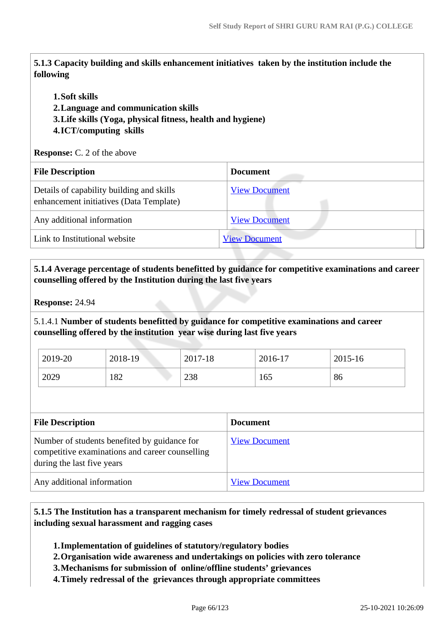**5.1.3 Capacity building and skills enhancement initiatives taken by the institution include the following**

### **1.Soft skills**

**2.Language and communication skills** 

**3.Life skills (Yoga, physical fitness, health and hygiene)**

### **4.ICT/computing skills**

**Response:** C. 2 of the above

| <b>File Description</b>                                                              | <b>Document</b>      |
|--------------------------------------------------------------------------------------|----------------------|
| Details of capability building and skills<br>enhancement initiatives (Data Template) | <b>View Document</b> |
| Any additional information                                                           | <b>View Document</b> |
| Link to Institutional website                                                        | <b>View Document</b> |

 **5.1.4 Average percentage of students benefitted by guidance for competitive examinations and career counselling offered by the Institution during the last five years**

**Response:** 24.94

5.1.4.1 **Number of students benefitted by guidance for competitive examinations and career counselling offered by the institution year wise during last five years**

| 2019-20 | 2018-19 | 2017-18 | 2016-17 | 2015-16 |
|---------|---------|---------|---------|---------|
| 2029    | 182     | 238     | 165     | 86      |

| <b>File Description</b>                                                                                                       | <b>Document</b>      |
|-------------------------------------------------------------------------------------------------------------------------------|----------------------|
| Number of students benefited by guidance for<br>competitive examinations and career counselling<br>during the last five years | <b>View Document</b> |
| Any additional information                                                                                                    | <b>View Document</b> |

 **5.1.5 The Institution has a transparent mechanism for timely redressal of student grievances including sexual harassment and ragging cases**

**1.Implementation of guidelines of statutory/regulatory bodies**

- **2.Organisation wide awareness and undertakings on policies with zero tolerance**
- **3.Mechanisms for submission of online/offline students' grievances**

**4.Timely redressal of the grievances through appropriate committees**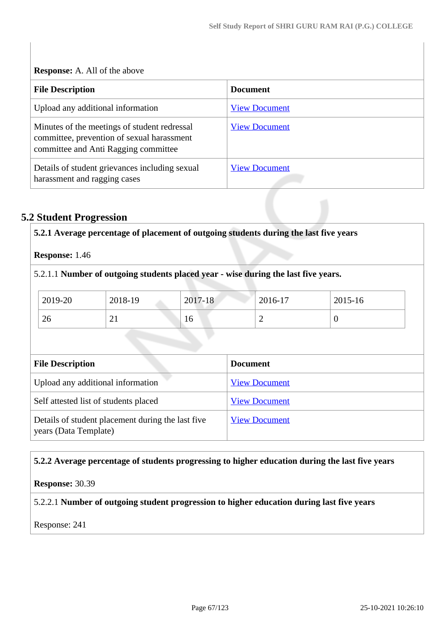**Response:** A. All of the above

| <b>File Description</b>                                                                                                            | <b>Document</b>      |
|------------------------------------------------------------------------------------------------------------------------------------|----------------------|
| Upload any additional information                                                                                                  | <b>View Document</b> |
| Minutes of the meetings of student redressal<br>committee, prevention of sexual harassment<br>committee and Anti Ragging committee | <b>View Document</b> |
| Details of student grievances including sexual<br>harassment and ragging cases                                                     | <b>View Document</b> |

# **5.2 Student Progression**

| Response: 1.46          |                                                                                    |         |                 |                      |          |
|-------------------------|------------------------------------------------------------------------------------|---------|-----------------|----------------------|----------|
|                         | 5.2.1.1 Number of outgoing students placed year - wise during the last five years. |         |                 |                      |          |
| 2019-20                 | 2018-19                                                                            | 2017-18 |                 | 2016-17              | 2015-16  |
| 26                      | 21                                                                                 | 16      |                 | $\overline{2}$       | $\theta$ |
|                         |                                                                                    |         |                 |                      |          |
| <b>File Description</b> |                                                                                    |         | <b>Document</b> |                      |          |
|                         | Upload any additional information                                                  |         |                 | <b>View Document</b> |          |
|                         | Self attested list of students placed                                              |         |                 | <b>View Document</b> |          |

### **5.2.2 Average percentage of students progressing to higher education during the last five years**

**Response:** 30.39

# 5.2.2.1 **Number of outgoing student progression to higher education during last five years**

Response: 241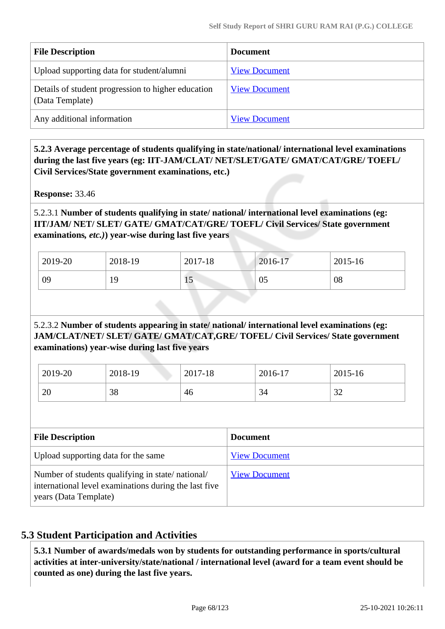| <b>File Description</b>                                               | <b>Document</b>      |
|-----------------------------------------------------------------------|----------------------|
| Upload supporting data for student/alumni                             | <b>View Document</b> |
| Details of student progression to higher education<br>(Data Template) | <b>View Document</b> |
| Any additional information                                            | <b>View Document</b> |

 **5.2.3 Average percentage of students qualifying in state/national/ international level examinations during the last five years (eg: IIT-JAM/CLAT/ NET/SLET/GATE/ GMAT/CAT/GRE/ TOEFL/ Civil Services/State government examinations, etc.)**

**Response:** 33.46

5.2.3.1 **Number of students qualifying in state/ national/ international level examinations (eg: IIT/JAM/ NET/ SLET/ GATE/ GMAT/CAT/GRE/ TOEFL/ Civil Services/ State government examinations***, etc.)***) year-wise during last five years**

| 2019-20 | 2018-19 | 2017-18 | 2016-17 | 2015-16 |
|---------|---------|---------|---------|---------|
| 09      | 19      | 1J      | 05      | 08      |

# 5.2.3.2 **Number of students appearing in state/ national/ international level examinations (eg: JAM/CLAT/NET/ SLET/ GATE/ GMAT/CAT,GRE/ TOFEL/ Civil Services/ State government examinations) year-wise during last five years**

| 2019-20 | 2018-19 | 2017-18 | 2016-17 | 2015-16       |
|---------|---------|---------|---------|---------------|
| 20      | 38      | 46      | 34      | $\cap$<br>ے ر |

| <b>File Description</b>                                                                                                            | <b>Document</b>      |
|------------------------------------------------------------------------------------------------------------------------------------|----------------------|
| Upload supporting data for the same                                                                                                | <b>View Document</b> |
| Number of students qualifying in state/national/<br>international level examinations during the last five<br>years (Data Template) | <b>View Document</b> |

# **5.3 Student Participation and Activities**

 **5.3.1 Number of awards/medals won by students for outstanding performance in sports/cultural activities at inter-university/state/national / international level (award for a team event should be counted as one) during the last five years.**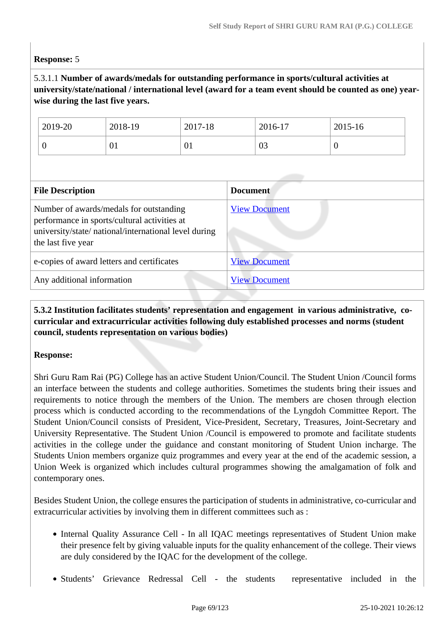### **Response:** 5

# 5.3.1.1 **Number of awards/medals for outstanding performance in sports/cultural activities at university/state/national / international level (award for a team event should be counted as one) yearwise during the last five years.**

| 2019-20 | 2018-19 | 2017-18     | 2016-17 | 2015-16 |
|---------|---------|-------------|---------|---------|
| ν       | 01      | $U_{\perp}$ | 03      | v       |

| <b>File Description</b>                                                                                                                                                | <b>Document</b>      |
|------------------------------------------------------------------------------------------------------------------------------------------------------------------------|----------------------|
| Number of awards/medals for outstanding<br>performance in sports/cultural activities at<br>university/state/ national/international level during<br>the last five year | <b>View Document</b> |
| e-copies of award letters and certificates                                                                                                                             | <b>View Document</b> |
| Any additional information                                                                                                                                             | <b>View Document</b> |

# **5.3.2 Institution facilitates students' representation and engagement in various administrative, cocurricular and extracurricular activities following duly established processes and norms (student council, students representation on various bodies)**

### **Response:**

Shri Guru Ram Rai (PG) College has an active Student Union/Council. The Student Union /Council forms an interface between the students and college authorities. Sometimes the students bring their issues and requirements to notice through the members of the Union. The members are chosen through election process which is conducted according to the recommendations of the Lyngdoh Committee Report. The Student Union/Council consists of President, Vice-President, Secretary, Treasures, Joint-Secretary and University Representative. The Student Union /Council is empowered to promote and facilitate students activities in the college under the guidance and constant monitoring of Student Union incharge. The Students Union members organize quiz programmes and every year at the end of the academic session, a Union Week is organized which includes cultural programmes showing the amalgamation of folk and contemporary ones.

Besides Student Union, the college ensures the participation of students in administrative, co-curricular and extracurricular activities by involving them in different committees such as :

- Internal Quality Assurance Cell In all IQAC meetings representatives of Student Union make their presence felt by giving valuable inputs for the quality enhancement of the college. Their views are duly considered by the IQAC for the development of the college.
- Students' Grievance Redressal Cell the students representative included in the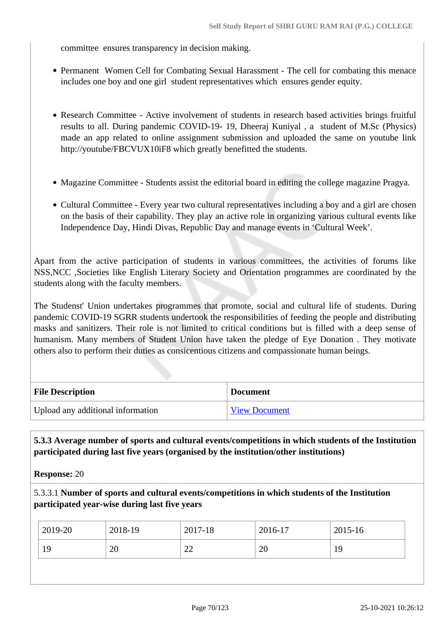committee ensures transparency in decision making.

- Permanent Women Cell for Combating Sexual Harassment The cell for combating this menace includes one boy and one girl student representatives which ensures gender equity.
- Research Committee Active involvement of students in research based activities brings fruitful results to all. During pandemic COVID-19- 19, Dheeraj Kuniyal , a student of M.Sc (Physics) made an app related to online assignment submission and uploaded the same on youtube link http://youtube/FBCVUX10iF8 which greatly benefitted the students.
- Magazine Committee Students assist the editorial board in editing the college magazine Pragya.
- Cultural Committee Every year two cultural representatives including a boy and a girl are chosen on the basis of their capability. They play an active role in organizing various cultural events like Independence Day, Hindi Divas, Republic Day and manage events in 'Cultural Week'.

Apart from the active participation of students in various committees, the activities of forums like NSS,NCC ,Societies like English Literary Society and Orientation programmes are coordinated by the students along with the faculty members.

The Studenst' Union undertakes programmes that promote, social and cultural life of students. During pandemic COVID-19 SGRR students undertook the responsibilities of feeding the people and distributing masks and sanitizers. Their role is not limited to critical conditions but is filled with a deep sense of humanism. Many members of Student Union have taken the pledge of Eye Donation . They motivate others also to perform their duties as consicentious citizens and compassionate human beings.

| <b>File Description</b>           | <b>Document</b>      |
|-----------------------------------|----------------------|
| Upload any additional information | <b>View Document</b> |

 **5.3.3 Average number of sports and cultural events/competitions in which students of the Institution participated during last five years (organised by the institution/other institutions)**

**Response:** 20

5.3.3.1 **Number of sports and cultural events/competitions in which students of the Institution participated year-wise during last five years**

| 2019-20 | 2018-19 | 2017-18      | 2016-17  | 2015-16 |
|---------|---------|--------------|----------|---------|
| 19      | 20      | $\cap$<br>∠∠ | ററ<br>∠∪ | 19      |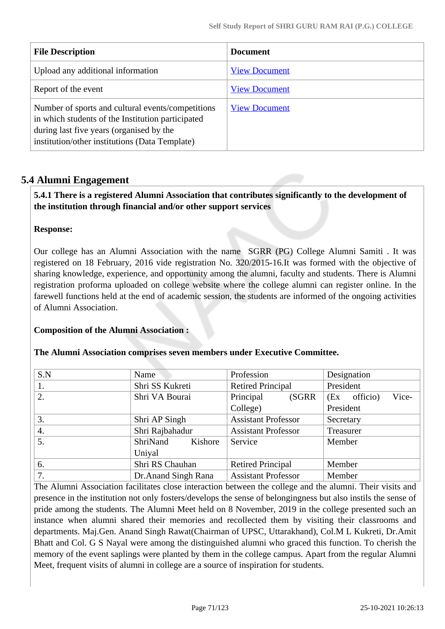| <b>File Description</b>                                                                                                                                                                              | <b>Document</b>      |
|------------------------------------------------------------------------------------------------------------------------------------------------------------------------------------------------------|----------------------|
| Upload any additional information                                                                                                                                                                    | <b>View Document</b> |
| Report of the event                                                                                                                                                                                  | <b>View Document</b> |
| Number of sports and cultural events/competitions<br>in which students of the Institution participated<br>during last five years (organised by the<br>institution/other institutions (Data Template) | <b>View Document</b> |

# **5.4 Alumni Engagement**

 **5.4.1 There is a registered Alumni Association that contributes significantly to the development of the institution through financial and/or other support services**

### **Response:**

Our college has an Alumni Association with the name SGRR (PG) College Alumni Samiti . It was registered on 18 February, 2016 vide registration No. 320/2015-16.It was formed with the objective of sharing knowledge, experience, and opportunity among the alumni, faculty and students. There is Alumni registration proforma uploaded on college website where the college alumni can register online. In the farewell functions held at the end of academic session, the students are informed of the ongoing activities of Alumni Association.

# **Composition of the Alumni Association :**

### **The Alumni Association comprises seven members under Executive Committee.**

| S.N | Name                 | Profession                 | Designation              |
|-----|----------------------|----------------------------|--------------------------|
| 1.  | Shri SS Kukreti      | <b>Retired Principal</b>   | President                |
| 2.  | Shri VA Bourai       | Principal<br>(SGRR)        | Vice-<br>officio)<br>(Ex |
|     |                      | College)                   | President                |
| 3.  | Shri AP Singh        | <b>Assistant Professor</b> | Secretary                |
| 4.  | Shri Rajbahadur      | <b>Assistant Professor</b> | Treasurer                |
| 5.  | ShriNand<br>Kishore  | Service                    | Member                   |
|     | Uniyal               |                            |                          |
| 6.  | Shri RS Chauhan      | <b>Retired Principal</b>   | Member                   |
| 7.  | Dr. Anand Singh Rana | <b>Assistant Professor</b> | Member                   |

The Alumni Association facilitates close interaction between the college and the alumni. Their visits and presence in the institution not only fosters/develops the sense of belongingness but also instils the sense of pride among the students. The Alumni Meet held on 8 November, 2019 in the college presented such an instance when alumni shared their memories and recollected them by visiting their classrooms and departments. Maj.Gen. Anand Singh Rawat(Chairman of UPSC, Uttarakhand), Col.M L Kukreti, Dr.Amit Bhatt and Col. G S Nayal were among the distinguished alumni who graced this function. To cherish the memory of the event saplings were planted by them in the college campus. Apart from the regular Alumni Meet, frequent visits of alumni in college are a source of inspiration for students.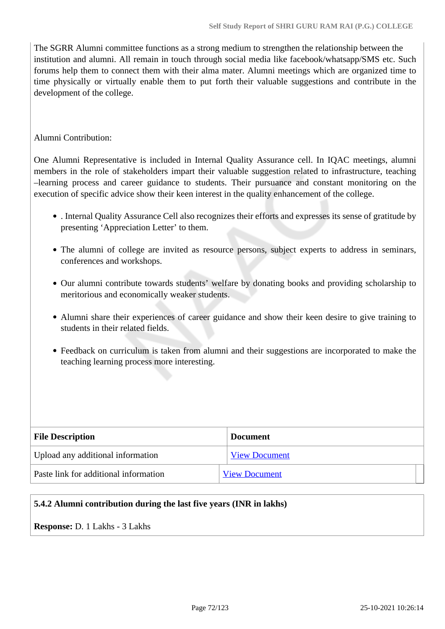The SGRR Alumni committee functions as a strong medium to strengthen the relationship between the institution and alumni. All remain in touch through social media like facebook/whatsapp/SMS etc. Such forums help them to connect them with their alma mater. Alumni meetings which are organized time to time physically or virtually enable them to put forth their valuable suggestions and contribute in the development of the college.

### Alumni Contribution:

One Alumni Representative is included in Internal Quality Assurance cell. In IQAC meetings, alumni members in the role of stakeholders impart their valuable suggestion related to infrastructure, teaching –learning process and career guidance to students. Their pursuance and constant monitoring on the execution of specific advice show their keen interest in the quality enhancement of the college.

- . Internal Quality Assurance Cell also recognizes their efforts and expresses its sense of gratitude by presenting 'Appreciation Letter' to them.
- The alumni of college are invited as resource persons, subject experts to address in seminars, conferences and workshops.
- Our alumni contribute towards students' welfare by donating books and providing scholarship to meritorious and economically weaker students.
- Alumni share their experiences of career guidance and show their keen desire to give training to students in their related fields.
- Feedback on curriculum is taken from alumni and their suggestions are incorporated to make the teaching learning process more interesting.

| <b>File Description</b>               | <b>Document</b>      |
|---------------------------------------|----------------------|
| Upload any additional information     | <b>View Document</b> |
| Paste link for additional information | <b>View Document</b> |

### **5.4.2 Alumni contribution during the last five years (INR in lakhs)**

**Response:** D. 1 Lakhs - 3 Lakhs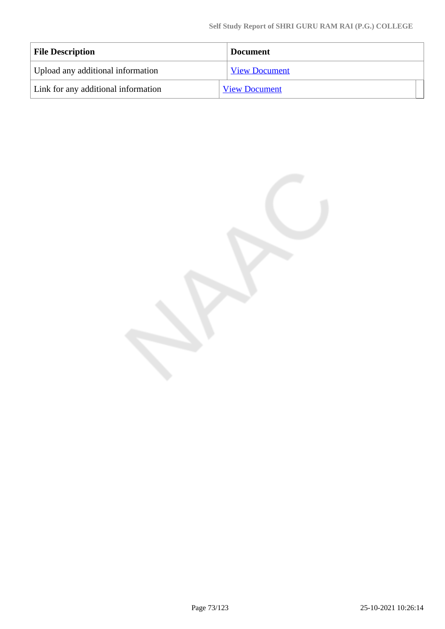| <b>File Description</b>             | <b>Document</b>      |
|-------------------------------------|----------------------|
| Upload any additional information   | <b>View Document</b> |
| Link for any additional information | <b>View Document</b> |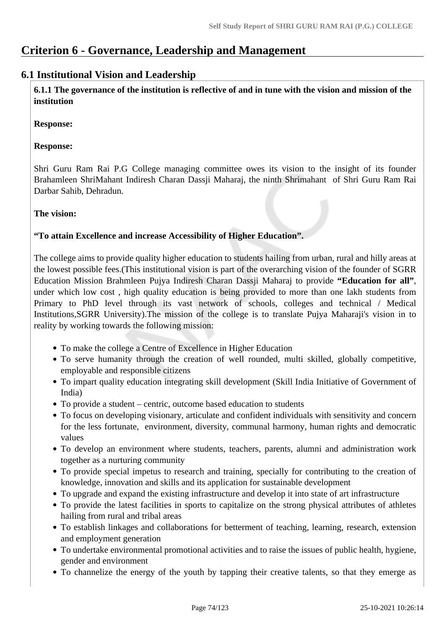# **Criterion 6 - Governance, Leadership and Management**

# **6.1 Institutional Vision and Leadership**

 **6.1.1 The governance of the institution is reflective of and in tune with the vision and mission of the institution**

**Response:** 

# **Response:**

Shri Guru Ram Rai P.G College managing committee owes its vision to the insight of its founder Brahamleen ShriMahant Indiresh Charan Dassji Maharaj, the ninth Shrimahant of Shri Guru Ram Rai Darbar Sahib, Dehradun.

# **The vision:**

# **"To attain Excellence and increase Accessibility of Higher Education".**

The college aims to provide quality higher education to students hailing from urban, rural and hilly areas at the lowest possible fees.(This institutional vision is part of the overarching vision of the founder of SGRR Education Mission Brahmleen Pujya Indiresh Charan Dassji Maharaj to provide **"Education for all"**, under which low cost , high quality education is being provided to more than one lakh students from Primary to PhD level through its vast network of schools, colleges and technical / Medical Institutions,SGRR University).The mission of the college is to translate Pujya Maharaji's vision in to reality by working towards the following mission:

- To make the college a Centre of Excellence in Higher Education
- To serve humanity through the creation of well rounded, multi skilled, globally competitive, employable and responsible citizens
- To impart quality education integrating skill development (Skill India Initiative of Government of India)
- To provide a student centric, outcome based education to students
- To focus on developing visionary, articulate and confident individuals with sensitivity and concern for the less fortunate, environment, diversity, communal harmony, human rights and democratic values
- To develop an environment where students, teachers, parents, alumni and administration work together as a nurturing community
- To provide special impetus to research and training, specially for contributing to the creation of knowledge, innovation and skills and its application for sustainable development
- To upgrade and expand the existing infrastructure and develop it into state of art infrastructure
- To provide the latest facilities in sports to capitalize on the strong physical attributes of athletes hailing from rural and tribal areas
- To establish linkages and collaborations for betterment of teaching, learning, research, extension and employment generation
- To undertake environmental promotional activities and to raise the issues of public health, hygiene, gender and environment
- To channelize the energy of the youth by tapping their creative talents, so that they emerge as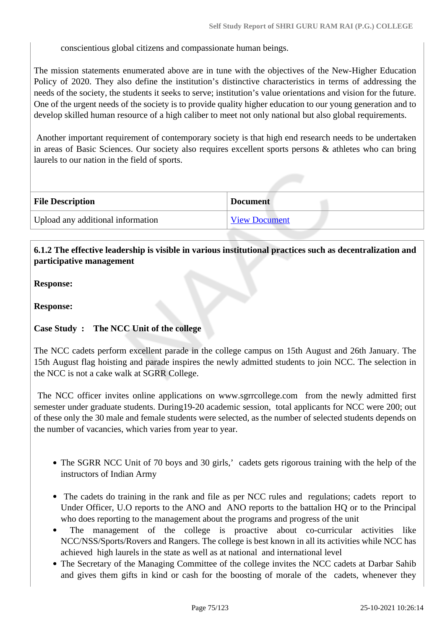conscientious global citizens and compassionate human beings.

The mission statements enumerated above are in tune with the objectives of the New-Higher Education Policy of 2020. They also define the institution's distinctive characteristics in terms of addressing the needs of the society, the students it seeks to serve; institution's value orientations and vision for the future. One of the urgent needs of the society is to provide quality higher education to our young generation and to develop skilled human resource of a high caliber to meet not only national but also global requirements.

 Another important requirement of contemporary society is that high end research needs to be undertaken in areas of Basic Sciences. Our society also requires excellent sports persons & athletes who can bring laurels to our nation in the field of sports.

| <b>File Description</b>           | <b>Document</b>      |
|-----------------------------------|----------------------|
| Upload any additional information | <b>View Document</b> |

# **6.1.2 The effective leadership is visible in various institutional practices such as decentralization and participative management**

**Response:** 

**Response:**

## **Case Study : The NCC Unit of the college**

The NCC cadets perform excellent parade in the college campus on 15th August and 26th January. The 15th August flag hoisting and parade inspires the newly admitted students to join NCC. The selection in the NCC is not a cake walk at SGRR College.

 The NCC officer invites online applications on www.sgrrcollege.com from the newly admitted first semester under graduate students. During19-20 academic session, total applicants for NCC were 200; out of these only the 30 male and female students were selected, as the number of selected students depends on the number of vacancies, which varies from year to year.

- The SGRR NCC Unit of 70 boys and 30 girls,' cadets gets rigorous training with the help of the instructors of Indian Army
- The cadets do training in the rank and file as per NCC rules and regulations; cadets report to Under Officer, U.O reports to the ANO and ANO reports to the battalion HQ or to the Principal who does reporting to the management about the programs and progress of the unit
- The management of the college is proactive about co-curricular activities like NCC/NSS/Sports/Rovers and Rangers. The college is best known in all its activities while NCC has achieved high laurels in the state as well as at national and international level
- The Secretary of the Managing Committee of the college invites the NCC cadets at Darbar Sahib and gives them gifts in kind or cash for the boosting of morale of the cadets, whenever they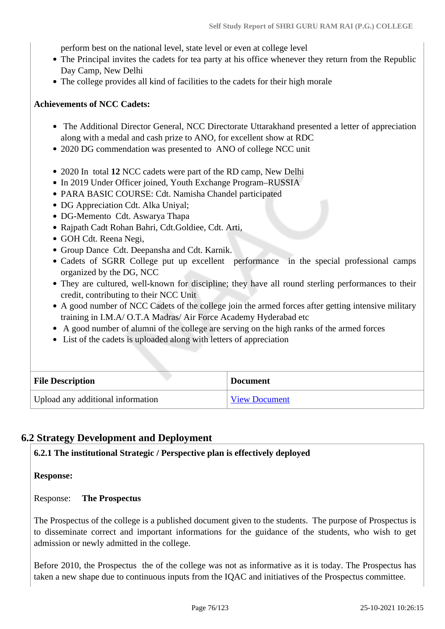perform best on the national level, state level or even at college level

- The Principal invites the cadets for tea party at his office whenever they return from the Republic Day Camp, New Delhi
- The college provides all kind of facilities to the cadets for their high morale

### **Achievements of NCC Cadets:**

- The Additional Director General, NCC Directorate Uttarakhand presented a letter of appreciation along with a medal and cash prize to ANO, for excellent show at RDC
- 2020 DG commendation was presented to ANO of college NCC unit
- 2020 In total **12** NCC cadets were part of the RD camp, New Delhi
- In 2019 Under Officer joined, Youth Exchange Program–RUSSIA
- PARA BASIC COURSE: Cdt. Namisha Chandel participated
- DG Appreciation Cdt. Alka Uniyal;
- DG-Memento Cdt. Aswarya Thapa
- Rajpath Cadt Rohan Bahri, Cdt.Goldiee, Cdt. Arti,
- GOH Cdt. Reena Negi,
- Group Dance Cdt. Deepansha and Cdt. Karnik.
- Cadets of SGRR College put up excellent performance in the special professional camps organized by the DG, NCC
- They are cultured, well-known for discipline; they have all round sterling performances to their credit, contributing to their NCC Unit
- A good number of NCC Cadets of the college join the armed forces after getting intensive military training in I.M.A/ O.T.A Madras/ Air Force Academy Hyderabad etc
- A good number of alumni of the college are serving on the high ranks of the armed forces
- List of the cadets is uploaded along with letters of appreciation

| <b>File Description</b>           | <b>Document</b>      |
|-----------------------------------|----------------------|
| Upload any additional information | <b>View Document</b> |

# **6.2 Strategy Development and Deployment**

**6.2.1 The institutional Strategic / Perspective plan is effectively deployed**

**Response:** 

Response: **The Prospectus**

The Prospectus of the college is a published document given to the students. The purpose of Prospectus is to disseminate correct and important informations for the guidance of the students, who wish to get admission or newly admitted in the college.

Before 2010, the Prospectus the of the college was not as informative as it is today. The Prospectus has taken a new shape due to continuous inputs from the IQAC and initiatives of the Prospectus committee.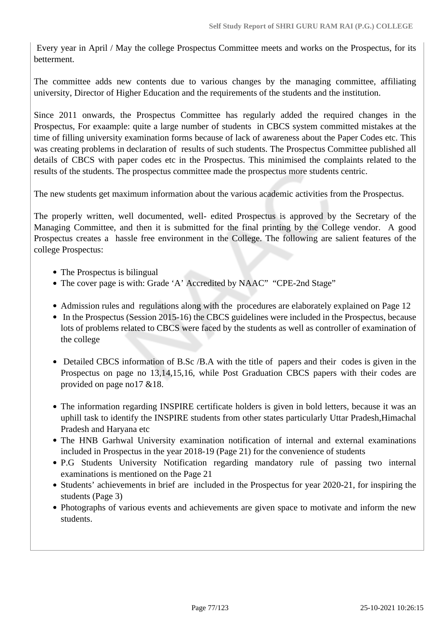Every year in April / May the college Prospectus Committee meets and works on the Prospectus, for its betterment.

The committee adds new contents due to various changes by the managing committee, affiliating university, Director of Higher Education and the requirements of the students and the institution.

Since 2011 onwards, the Prospectus Committee has regularly added the required changes in the Prospectus, For exaample: quite a large number of students in CBCS system committed mistakes at the time of filling university examination forms because of lack of awareness about the Paper Codes etc. This was creating problems in declaration of results of such students. The Prospectus Committee published all details of CBCS with paper codes etc in the Prospectus. This minimised the complaints related to the results of the students. The prospectus committee made the prospectus more students centric.

The new students get maximum information about the various academic activities from the Prospectus.

The properly written, well documented, well- edited Prospectus is approved by the Secretary of the Managing Committee, and then it is submitted for the final printing by the College vendor. A good Prospectus creates a hassle free environment in the College. The following are salient features of the college Prospectus:

- The Prospectus is bilingual
- The cover page is with: Grade 'A' Accredited by NAAC" "CPE-2nd Stage"
- Admission rules and regulations along with the procedures are elaborately explained on Page 12
- In the Prospectus (Session 2015-16) the CBCS guidelines were included in the Prospectus, because lots of problems related to CBCS were faced by the students as well as controller of examination of the college
- Detailed CBCS information of B.Sc /B.A with the title of papers and their codes is given in the Prospectus on page no 13,14,15,16, while Post Graduation CBCS papers with their codes are provided on page no17 &18.
- The information regarding INSPIRE certificate holders is given in bold letters, because it was an uphill task to identify the INSPIRE students from other states particularly Uttar Pradesh,Himachal Pradesh and Haryana etc
- The HNB Garhwal University examination notification of internal and external examinations included in Prospectus in the year 2018-19 (Page 21) for the convenience of students
- P.G Students University Notification regarding mandatory rule of passing two internal examinations is mentioned on the Page 21
- Students' achievements in brief are included in the Prospectus for year 2020-21, for inspiring the students (Page 3)
- Photographs of various events and achievements are given space to motivate and inform the new students.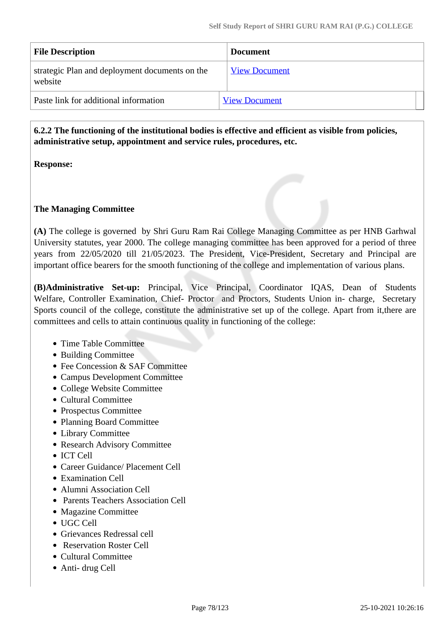| <b>File Description</b>                                   | <b>Document</b>      |
|-----------------------------------------------------------|----------------------|
| strategic Plan and deployment documents on the<br>website | <b>View Document</b> |
| Paste link for additional information                     | <b>View Document</b> |

 **6.2.2 The functioning of the institutional bodies is effective and efficient as visible from policies, administrative setup, appointment and service rules, procedures, etc.**

**Response:** 

## **The Managing Committee**

**(A)** The college is governed by Shri Guru Ram Rai College Managing Committee as per HNB Garhwal University statutes, year 2000. The college managing committee has been approved for a period of three years from 22/05/2020 till 21/05/2023. The President, Vice-President, Secretary and Principal are important office bearers for the smooth functioning of the college and implementation of various plans.

**(B)Administrative Set-up:** Principal, Vice Principal, Coordinator IQAS, Dean of Students Welfare, Controller Examination, Chief- Proctor and Proctors, Students Union in- charge, Secretary Sports council of the college, constitute the administrative set up of the college. Apart from it, there are committees and cells to attain continuous quality in functioning of the college:

- Time Table Committee
- Building Committee
- Fee Concession & SAF Committee
- Campus Development Committee
- College Website Committee
- Cultural Committee
- Prospectus Committee
- Planning Board Committee
- Library Committee
- Research Advisory Committee
- ICT Cell
- Career Guidance/ Placement Cell
- Examination Cell
- Alumni Association Cell
- Parents Teachers Association Cell
- Magazine Committee
- UGC Cell
- Grievances Redressal cell
- Reservation Roster Cell
- Cultural Committee
- Anti- drug Cell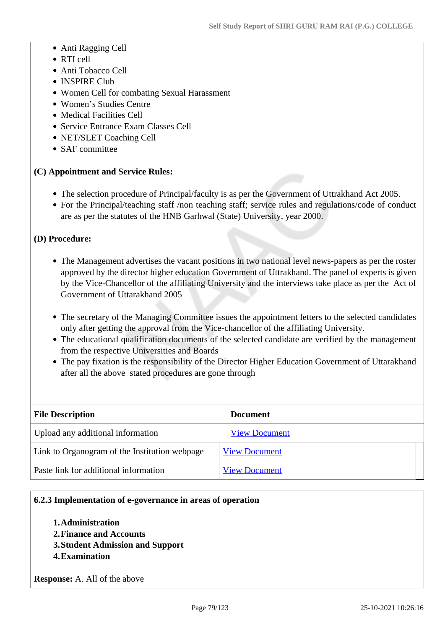- Anti Ragging Cell
- RTI cell
- Anti Tobacco Cell
- INSPIRE Club
- Women Cell for combating Sexual Harassment
- Women's Studies Centre
- Medical Facilities Cell
- Service Entrance Exam Classes Cell
- NET/SLET Coaching Cell
- SAF committee

## **(C) Appointment and Service Rules:**

- The selection procedure of Principal/faculty is as per the Government of Uttrakhand Act 2005.
- For the Principal/teaching staff /non teaching staff; service rules and regulations/code of conduct are as per the statutes of the HNB Garhwal (State) University, year 2000.

### **(D) Procedure:**

- The Management advertises the vacant positions in two national level news-papers as per the roster approved by the director higher education Government of Uttrakhand. The panel of experts is given by the Vice-Chancellor of the affiliating University and the interviews take place as per the Act of Government of Uttarakhand 2005
- The secretary of the Managing Committee issues the appointment letters to the selected candidates only after getting the approval from the Vice-chancellor of the affiliating University.
- The educational qualification documents of the selected candidate are verified by the management from the respective Universities and Boards
- The pay fixation is the responsibility of the Director Higher Education Government of Uttarakhand after all the above stated procedures are gone through

| <b>File Description</b>                       | <b>Document</b>      |
|-----------------------------------------------|----------------------|
| Upload any additional information             | <b>View Document</b> |
| Link to Organogram of the Institution webpage | <b>View Document</b> |
| Paste link for additional information         | <b>View Document</b> |

#### **6.2.3 Implementation of e-governance in areas of operation**

- **1.Administration**
- **2.Finance and Accounts**
- **3.Student Admission and Support**
- **4.Examination**

**Response:** A. All of the above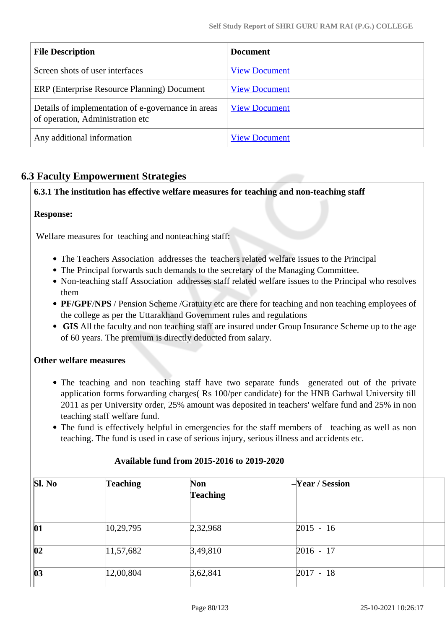| <b>File Description</b>                                                                | <b>Document</b>      |
|----------------------------------------------------------------------------------------|----------------------|
| Screen shots of user interfaces                                                        | <b>View Document</b> |
| ERP (Enterprise Resource Planning) Document                                            | <b>View Document</b> |
| Details of implementation of e-governance in areas<br>of operation, Administration etc | <b>View Document</b> |
| Any additional information                                                             | <b>View Document</b> |

# **6.3 Faculty Empowerment Strategies**

# **6.3.1 The institution has effective welfare measures for teaching and non-teaching staff**

# **Response:**

Welfare measures for teaching and nonteaching staff:

- The Teachers Association addresses the teachers related welfare issues to the Principal
- The Principal forwards such demands to the secretary of the Managing Committee.
- Non-teaching staff Association addresses staff related welfare issues to the Principal who resolves them
- **PF/GPF/NPS** / Pension Scheme /Gratuity etc are there for teaching and non teaching employees of the college as per the Uttarakhand Government rules and regulations
- **GIS** All the faculty and non teaching staff are insured under Group Insurance Scheme up to the age of 60 years. The premium is directly deducted from salary.

## **Other welfare measures**

- The teaching and non teaching staff have two separate funds generated out of the private application forms forwarding charges( Rs 100/per candidate) for the HNB Garhwal University till 2011 as per University order, 25% amount was deposited in teachers' welfare fund and 25% in non teaching staff welfare fund.
- The fund is effectively helpful in emergencies for the staff members of teaching as well as non teaching. The fund is used in case of serious injury, serious illness and accidents etc.

| SI. No       | <b>Teaching</b>     | <b>Non</b><br><b>Teaching</b> | $-Year / Session$ |  |
|--------------|---------------------|-------------------------------|-------------------|--|
| 01           | 10, 29, 795         | 2,32,968                      | $2015 - 16$       |  |
| $ 02\rangle$ | $ 11,57,682\rangle$ | 3,49,810                      | $2016 - 17$       |  |
| $ 03\rangle$ | 12,00,804           | 3,62,841                      | $2017 - 18$       |  |

#### **Available fund from 2015-2016 to 2019-2020**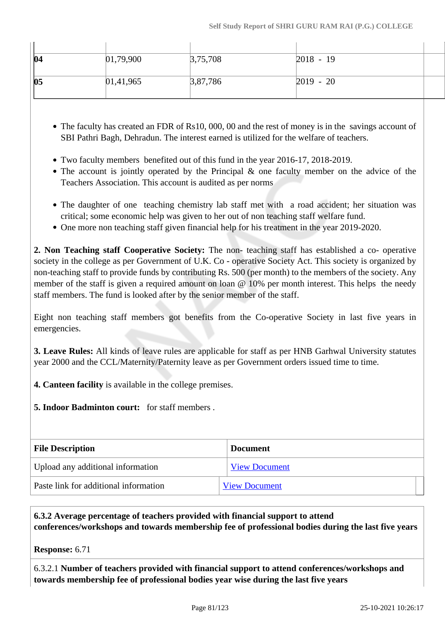| 04 | 01,79,900     | 3,75,708 | $2018 - 19$ |  |
|----|---------------|----------|-------------|--|
|    |               |          |             |  |
| 05 | [01, 41, 965] | 3,87,786 | $2019 - 20$ |  |
|    |               |          |             |  |

- The faculty has created an FDR of Rs10, 000, 00 and the rest of money is in the savings account of SBI Pathri Bagh, Dehradun. The interest earned is utilized for the welfare of teachers.
- Two faculty members benefited out of this fund in the year 2016-17, 2018-2019.
- The account is jointly operated by the Principal & one faculty member on the advice of the Teachers Association. This account is audited as per norms
- The daughter of one teaching chemistry lab staff met with a road accident; her situation was critical; some economic help was given to her out of non teaching staff welfare fund.
- One more non teaching staff given financial help for his treatment in the year 2019-2020.

**2. Non Teaching staff Cooperative Society:** The non- teaching staff has established a co- operative society in the college as per Government of U.K. Co - operative Society Act. This society is organized by non-teaching staff to provide funds by contributing Rs. 500 (per month) to the members of the society. Any member of the staff is given a required amount on loan @ 10% per month interest. This helps the needy staff members. The fund is looked after by the senior member of the staff.

Eight non teaching staff members got benefits from the Co-operative Society in last five years in emergencies.

**3. Leave Rules:** All kinds of leave rules are applicable for staff as per HNB Garhwal University statutes year 2000 and the CCL/Maternity/Paternity leave as per Government orders issued time to time.

- **4. Canteen facility** is available in the college premises.
- **5. Indoor Badminton court:** for staff members .

| <b>File Description</b>               | <b>Document</b>      |
|---------------------------------------|----------------------|
| Upload any additional information     | <b>View Document</b> |
| Paste link for additional information | <b>View Document</b> |

# **6.3.2 Average percentage of teachers provided with financial support to attend conferences/workshops and towards membership fee of professional bodies during the last five years**

**Response:** 6.71

6.3.2.1 **Number of teachers provided with financial support to attend conferences/workshops and towards membership fee of professional bodies year wise during the last five years**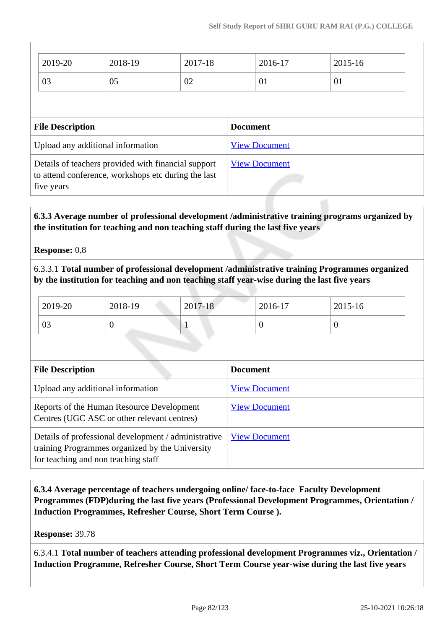| 2019-20                                                                                                                  | 2018-19 | 2017-18 |                      | 2016-17 | 2015-16 |
|--------------------------------------------------------------------------------------------------------------------------|---------|---------|----------------------|---------|---------|
| 03                                                                                                                       | 05      | 02      |                      | 01      | 01      |
|                                                                                                                          |         |         |                      |         |         |
| <b>File Description</b>                                                                                                  |         |         | <b>Document</b>      |         |         |
| Upload any additional information                                                                                        |         |         | <b>View Document</b> |         |         |
| Details of teachers provided with financial support<br>to attend conference, workshops etc during the last<br>five years |         |         | <b>View Document</b> |         |         |

 **6.3.3 Average number of professional development /administrative training programs organized by the institution for teaching and non teaching staff during the last five years**

## **Response:** 0.8

6.3.3.1 **Total number of professional development /administrative training Programmes organized by the institution for teaching and non teaching staff year-wise during the last five years**

| $2019-20$ | 2018-19 | 2017-18 | $2016-17$ | 2015-16 |
|-----------|---------|---------|-----------|---------|
| 03        |         |         |           |         |

| <b>File Description</b>                                                                                                                        | <b>Document</b>      |
|------------------------------------------------------------------------------------------------------------------------------------------------|----------------------|
| Upload any additional information                                                                                                              | <b>View Document</b> |
| Reports of the Human Resource Development<br>Centres (UGC ASC or other relevant centres)                                                       | <b>View Document</b> |
| Details of professional development / administrative<br>training Programmes organized by the University<br>for teaching and non teaching staff | <b>View Document</b> |

 **6.3.4 Average percentage of teachers undergoing online/ face-to-face Faculty Development Programmes (FDP)during the last five years (Professional Development Programmes, Orientation / Induction Programmes, Refresher Course, Short Term Course ).**

**Response:** 39.78

6.3.4.1 **Total number of teachers attending professional development Programmes viz., Orientation / Induction Programme, Refresher Course, Short Term Course year-wise during the last five years**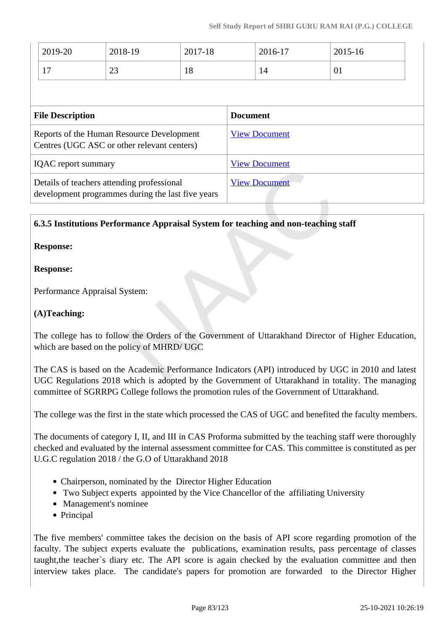| 2019-20                                                                                         | 2018-19 | 2017-18 |                      | 2016-17              | 2015-16 |  |
|-------------------------------------------------------------------------------------------------|---------|---------|----------------------|----------------------|---------|--|
| 17                                                                                              | 23      | 18      |                      | 14                   | 01      |  |
|                                                                                                 |         |         |                      |                      |         |  |
| <b>File Description</b>                                                                         |         |         | <b>Document</b>      |                      |         |  |
| Reports of the Human Resource Development<br>Centres (UGC ASC or other relevant centers)        |         |         |                      | <b>View Document</b> |         |  |
| <b>IQAC</b> report summary                                                                      |         |         |                      | <b>View Document</b> |         |  |
| Details of teachers attending professional<br>development programmes during the last five years |         |         | <b>View Document</b> |                      |         |  |

## **6.3.5 Institutions Performance Appraisal System for teaching and non-teaching staff**

### **Response:**

### **Response:**

Performance Appraisal System:

### **(A)Teaching:**

The college has to follow the Orders of the Government of Uttarakhand Director of Higher Education, which are based on the policy of MHRD/ UGC

The CAS is based on the Academic Performance Indicators (API) introduced by UGC in 2010 and latest UGC Regulations 2018 which is adopted by the Government of Uttarakhand in totality. The managing committee of SGRRPG College follows the promotion rules of the Government of Uttarakhand.

The college was the first in the state which processed the CAS of UGC and benefited the faculty members.

The documents of category I, II, and III in CAS Proforma submitted by the teaching staff were thoroughly checked and evaluated by the internal assessment committee for CAS. This committee is constituted as per U.G.C regulation 2018 / the G.O of Uttarakhand 2018

- Chairperson, nominated by the Director Higher Education
- Two Subject experts appointed by the Vice Chancellor of the affiliating University
- Management's nominee
- Principal

The five members' committee takes the decision on the basis of API score regarding promotion of the faculty. The subject experts evaluate the publications, examination results, pass percentage of classes taught,the teacher`s diary etc. The API score is again checked by the evaluation committee and then interview takes place. The candidate's papers for promotion are forwarded to the Director Higher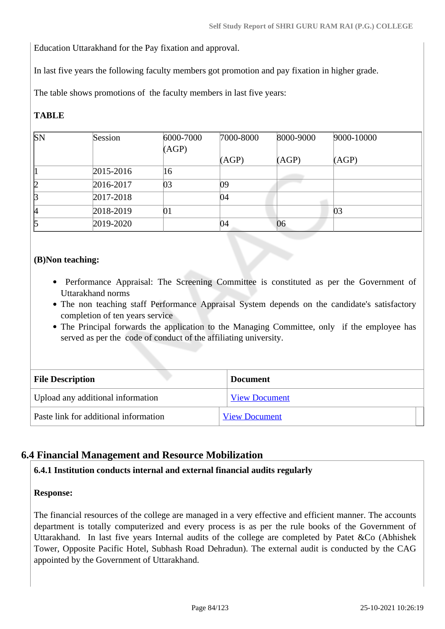Education Uttarakhand for the Pay fixation and approval.

In last five years the following faculty members got promotion and pay fixation in higher grade.

The table shows promotions of the faculty members in last five years:

# **TABLE**

| SN | Session   | 6000-7000 | 7000-8000 | 8000-9000 | 9000-10000 |
|----|-----------|-----------|-----------|-----------|------------|
|    |           | (AGP)     |           |           |            |
|    |           |           | (AGP)     | (AGP)     | (AGP)      |
|    | 2015-2016 | 16        |           |           |            |
| 12 | 2016-2017 | 03        | 09        |           |            |
| B  | 2017-2018 |           | 04        |           |            |
| 14 | 2018-2019 | 01        |           |           | 03         |
| 5  | 2019-2020 |           | 04        | 06        |            |

# **(B)Non teaching:**

- Performance Appraisal: The Screening Committee is constituted as per the Government of Uttarakhand norms
- The non teaching staff Performance Appraisal System depends on the candidate's satisfactory completion of ten years service
- The Principal forwards the application to the Managing Committee, only if the employee has served as per the code of conduct of the affiliating university.

| <b>File Description</b>               | <b>Document</b>      |
|---------------------------------------|----------------------|
| Upload any additional information     | <b>View Document</b> |
| Paste link for additional information | <b>View Document</b> |

# **6.4 Financial Management and Resource Mobilization**

## **6.4.1 Institution conducts internal and external financial audits regularly**

#### **Response:**

The financial resources of the college are managed in a very effective and efficient manner. The accounts department is totally computerized and every process is as per the rule books of the Government of Uttarakhand. In last five years Internal audits of the college are completed by Patet &Co (Abhishek Tower, Opposite Pacific Hotel, Subhash Road Dehradun). The external audit is conducted by the CAG appointed by the Government of Uttarakhand.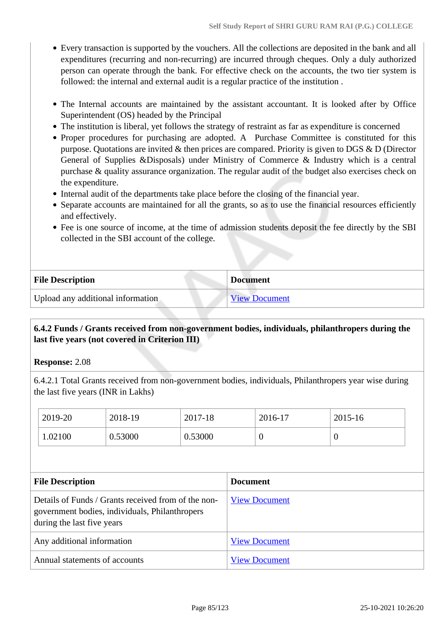- Every transaction is supported by the vouchers. All the collections are deposited in the bank and all expenditures (recurring and non-recurring) are incurred through cheques. Only a duly authorized person can operate through the bank. For effective check on the accounts, the two tier system is followed: the internal and external audit is a regular practice of the institution .
- The Internal accounts are maintained by the assistant accountant. It is looked after by Office Superintendent (OS) headed by the Principal
- The institution is liberal, yet follows the strategy of restraint as far as expenditure is concerned
- Proper procedures for purchasing are adopted. A Purchase Committee is constituted for this purpose. Quotations are invited & then prices are compared. Priority is given to DGS & D (Director General of Supplies &Disposals) under Ministry of Commerce & Industry which is a central purchase & quality assurance organization. The regular audit of the budget also exercises check on the expenditure.
- Internal audit of the departments take place before the closing of the financial year.
- Separate accounts are maintained for all the grants, so as to use the financial resources efficiently and effectively.
- Fee is one source of income, at the time of admission students deposit the fee directly by the SBI collected in the SBI account of the college.

| <b>File Description</b>           | <b>Document</b>      |
|-----------------------------------|----------------------|
| Upload any additional information | <b>View Document</b> |

# **6.4.2 Funds / Grants received from non-government bodies, individuals, philanthropers during the last five years (not covered in Criterion III)**

**Response:** 2.08

6.4.2.1 Total Grants received from non-government bodies, individuals, Philanthropers year wise during the last five years (INR in Lakhs)

| 2019-20 | 2018-19 | 2017-18 | 2016-17 | 2015-16 |
|---------|---------|---------|---------|---------|
| 1.02100 | 0.53000 | 0.53000 | ◡       | ν       |

| <b>File Description</b>                                                                                                             | <b>Document</b>      |
|-------------------------------------------------------------------------------------------------------------------------------------|----------------------|
| Details of Funds / Grants received from of the non-<br>government bodies, individuals, Philanthropers<br>during the last five years | <b>View Document</b> |
| Any additional information                                                                                                          | <b>View Document</b> |
| Annual statements of accounts                                                                                                       | <b>View Document</b> |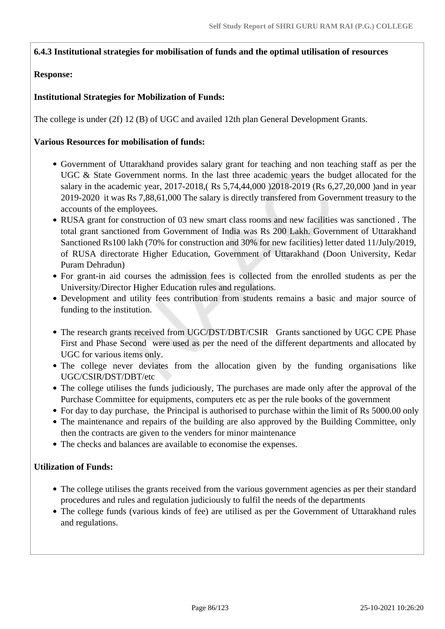### **6.4.3 Institutional strategies for mobilisation of funds and the optimal utilisation of resources**

### **Response:**

### **Institutional Strategies for Mobilization of Funds:**

The college is under (2f) 12 (B) of UGC and availed 12th plan General Development Grants.

#### **Various Resources for mobilisation of funds:**

- Government of Uttarakhand provides salary grant for teaching and non teaching staff as per the UGC & State Government norms. In the last three academic years the budget allocated for the salary in the academic year, 2017-2018,( Rs 5,74,44,000 )2018-2019 (Rs 6,27,20,000 )and in year 2019-2020 it was Rs 7,88,61,000 The salary is directly transfered from Government treasury to the accounts of the employees.
- RUSA grant for construction of 03 new smart class rooms and new facilities was sanctioned . The total grant sanctioned from Government of India was Rs 200 Lakh. Government of Uttarakhand Sanctioned Rs100 lakh (70% for construction and 30% for new facilities) letter dated 11/July/2019, of RUSA directorate Higher Education, Government of Uttarakhand (Doon University, Kedar Puram Dehradun)
- For grant-in aid courses the admission fees is collected from the enrolled students as per the University/Director Higher Education rules and regulations.
- Development and utility fees contribution from students remains a basic and major source of funding to the institution.
- The research grants received from UGC/DST/DBT/CSIR Grants sanctioned by UGC CPE Phase First and Phase Second were used as per the need of the different departments and allocated by UGC for various items only.
- The college never deviates from the allocation given by the funding organisations like UGC/CSIR/DST/DBT/etc
- The college utilises the funds judiciously, The purchases are made only after the approval of the Purchase Committee for equipments, computers etc as per the rule books of the government
- For day to day purchase, the Principal is authorised to purchase within the limit of Rs 5000.00 only
- The maintenance and repairs of the building are also approved by the Building Committee, only then the contracts are given to the venders for minor maintenance
- The checks and balances are available to economise the expenses.

#### **Utilization of Funds:**

- The college utilises the grants received from the various government agencies as per their standard procedures and rules and regulation judiciously to fulfil the needs of the departments
- The college funds (various kinds of fee) are utilised as per the Government of Uttarakhand rules and regulations.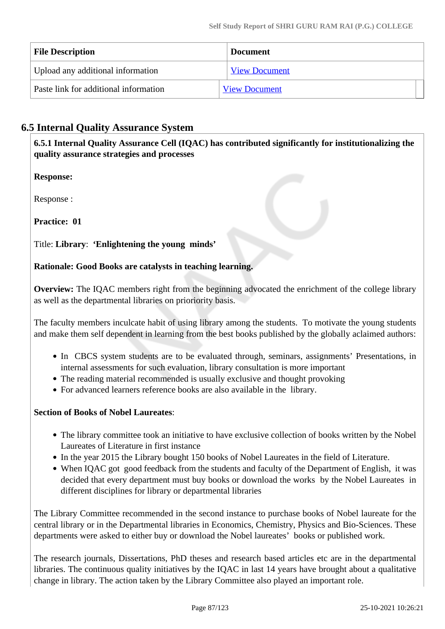| <b>File Description</b>               | <b>Document</b>      |  |
|---------------------------------------|----------------------|--|
| Upload any additional information     | <b>View Document</b> |  |
| Paste link for additional information | <b>View Document</b> |  |

# **6.5 Internal Quality Assurance System**

 **6.5.1 Internal Quality Assurance Cell (IQAC) has contributed significantly for institutionalizing the quality assurance strategies and processes**

**Response:** 

Response :

**Practice: 01**

# Title: **Library**: **'Enlightening the young minds'**

# **Rationale: Good Books are catalysts in teaching learning.**

**Overview:** The IQAC members right from the beginning advocated the enrichment of the college library as well as the departmental libraries on prioriority basis.

The faculty members inculcate habit of using library among the students. To motivate the young students and make them self dependent in learning from the best books published by the globally aclaimed authors:

- In CBCS system students are to be evaluated through, seminars, assignments' Presentations, in internal assessments for such evaluation, library consultation is more important
- The reading material recommended is usually exclusive and thought provoking
- For advanced learners reference books are also available in the library.

# **Section of Books of Nobel Laureates**:

- The library committee took an initiative to have exclusive collection of books written by the Nobel Laureates of Literature in first instance
- In the year 2015 the Library bought 150 books of Nobel Laureates in the field of Literature.
- When IQAC got good feedback from the students and faculty of the Department of English, it was decided that every department must buy books or download the works by the Nobel Laureates in different disciplines for library or departmental libraries

The Library Committee recommended in the second instance to purchase books of Nobel laureate for the central library or in the Departmental libraries in Economics, Chemistry, Physics and Bio-Sciences. These departments were asked to either buy or download the Nobel laureates' books or published work.

The research journals, Dissertations, PhD theses and research based articles etc are in the departmental libraries. The continuous quality initiatives by the IQAC in last 14 years have brought about a qualitative change in library. The action taken by the Library Committee also played an important role.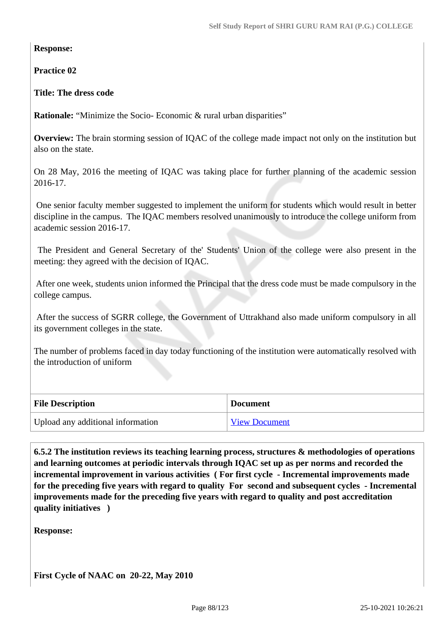**Response:** 

**Practice 02**

**Title: The dress code**

**Rationale:** "Minimize the Socio- Economic & rural urban disparities"

**Overview:** The brain storming session of IQAC of the college made impact not only on the institution but also on the state.

On 28 May, 2016 the meeting of IQAC was taking place for further planning of the academic session 2016-17.

 One senior faculty member suggested to implement the uniform for students which would result in better discipline in the campus. The IQAC members resolved unanimously to introduce the college uniform from academic session 2016-17.

 The President and General Secretary of the' Students' Union of the college were also present in the meeting: they agreed with the decision of IQAC.

 After one week, students union informed the Principal that the dress code must be made compulsory in the college campus.

 After the success of SGRR college, the Government of Uttrakhand also made uniform compulsory in all its government colleges in the state.

The number of problems faced in day today functioning of the institution were automatically resolved with the introduction of uniform

| <b>File Description</b>           | <b>Document</b>      |
|-----------------------------------|----------------------|
| Upload any additional information | <b>View Document</b> |

 **6.5.2 The institution reviews its teaching learning process, structures & methodologies of operations and learning outcomes at periodic intervals through IQAC set up as per norms and recorded the incremental improvement in various activities ( For first cycle - Incremental improvements made for the preceding five years with regard to quality For second and subsequent cycles - Incremental improvements made for the preceding five years with regard to quality and post accreditation quality initiatives )** 

**Response:**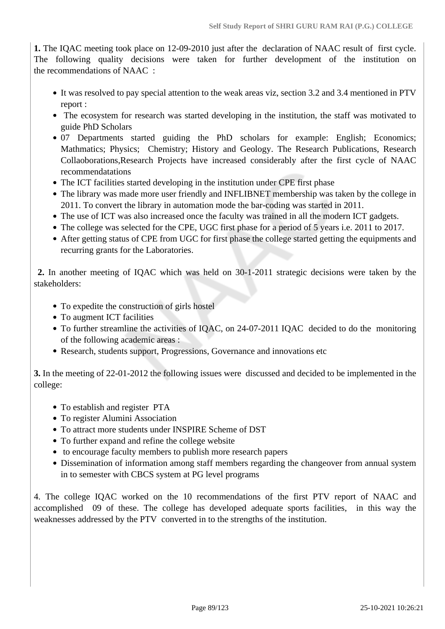**1.** The IQAC meeting took place on 12-09-2010 just after the declaration of NAAC result of first cycle. The following quality decisions were taken for further development of the institution on the recommendations of NAAC :

- It was resolved to pay special attention to the weak areas viz, section 3.2 and 3.4 mentioned in PTV report :
- The ecosystem for research was started developing in the institution, the staff was motivated to guide PhD Scholars
- 07 Departments started guiding the PhD scholars for example: English; Economics; Mathmatics; Physics; Chemistry; History and Geology. The Research Publications, Research Collaoborations,Research Projects have increased considerably after the first cycle of NAAC recommendatations
- The ICT facilities started developing in the institution under CPE first phase
- The library was made more user friendly and INFLIBNET membership was taken by the college in 2011. To convert the library in automation mode the bar-coding was started in 2011.
- The use of ICT was also increased once the faculty was trained in all the modern ICT gadgets.
- The college was selected for the CPE, UGC first phase for a period of 5 years i.e. 2011 to 2017.
- After getting status of CPE from UGC for first phase the college started getting the equipments and recurring grants for the Laboratories.

 **2.** In another meeting of IQAC which was held on 30-1-2011 strategic decisions were taken by the stakeholders:

- To expedite the construction of girls hostel
- To augment ICT facilities
- To further streamline the activities of IQAC, on 24-07-2011 IQAC decided to do the monitoring of the following academic areas :
- Research, students support, Progressions, Governance and innovations etc

**3.** In the meeting of 22-01-2012 the following issues were discussed and decided to be implemented in the college:

- To establish and register PTA
- To register Alumini Association
- To attract more students under INSPIRE Scheme of DST
- To further expand and refine the college website
- to encourage faculty members to publish more research papers
- Dissemination of information among staff members regarding the changeover from annual system in to semester with CBCS system at PG level programs

4. The college IQAC worked on the 10 recommendations of the first PTV report of NAAC and accomplished 09 of these. The college has developed adequate sports facilities, in this way the weaknesses addressed by the PTV converted in to the strengths of the institution.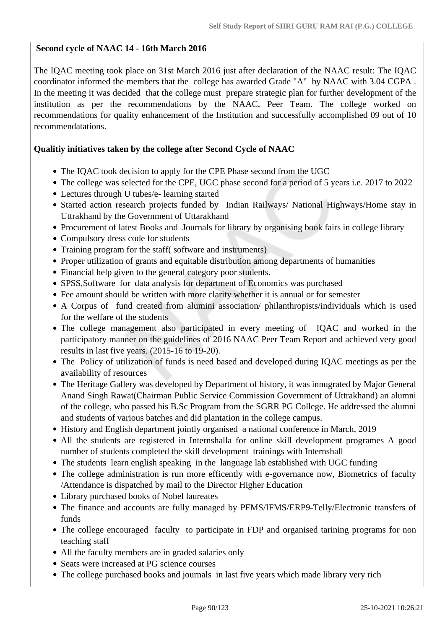# **Second cycle of NAAC 14 - 16th March 2016**

The IQAC meeting took place on 31st March 2016 just after declaration of the NAAC result: The IQAC coordinator informed the members that the college has awarded Grade "A" by NAAC with 3.04 CGPA . In the meeting it was decided that the college must prepare strategic plan for further development of the institution as per the recommendations by the NAAC, Peer Team. The college worked on recommendations for quality enhancement of the Institution and successfully accomplished 09 out of 10 recommendatations.

### **Qualitiy initiatives taken by the college after Second Cycle of NAAC**

- The IQAC took decision to apply for the CPE Phase second from the UGC
- The college was selected for the CPE, UGC phase second for a period of 5 years i.e. 2017 to 2022
- Lectures through U tubes/e- learning started
- Started action research projects funded by Indian Railways/ National Highways/Home stay in Uttrakhand by the Government of Uttarakhand
- Procurement of latest Books and Journals for library by organising book fairs in college library
- Compulsory dress code for students
- Training program for the staff (software and instruments)
- Proper utilization of grants and equitable distribution among departments of humanities
- Financial help given to the general category poor students.
- SPSS, Software for data analysis for department of Economics was purchased
- Fee amount should be written with more clarity whether it is annual or for semester
- A Corpus of fund created from alumini association/ philanthropists/individuals which is used for the welfare of the students
- The college management also participated in every meeting of IQAC and worked in the participatory manner on the guidelines of 2016 NAAC Peer Team Report and achieved very good results in last five years. (2015-16 to 19-20).
- The Policy of utilization of funds is need based and developed during IQAC meetings as per the availability of resources
- The Heritage Gallery was developed by Department of history, it was innugrated by Major General Anand Singh Rawat(Chairman Public Service Commission Government of Uttrakhand) an alumni of the college, who passed his B.Sc Program from the SGRR PG College. He addressed the alumni and students of various batches and did plantation in the college campus.
- History and English department jointly organised a national conference in March, 2019
- All the students are registered in Internshalla for online skill development programes A good number of students completed the skill development trainings with Internshall
- The students learn english speaking in the language lab established with UGC funding
- The college administration is run more efficently with e-governance now, Biometrics of faculty /Attendance is dispatched by mail to the Director Higher Education
- Library purchased books of Nobel laureates
- The finance and accounts are fully managed by PFMS/IFMS/ERP9-Telly/Electronic transfers of funds
- The college encouraged faculty to participate in FDP and organised tarining programs for non teaching staff
- All the faculty members are in graded salaries only
- Seats were increased at PG science courses
- The college purchased books and journals in last five years which made library very rich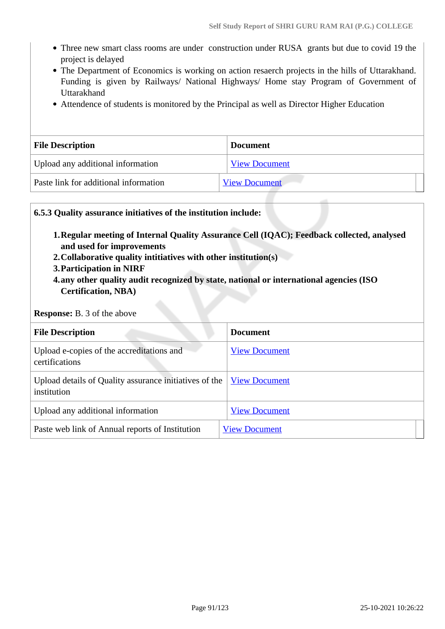- Three new smart class rooms are under construction under RUSA grants but due to covid 19 the project is delayed
- The Department of Economics is working on action resaerch projects in the hills of Uttarakhand. Funding is given by Railways/ National Highways/ Home stay Program of Government of Uttarakhand
- Attendence of students is monitored by the Principal as well as Director Higher Education

| <b>File Description</b>               | <b>Document</b>      |
|---------------------------------------|----------------------|
| Upload any additional information     | <b>View Document</b> |
| Paste link for additional information | <b>View Document</b> |

### **6.5.3 Quality assurance initiatives of the institution include:**

- **1.Regular meeting of Internal Quality Assurance Cell (IQAC); Feedback collected, analysed and used for improvements**
- **2.Collaborative quality intitiatives with other institution(s)**
- **3.Participation in NIRF**
- **4.any other quality audit recognized by state, national or international agencies (ISO Certification, NBA)**

#### **Response:** B. 3 of the above

| <b>File Description</b>                                               | <b>Document</b>      |  |
|-----------------------------------------------------------------------|----------------------|--|
| Upload e-copies of the accreditations and<br>certifications           | <b>View Document</b> |  |
| Upload details of Quality assurance initiatives of the<br>institution | <b>View Document</b> |  |
| Upload any additional information                                     | <b>View Document</b> |  |
| Paste web link of Annual reports of Institution                       | <b>View Document</b> |  |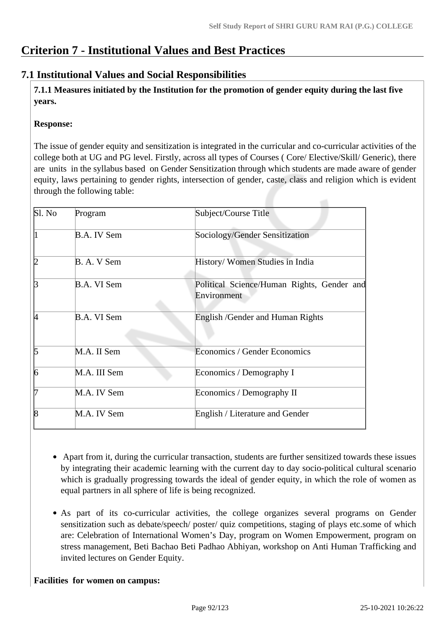# **Criterion 7 - Institutional Values and Best Practices**

# **7.1 Institutional Values and Social Responsibilities**

 **7.1.1 Measures initiated by the Institution for the promotion of gender equity during the last five years.**

# **Response:**

The issue of gender equity and sensitization is integrated in the curricular and co-curricular activities of the college both at UG and PG level. Firstly, across all types of Courses ( Core/ Elective/Skill/ Generic), there are units in the syllabus based on Gender Sensitization through which students are made aware of gender equity, laws pertaining to gender rights, intersection of gender, caste, class and religion which is evident through the following table:

| S1. No | Program            | Subject/Course Title                                      |
|--------|--------------------|-----------------------------------------------------------|
|        | <b>B.A. IV Sem</b> | Sociology/Gender Sensitization                            |
| 12     | B. A. V Sem        | History/ Women Studies in India                           |
| ß      | <b>B.A. VI Sem</b> | Political Science/Human Rights, Gender and<br>Environment |
| И      | <b>B.A. VI Sem</b> | English / Gender and Human Rights                         |
| 5      | M.A. II Sem        | Economics / Gender Economics                              |
| 6      | M.A. III Sem       | Economics / Demography I                                  |
| 17     | M.A. IV Sem        | Economics / Demography II                                 |
| 18     | M.A. IV Sem        | English / Literature and Gender                           |

- Apart from it, during the curricular transaction, students are further sensitized towards these issues by integrating their academic learning with the current day to day socio-political cultural scenario which is gradually progressing towards the ideal of gender equity, in which the role of women as equal partners in all sphere of life is being recognized.
- As part of its co-curricular activities, the college organizes several programs on Gender sensitization such as debate/speech/ poster/ quiz competitions, staging of plays etc.some of which are: Celebration of International Women's Day, program on Women Empowerment, program on stress management, Beti Bachao Beti Padhao Abhiyan, workshop on Anti Human Trafficking and invited lectures on Gender Equity.

## **Facilities for women on campus:**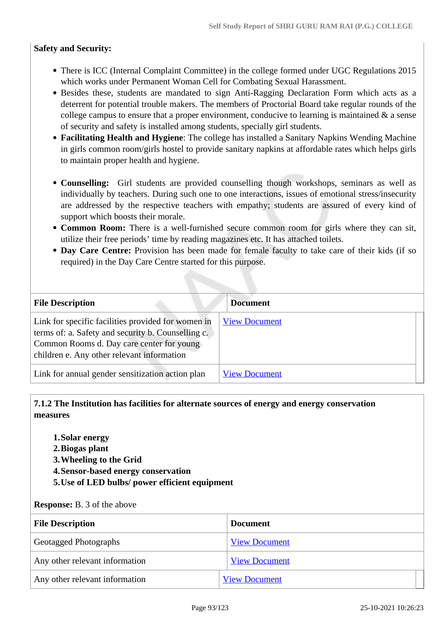### **Safety and Security:**

- There is ICC (Internal Complaint Committee) in the college formed under UGC Regulations 2015 which works under Permanent Woman Cell for Combating Sexual Harassment.
- Besides these, students are mandated to sign Anti-Ragging Declaration Form which acts as a deterrent for potential trouble makers. The members of Proctorial Board take regular rounds of the college campus to ensure that a proper environment, conducive to learning is maintained  $\&$  a sense of security and safety is installed among students, specially girl students.
- **Facilitating Health and Hygiene**: The college has installed a Sanitary Napkins Wending Machine in girls common room/girls hostel to provide sanitary napkins at affordable rates which helps girls to maintain proper health and hygiene.
- **Counselling:** Girl students are provided counselling though workshops, seminars as well as individually by teachers. During such one to one interactions, issues of emotional stress/insecurity are addressed by the respective teachers with empathy; students are assured of every kind of support which boosts their morale.
- **Common Room:** There is a well-furnished secure common room for girls where they can sit, utilize their free periods' time by reading magazines etc. It has attached toilets.
- **Day Care Centre:** Provision has been made for female faculty to take care of their kids (if so required) in the Day Care Centre started for this purpose.

| <b>File Description</b>                                                                                                                                                                             | <b>Document</b>      |
|-----------------------------------------------------------------------------------------------------------------------------------------------------------------------------------------------------|----------------------|
| Link for specific facilities provided for women in<br>terms of: a. Safety and security b. Counselling c.<br>Common Rooms d. Day care center for young<br>children e. Any other relevant information | <b>View Document</b> |
| Link for annual gender sensitization action plan                                                                                                                                                    | <b>View Document</b> |

# **7.1.2 The Institution has facilities for alternate sources of energy and energy conservation measures**

- **1.Solar energy**
- **2.Biogas plant**
- **3.Wheeling to the Grid**
- **4.Sensor-based energy conservation**
- **5.Use of LED bulbs/ power efficient equipment**

#### **Response:** B. 3 of the above

| <b>File Description</b>        | <b>Document</b>      |
|--------------------------------|----------------------|
| <b>Geotagged Photographs</b>   | <b>View Document</b> |
| Any other relevant information | <b>View Document</b> |
| Any other relevant information | <b>View Document</b> |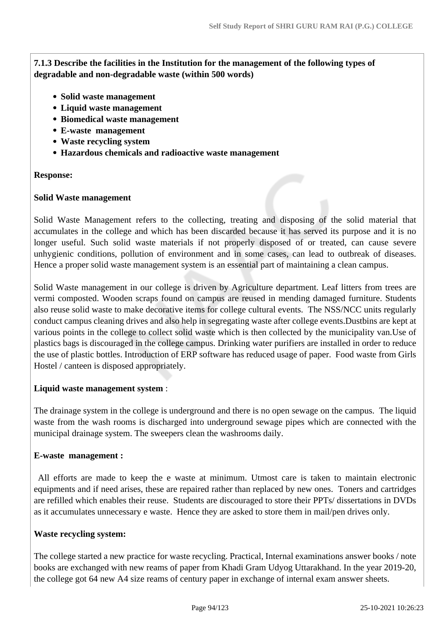**7.1.3 Describe the facilities in the Institution for the management of the following types of degradable and non-degradable waste (within 500 words)**

- **Solid waste management**
- **Liquid waste management**
- **Biomedical waste management**
- **E-waste management**
- **Waste recycling system**
- **Hazardous chemicals and radioactive waste management**

#### **Response:**

#### **Solid Waste management**

Solid Waste Management refers to the collecting, treating and disposing of the solid material that accumulates in the college and which has been discarded because it has served its purpose and it is no longer useful. Such solid waste materials if not properly disposed of or treated, can cause severe unhygienic conditions, pollution of environment and in some cases, can lead to outbreak of diseases. Hence a proper solid waste management system is an essential part of maintaining a clean campus.

Solid Waste management in our college is driven by Agriculture department. Leaf litters from trees are vermi composted. Wooden scraps found on campus are reused in mending damaged furniture. Students also reuse solid waste to make decorative items for college cultural events. The NSS/NCC units regularly conduct campus cleaning drives and also help in segregating waste after college events.Dustbins are kept at various points in the college to collect solid waste which is then collected by the municipality van.Use of plastics bags is discouraged in the college campus. Drinking water purifiers are installed in order to reduce the use of plastic bottles. Introduction of ERP software has reduced usage of paper. Food waste from Girls Hostel / canteen is disposed appropriately.

#### **Liquid waste management system** :

The drainage system in the college is underground and there is no open sewage on the campus. The liquid waste from the wash rooms is discharged into underground sewage pipes which are connected with the municipal drainage system. The sweepers clean the washrooms daily.

#### **E-waste management :**

 All efforts are made to keep the e waste at minimum. Utmost care is taken to maintain electronic equipments and if need arises, these are repaired rather than replaced by new ones. Toners and cartridges are refilled which enables their reuse. Students are discouraged to store their PPTs/ dissertations in DVDs as it accumulates unnecessary e waste. Hence they are asked to store them in mail/pen drives only.

#### **Waste recycling system:**

The college started a new practice for waste recycling. Practical, Internal examinations answer books / note books are exchanged with new reams of paper from Khadi Gram Udyog Uttarakhand. In the year 2019-20, the college got 64 new A4 size reams of century paper in exchange of internal exam answer sheets.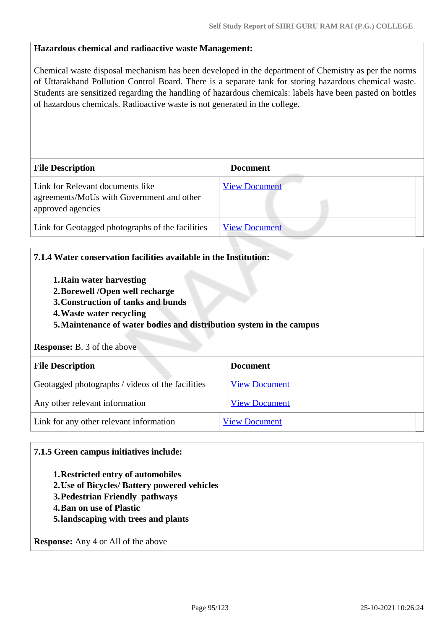### **Hazardous chemical and radioactive waste Management:**

Chemical waste disposal mechanism has been developed in the department of Chemistry as per the norms of Uttarakhand Pollution Control Board. There is a separate tank for storing hazardous chemical waste. Students are sensitized regarding the handling of hazardous chemicals: labels have been pasted on bottles of hazardous chemicals. Radioactive waste is not generated in the college.

| <b>File Description</b>                                                                            | <b>Document</b>      |
|----------------------------------------------------------------------------------------------------|----------------------|
| Link for Relevant documents like<br>agreements/MoUs with Government and other<br>approved agencies | <b>View Document</b> |
| Link for Geotagged photographs of the facilities                                                   | <b>View Document</b> |

### **7.1.4 Water conservation facilities available in the Institution:**

- **1.Rain water harvesting**
- **2.Borewell /Open well recharge**
- **3.Construction of tanks and bunds**
- **4.Waste water recycling**

## **5.Maintenance of water bodies and distribution system in the campus**

#### **Response:** B. 3 of the above

| <b>File Description</b>                          | <b>Document</b>      |
|--------------------------------------------------|----------------------|
| Geotagged photographs / videos of the facilities | <b>View Document</b> |
| Any other relevant information                   | <b>View Document</b> |
| Link for any other relevant information          | <b>View Document</b> |

#### **7.1.5 Green campus initiatives include:**

- **1.Restricted entry of automobiles**
- **2.Use of Bicycles/ Battery powered vehicles**
- **3.Pedestrian Friendly pathways**
- **4.Ban on use of Plastic**
- **5.landscaping with trees and plants**

**Response:** Any 4 or All of the above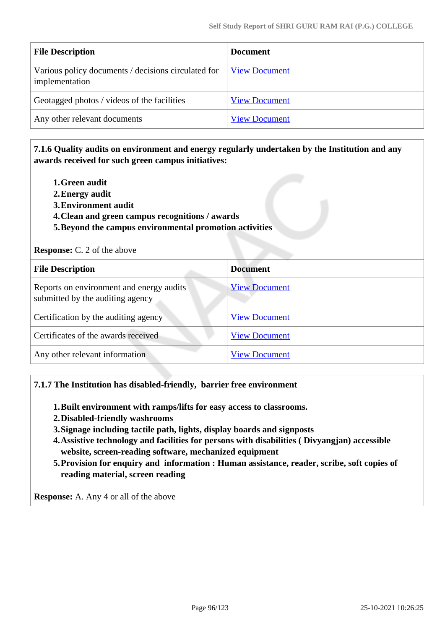| <b>File Description</b>                                               | <b>Document</b>      |
|-----------------------------------------------------------------------|----------------------|
| Various policy documents / decisions circulated for<br>implementation | <b>View Document</b> |
| Geotagged photos / videos of the facilities                           | <b>View Document</b> |
| Any other relevant documents                                          | <b>View Document</b> |

# **7.1.6 Quality audits on environment and energy regularly undertaken by the Institution and any awards received for such green campus initiatives:**

- **1.Green audit**
- **2.Energy audit**
- **3.Environment audit**
- **4.Clean and green campus recognitions / awards**
- **5.Beyond the campus environmental promotion activities**

#### **Response:** C. 2 of the above

| <b>File Description</b>                                                      | <b>Document</b>      |
|------------------------------------------------------------------------------|----------------------|
| Reports on environment and energy audits<br>submitted by the auditing agency | <b>View Document</b> |
| Certification by the auditing agency                                         | <b>View Document</b> |
| Certificates of the awards received                                          | <b>View Document</b> |
| Any other relevant information                                               | <b>View Document</b> |

#### **7.1.7 The Institution has disabled-friendly, barrier free environment**

- **1.Built environment with ramps/lifts for easy access to classrooms.**
- **2.Disabled-friendly washrooms**
- **3.Signage including tactile path, lights, display boards and signposts**
- **4.Assistive technology and facilities for persons with disabilities ( Divyangjan) accessible website, screen-reading software, mechanized equipment**
- **5.Provision for enquiry and information : Human assistance, reader, scribe, soft copies of reading material, screen reading**

**Response:** A. Any 4 or all of the above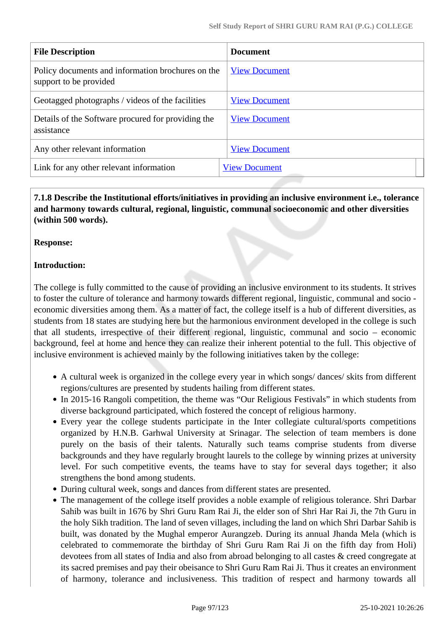| <b>File Description</b>                                                     | <b>Document</b>      |
|-----------------------------------------------------------------------------|----------------------|
| Policy documents and information brochures on the<br>support to be provided | <b>View Document</b> |
| Geotagged photographs / videos of the facilities                            | <b>View Document</b> |
| Details of the Software procured for providing the<br>assistance            | <b>View Document</b> |
| Any other relevant information                                              | <b>View Document</b> |
| Link for any other relevant information                                     | <b>View Document</b> |

# **7.1.8 Describe the Institutional efforts/initiatives in providing an inclusive environment i.e., tolerance and harmony towards cultural, regional, linguistic, communal socioeconomic and other diversities (within 500 words).**

## **Response:**

# **Introduction:**

The college is fully committed to the cause of providing an inclusive environment to its students. It strives to foster the culture of tolerance and harmony towards different regional, linguistic, communal and socio economic diversities among them. As a matter of fact, the college itself is a hub of different diversities, as students from 18 states are studying here but the harmonious environment developed in the college is such that all students, irrespective of their different regional, linguistic, communal and socio – economic background, feel at home and hence they can realize their inherent potential to the full. This objective of inclusive environment is achieved mainly by the following initiatives taken by the college:

- A cultural week is organized in the college every year in which songs/ dances/ skits from different regions/cultures are presented by students hailing from different states.
- In 2015-16 Rangoli competition, the theme was "Our Religious Festivals" in which students from diverse background participated, which fostered the concept of religious harmony.
- Every year the college students participate in the Inter collegiate cultural/sports competitions organized by H.N.B. Garhwal University at Srinagar. The selection of team members is done purely on the basis of their talents. Naturally such teams comprise students from diverse backgrounds and they have regularly brought laurels to the college by winning prizes at university level. For such competitive events, the teams have to stay for several days together; it also strengthens the bond among students.
- During cultural week, songs and dances from different states are presented.
- The management of the college itself provides a noble example of religious tolerance. Shri Darbar Sahib was built in 1676 by Shri Guru Ram Rai Ji, the elder son of Shri Har Rai Ji, the 7th Guru in the holy Sikh tradition. The land of seven villages, including the land on which Shri Darbar Sahib is built, was donated by the Mughal emperor Aurangzeb. During its annual Jhanda Mela (which is celebrated to commemorate the birthday of Shri Guru Ram Rai Ji on the fifth day from Holi) devotees from all states of India and also from abroad belonging to all castes & creed congregate at its sacred premises and pay their obeisance to Shri Guru Ram Rai Ji. Thus it creates an environment of harmony, tolerance and inclusiveness. This tradition of respect and harmony towards all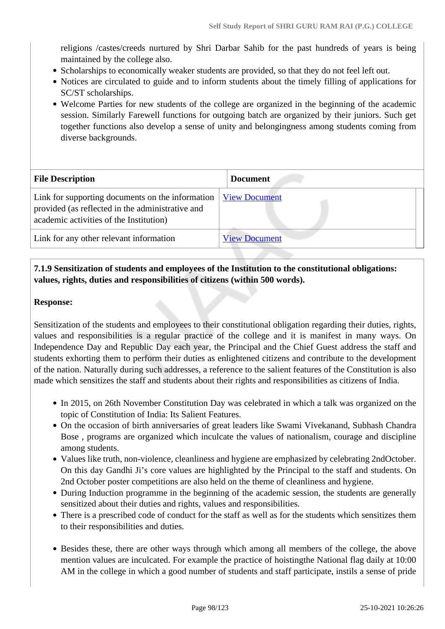religions /castes/creeds nurtured by Shri Darbar Sahib for the past hundreds of years is being maintained by the college also.

- Scholarships to economically weaker students are provided, so that they do not feel left out.
- Notices are circulated to guide and to inform students about the timely filling of applications for SC/ST scholarships.
- Welcome Parties for new students of the college are organized in the beginning of the academic session. Similarly Farewell functions for outgoing batch are organized by their juniors. Such get together functions also develop a sense of unity and belongingness among students coming from diverse backgrounds.

| <b>File Description</b>                                                                                                                         | <b>Document</b>      |
|-------------------------------------------------------------------------------------------------------------------------------------------------|----------------------|
| Link for supporting documents on the information<br>provided (as reflected in the administrative and<br>academic activities of the Institution) | <b>View Document</b> |
| Link for any other relevant information                                                                                                         | <b>View Document</b> |

# **7.1.9 Sensitization of students and employees of the Institution to the constitutional obligations: values, rights, duties and responsibilities of citizens (within 500 words).**

### **Response:**

Sensitization of the students and employees to their constitutional obligation regarding their duties, rights, values and responsibilities is a regular practice of the college and it is manifest in many ways. On Independence Day and Republic Day each year, the Principal and the Chief Guest address the staff and students exhorting them to perform their duties as enlightened citizens and contribute to the development of the nation. Naturally during such addresses, a reference to the salient features of the Constitution is also made which sensitizes the staff and students about their rights and responsibilities as citizens of India.

- In 2015, on 26th November Constitution Day was celebrated in which a talk was organized on the topic of Constitution of India: Its Salient Features.
- On the occasion of birth anniversaries of great leaders like Swami Vivekanand, Subhash Chandra Bose , programs are organized which inculcate the values of nationalism, courage and discipline among students.
- Values like truth, non-violence, cleanliness and hygiene are emphasized by celebrating 2ndOctober. On this day Gandhi Ji's core values are highlighted by the Principal to the staff and students. On 2nd October poster competitions are also held on the theme of cleanliness and hygiene.
- During Induction programme in the beginning of the academic session, the students are generally sensitized about their duties and rights, values and responsibilities.
- There is a prescribed code of conduct for the staff as well as for the students which sensitizes them to their responsibilities and duties.
- Besides these, there are other ways through which among all members of the college, the above mention values are inculcated. For example the practice of hoistingthe National flag daily at 10:00 AM in the college in which a good number of students and staff participate, instils a sense of pride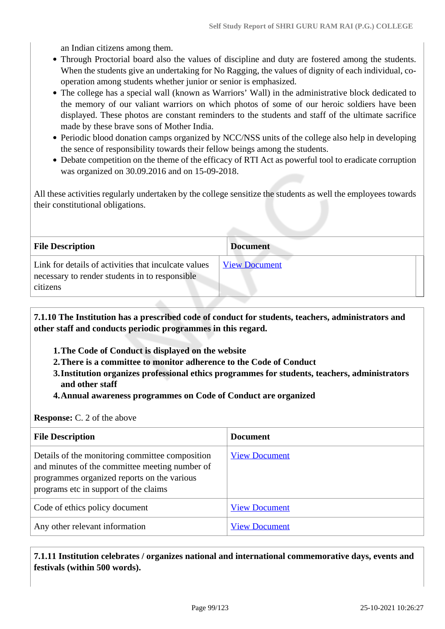an Indian citizens among them.

- Through Proctorial board also the values of discipline and duty are fostered among the students. When the students give an undertaking for No Ragging, the values of dignity of each individual, cooperation among students whether junior or senior is emphasized.
- The college has a special wall (known as Warriors' Wall) in the administrative block dedicated to the memory of our valiant warriors on which photos of some of our heroic soldiers have been displayed. These photos are constant reminders to the students and staff of the ultimate sacrifice made by these brave sons of Mother India.
- Periodic blood donation camps organized by NCC/NSS units of the college also help in developing the sence of responsibility towards their fellow beings among the students.
- Debate competition on the theme of the efficacy of RTI Act as powerful tool to eradicate corruption was organized on 30.09.2016 and on 15-09-2018.

All these activities regularly undertaken by the college sensitize the students as well the employees towards their constitutional obligations.

| <b>File Description</b>                                                                                            | <b>Document</b>      |  |
|--------------------------------------------------------------------------------------------------------------------|----------------------|--|
| Link for details of activities that inculcate values<br>necessary to render students in to responsible<br>citizens | <b>View Document</b> |  |

 **7.1.10 The Institution has a prescribed code of conduct for students, teachers, administrators and other staff and conducts periodic programmes in this regard.** 

- **1.The Code of Conduct is displayed on the website**
- **2.There is a committee to monitor adherence to the Code of Conduct**
- **3.Institution organizes professional ethics programmes for students, teachers, administrators and other staff**
- **4.Annual awareness programmes on Code of Conduct are organized**

**Response:** C. 2 of the above

| <b>File Description</b>                                                                                                                                                                   | <b>Document</b>      |
|-------------------------------------------------------------------------------------------------------------------------------------------------------------------------------------------|----------------------|
| Details of the monitoring committee composition<br>and minutes of the committee meeting number of<br>programmes organized reports on the various<br>programs etc in support of the claims | <b>View Document</b> |
| Code of ethics policy document                                                                                                                                                            | <b>View Document</b> |
| Any other relevant information                                                                                                                                                            | <b>View Document</b> |

 **7.1.11 Institution celebrates / organizes national and international commemorative days, events and festivals (within 500 words).**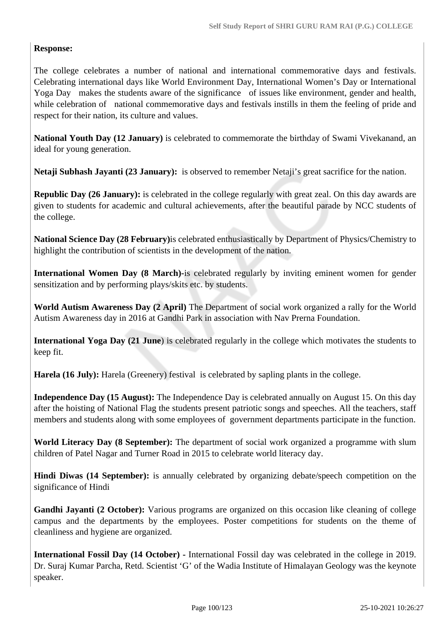# **Response:**

The college celebrates a number of national and international commemorative days and festivals. Celebrating international days like World Environment Day, International Women's Day or International Yoga Day makes the students aware of the significance of issues like environment, gender and health, while celebration of national commemorative days and festivals instills in them the feeling of pride and respect for their nation, its culture and values.

**National Youth Day (12 January)** is celebrated to commemorate the birthday of Swami Vivekanand, an ideal for young generation.

**Netaji Subhash Jayanti (23 January):** is observed to remember Netaji's great sacrifice for the nation.

**Republic Day (26 January):** is celebrated in the college regularly with great zeal. On this day awards are given to students for academic and cultural achievements, after the beautiful parade by NCC students of the college.

**National Science Day (28 February)**is celebrated enthusiastically by Department of Physics/Chemistry to highlight the contribution of scientists in the development of the nation.

**International Women Day (8 March)-**is celebrated regularly by inviting eminent women for gender sensitization and by performing plays/skits etc. by students.

**World Autism Awareness Day (2 April)** The Department of social work organized a rally for the World Autism Awareness day in 2016 at Gandhi Park in association with Nav Prerna Foundation.

**International Yoga Day (21 June**) is celebrated regularly in the college which motivates the students to keep fit.

**Harela (16 July):** Harela (Greenery) festival is celebrated by sapling plants in the college.

**Independence Day (15 August):** The Independence Day is celebrated annually on August 15. On this day after the hoisting of National Flag the students present patriotic songs and speeches. All the teachers, staff members and students along with some employees of government departments participate in the function.

**World Literacy Day (8 September):** The department of social work organized a programme with slum children of Patel Nagar and Turner Road in 2015 to celebrate world literacy day.

**Hindi Diwas (14 September):** is annually celebrated by organizing debate/speech competition on the significance of Hindi

**Gandhi Jayanti (2 October):** Various programs are organized on this occasion like cleaning of college campus and the departments by the employees. Poster competitions for students on the theme of cleanliness and hygiene are organized.

**International Fossil Day (14 October) -** International Fossil day was celebrated in the college in 2019. Dr. Suraj Kumar Parcha, Retd. Scientist 'G' of the Wadia Institute of Himalayan Geology was the keynote speaker.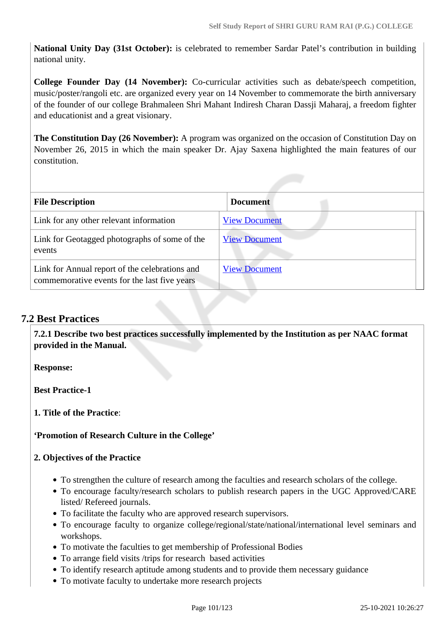**National Unity Day (31st October):** is celebrated to remember Sardar Patel's contribution in building national unity.

**College Founder Day (14 November):** Co-curricular activities such as debate/speech competition, music/poster/rangoli etc. are organized every year on 14 November to commemorate the birth anniversary of the founder of our college Brahmaleen Shri Mahant Indiresh Charan Dassji Maharaj, a freedom fighter and educationist and a great visionary.

**The Constitution Day (26 November):** A program was organized on the occasion of Constitution Day on November 26, 2015 in which the main speaker Dr. Ajay Saxena highlighted the main features of our constitution.

| <b>File Description</b>                                                                        | <b>Document</b>      |
|------------------------------------------------------------------------------------------------|----------------------|
| Link for any other relevant information                                                        | <b>View Document</b> |
| Link for Geotagged photographs of some of the<br>events                                        | <b>View Document</b> |
| Link for Annual report of the celebrations and<br>commemorative events for the last five years | <b>View Document</b> |

# **7.2 Best Practices**

 **7.2.1 Describe two best practices successfully implemented by the Institution as per NAAC format provided in the Manual.**

**Response:** 

**Best Practice-1**

**1. Title of the Practice**:

## **'Promotion of Research Culture in the College'**

## **2. Objectives of the Practice**

- To strengthen the culture of research among the faculties and research scholars of the college.
- To encourage faculty/research scholars to publish research papers in the UGC Approved/CARE listed/ Refereed journals.
- To facilitate the faculty who are approved research supervisors.
- To encourage faculty to organize college/regional/state/national/international level seminars and workshops.
- To motivate the faculties to get membership of Professional Bodies
- To arrange field visits /trips for research based activities
- To identify research aptitude among students and to provide them necessary guidance
- To motivate faculty to undertake more research projects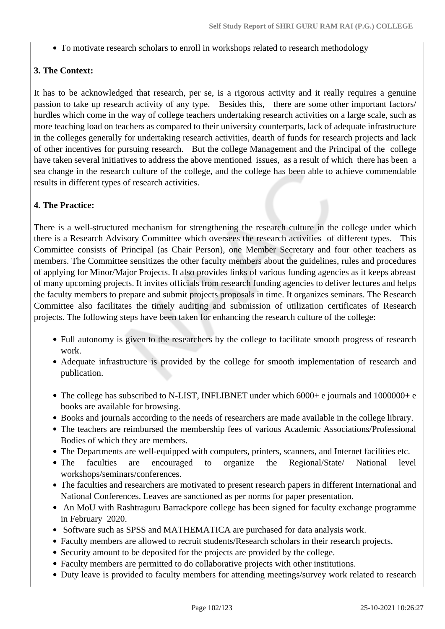To motivate research scholars to enroll in workshops related to research methodology

# **3. The Context:**

It has to be acknowledged that research, per se, is a rigorous activity and it really requires a genuine passion to take up research activity of any type. Besides this, there are some other important factors/ hurdles which come in the way of college teachers undertaking research activities on a large scale, such as more teaching load on teachers as compared to their university counterparts, lack of adequate infrastructure in the colleges generally for undertaking research activities, dearth of funds for research projects and lack of other incentives for pursuing research. But the college Management and the Principal of the college have taken several initiatives to address the above mentioned issues, as a result of which there has been a sea change in the research culture of the college, and the college has been able to achieve commendable results in different types of research activities.

# **4. The Practice:**

There is a well-structured mechanism for strengthening the research culture in the college under which there is a Research Advisory Committee which oversees the research activities of different types. This Committee consists of Principal (as Chair Person), one Member Secretary and four other teachers as members. The Committee sensitizes the other faculty members about the guidelines, rules and procedures of applying for Minor/Major Projects. It also provides links of various funding agencies as it keeps abreast of many upcoming projects. It invites officials from research funding agencies to deliver lectures and helps the faculty members to prepare and submit projects proposals in time. It organizes seminars. The Research Committee also facilitates the timely auditing and submission of utilization certificates of Research projects. The following steps have been taken for enhancing the research culture of the college:

- Full autonomy is given to the researchers by the college to facilitate smooth progress of research work.
- Adequate infrastructure is provided by the college for smooth implementation of research and publication.
- The college has subscribed to N-LIST, INFLIBNET under which 6000+ e journals and 1000000+ e books are available for browsing.
- Books and journals according to the needs of researchers are made available in the college library.
- The teachers are reimbursed the membership fees of various Academic Associations/Professional Bodies of which they are members.
- The Departments are well-equipped with computers, printers, scanners, and Internet facilities etc.
- The faculties are encouraged to organize the Regional/State/ National level workshops/seminars/conferences.
- The faculties and researchers are motivated to present research papers in different International and National Conferences. Leaves are sanctioned as per norms for paper presentation.
- An MoU with Rashtraguru Barrackpore college has been signed for faculty exchange programme in February 2020.
- Software such as SPSS and MATHEMATICA are purchased for data analysis work.
- Faculty members are allowed to recruit students/Research scholars in their research projects.
- Security amount to be deposited for the projects are provided by the college.
- Faculty members are permitted to do collaborative projects with other institutions.
- Duty leave is provided to faculty members for attending meetings/survey work related to research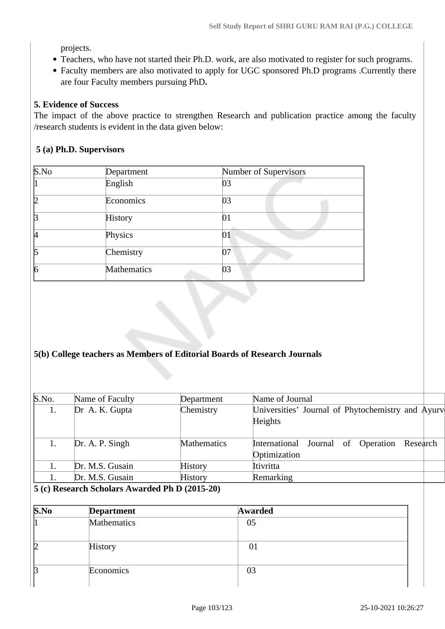projects.

- Teachers, who have not started their Ph.D. work, are also motivated to register for such programs.
- Faculty members are also motivated to apply for UGC sponsored Ph.D programs .Currently there are four Faculty members pursuing PhD**.**

### **5. Evidence of Success**

The impact of the above practice to strengthen Research and publication practice among the faculty /research students is evident in the data given below:

### **5 (a) Ph.D. Supervisors**

| S.No | Department  | Number of Supervisors |  |
|------|-------------|-----------------------|--|
|      | English     | 03                    |  |
| 12   | Economics   | 03                    |  |
| B    | History     | 01                    |  |
| И    | Physics     | 01                    |  |
| 15   | Chemistry   | 07                    |  |
| 6    | Mathematics | 03                    |  |

## **5(b) College teachers as Members of Editorial Boards of Research Journals**

| S.No. | Name of Faculty | Department     | Name of Journal                                                |
|-------|-----------------|----------------|----------------------------------------------------------------|
| 1.    | Dr A. K. Gupta  | Chemistry      | Universities' Journal of Phytochemistry and Ayurv<br>Heights   |
|       | Dr. A. P. Singh | Mathematics    | Journal of Operation Research<br>International<br>Optimization |
|       | Dr. M.S. Gusain | <b>History</b> | Itivritta                                                      |
|       | Dr. M.S. Gusain | <b>History</b> | Remarking                                                      |

#### **5 (c) Research Scholars Awarded Ph D (2015-20)**

| S.No | <b>Department</b> | Awarded |  |
|------|-------------------|---------|--|
|      | Mathematics       | 05      |  |
|      | History           | 01      |  |
|      | Economics         | 03      |  |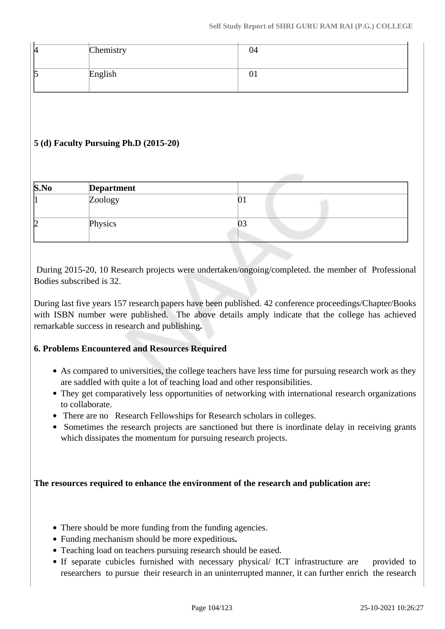| И<br>- | Chemistry | 04 |
|--------|-----------|----|
| К      | English   |    |

# **5 (d) Faculty Pursuing Ph.D (2015-20)**

| S.No | <b>Department</b> |    |  |
|------|-------------------|----|--|
|      | Zoology           |    |  |
| Ŋ    | Physics           | UJ |  |

 During 2015-20, 10 Research projects were undertaken/ongoing/completed. the member of Professional Bodies subscribed is 32.

During last five years 157 research papers have been published. 42 conference proceedings/Chapter/Books with ISBN number were published. The above details amply indicate that the college has achieved remarkable success in research and publishing**.** 

## **6. Problems Encountered and Resources Required**

- As compared to universities, the college teachers have less time for pursuing research work as they are saddled with quite a lot of teaching load and other responsibilities.
- They get comparatively less opportunities of networking with international research organizations to collaborate.
- There are no Research Fellowships for Research scholars in colleges.
- Sometimes the research projects are sanctioned but there is inordinate delay in receiving grants which dissipates the momentum for pursuing research projects.

**The resources required to enhance the environment of the research and publication are:**

- There should be more funding from the funding agencies.
- Funding mechanism should be more expeditious**.**
- Teaching load on teachers pursuing research should be eased.
- If separate cubicles furnished with necessary physical/ ICT infrastructure are provided to researchers to pursue their research in an uninterrupted manner, it can further enrich the research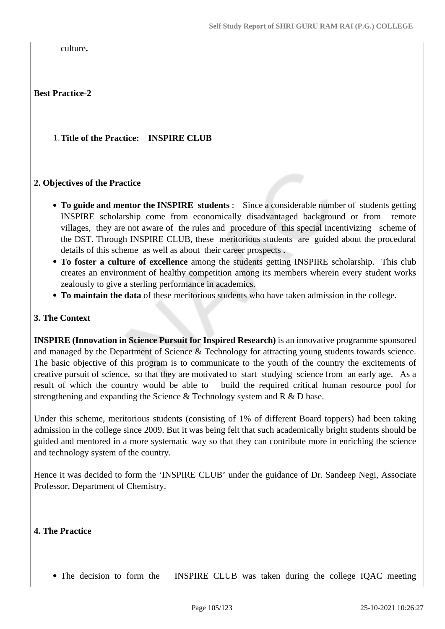culture**.** 

# **Best Practice-2**

## 1.**Title of the Practice: INSPIRE CLUB**

### **2. Objectives of the Practice**

- **To guide and mentor the INSPIRE students** : Since a considerable number of students getting INSPIRE scholarship come from economically disadvantaged background or from remote villages, they are not aware of the rules and procedure of this special incentivizing scheme of the DST. Through INSPIRE CLUB, these meritorious students are guided about the procedural details of this scheme as well as about their career prospects .
- **To foster a culture of excellence** among the students getting INSPIRE scholarship. This club creates an environment of healthy competition among its members wherein every student works zealously to give a sterling performance in academics.
- **To maintain the data** of these meritorious students who have taken admission in the college.

### **3. The Context**

**INSPIRE (Innovation in Science Pursuit for Inspired Research)** is an innovative programme sponsored and managed by the Department of Science & Technology for attracting young students towards science. The basic objective of this program is to communicate to the youth of the country the excitements of creative pursuit of science, so that they are motivated to start studying science from an early age. As a result of which the country would be able to build the required critical human resource pool for strengthening and expanding the Science & Technology system and R & D base.

Under this scheme, meritorious students (consisting of 1% of different Board toppers) had been taking admission in the college since 2009. But it was being felt that such academically bright students should be guided and mentored in a more systematic way so that they can contribute more in enriching the science and technology system of the country.

Hence it was decided to form the 'INSPIRE CLUB' under the guidance of Dr. Sandeep Negi, Associate Professor, Department of Chemistry.

## **4. The Practice**

• The decision to form the INSPIRE CLUB was taken during the college IQAC meeting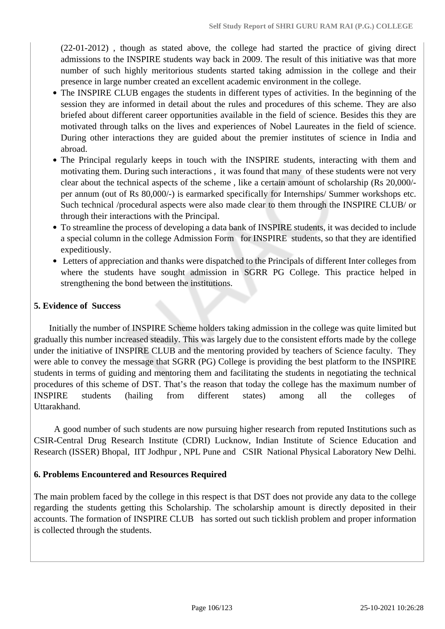(22-01-2012) , though as stated above, the college had started the practice of giving direct admissions to the INSPIRE students way back in 2009. The result of this initiative was that more number of such highly meritorious students started taking admission in the college and their presence in large number created an excellent academic environment in the college.

- The INSPIRE CLUB engages the students in different types of activities. In the beginning of the session they are informed in detail about the rules and procedures of this scheme. They are also briefed about different career opportunities available in the field of science. Besides this they are motivated through talks on the lives and experiences of Nobel Laureates in the field of science. During other interactions they are guided about the premier institutes of science in India and abroad.
- The Principal regularly keeps in touch with the INSPIRE students, interacting with them and motivating them. During such interactions , it was found that many of these students were not very clear about the technical aspects of the scheme , like a certain amount of scholarship (Rs 20,000/ per annum (out of Rs 80,000/-) is earmarked specifically for Internships/ Summer workshops etc. Such technical /procedural aspects were also made clear to them through the INSPIRE CLUB/ or through their interactions with the Principal.
- To streamline the process of developing a data bank of INSPIRE students, it was decided to include a special column in the college Admission Form for INSPIRE students, so that they are identified expeditiously.
- Letters of appreciation and thanks were dispatched to the Principals of different Inter colleges from where the students have sought admission in SGRR PG College. This practice helped in strengthening the bond between the institutions.

## **5. Evidence of Success**

 Initially the number of INSPIRE Scheme holders taking admission in the college was quite limited but gradually this number increased steadily. This was largely due to the consistent efforts made by the college under the initiative of INSPIRE CLUB and the mentoring provided by teachers of Science faculty. They were able to convey the message that SGRR (PG) College is providing the best platform to the INSPIRE students in terms of guiding and mentoring them and facilitating the students in negotiating the technical procedures of this scheme of DST. That's the reason that today the college has the maximum number of INSPIRE students (hailing from different states) among all the colleges of Uttarakhand.

 A good number of such students are now pursuing higher research from reputed Institutions such as CSIR**-**Central Drug Research Institute (CDRI) Lucknow, Indian Institute of Science Education and Research (ISSER) Bhopal, IIT Jodhpur , NPL Pune and CSIR National Physical Laboratory New Delhi.

## **6. Problems Encountered and Resources Required**

The main problem faced by the college in this respect is that DST does not provide any data to the college regarding the students getting this Scholarship. The scholarship amount is directly deposited in their accounts. The formation of INSPIRE CLUB has sorted out such ticklish problem and proper information is collected through the students.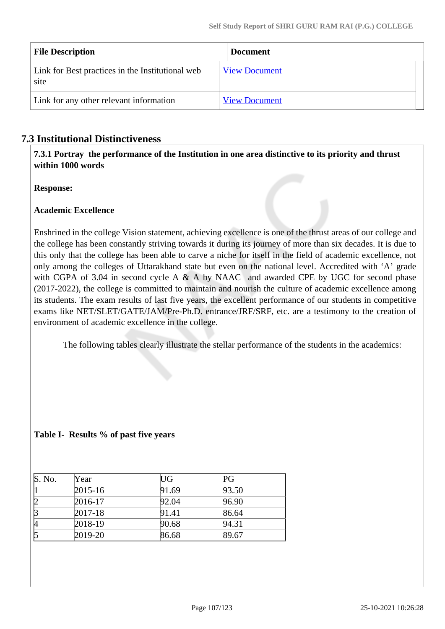| <b>File Description</b>                                  | <b>Document</b>      |
|----------------------------------------------------------|----------------------|
| Link for Best practices in the Institutional web<br>site | <b>View Document</b> |
| Link for any other relevant information                  | <b>View Document</b> |

# **7.3 Institutional Distinctiveness**

 **7.3.1 Portray the performance of the Institution in one area distinctive to its priority and thrust within 1000 words**

**Response:** 

# **Academic Excellence**

Enshrined in the college Vision statement, achieving excellence is one of the thrust areas of our college and the college has been constantly striving towards it during its journey of more than six decades. It is due to this only that the college has been able to carve a niche for itself in the field of academic excellence, not only among the colleges of Uttarakhand state but even on the national level. Accredited with 'A' grade with CGPA of 3.04 in second cycle A  $\&$  A by NAAC and awarded CPE by UGC for second phase (2017-2022), the college is committed to maintain and nourish the culture of academic excellence among its students. The exam results of last five years, the excellent performance of our students in competitive exams like NET/SLET/GATE/JAM/Pre-Ph.D. entrance/JRF/SRF, etc. are a testimony to the creation of environment of academic excellence in the college.

The following tables clearly illustrate the stellar performance of the students in the academics:

## **Table I- Results % of past five years**

| S. No. | Year        | UG    | PG    |
|--------|-------------|-------|-------|
|        | $2015 - 16$ | 91.69 | 93.50 |
|        | 2016-17     | 92.04 | 96.90 |
|        | $2017 - 18$ | 91.41 | 86.64 |
|        | 2018-19     | 90.68 | 94.31 |
|        | 2019-20     | 86.68 | 89.67 |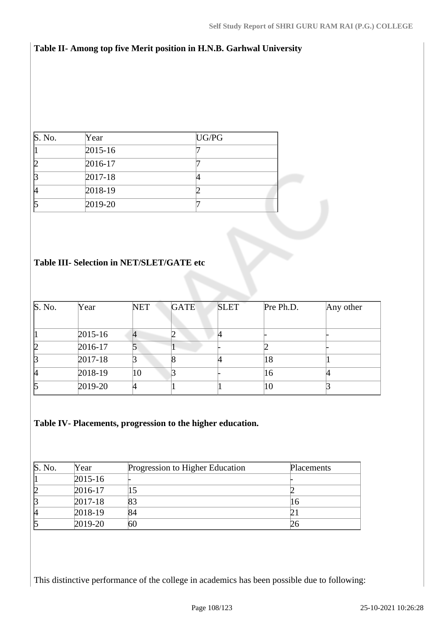# **Table II- Among top five Merit position in H.N.B. Garhwal University**

| S. No. | Year        | UG/PG |  |
|--------|-------------|-------|--|
|        | $2015 - 16$ |       |  |
|        | 2016-17     |       |  |
|        | $2017 - 18$ |       |  |
| И      | 2018-19     |       |  |
|        | 2019-20     |       |  |

## **Table III- Selection in NET/SLET/GATE etc**

| S. No. | Year        | <b>NET</b>     | <b>GATE</b> | <b>SLET</b> | Pre Ph.D. | Any other |
|--------|-------------|----------------|-------------|-------------|-----------|-----------|
|        |             |                |             |             |           |           |
|        | $2015 - 16$ | $\overline{A}$ |             |             |           |           |
| 12     | 2016-17     |                |             |             |           |           |
| B      | $2017 - 18$ |                |             |             | 18        |           |
| 14     | 2018-19     | 10             |             |             | 16        |           |
| 15     | 2019-20     |                |             |             | 10        |           |

# **Table IV- Placements, progression to the higher education.**

| S. No. | Year        | Progression to Higher Education | Placements |
|--------|-------------|---------------------------------|------------|
|        | $2015 - 16$ |                                 |            |
|        | 2016-17     |                                 |            |
|        | $2017 - 18$ | 83                              | 16         |
| И      | 2018-19     | 84                              |            |
|        | 2019-20     | 60                              |            |

This distinctive performance of the college in academics has been possible due to following: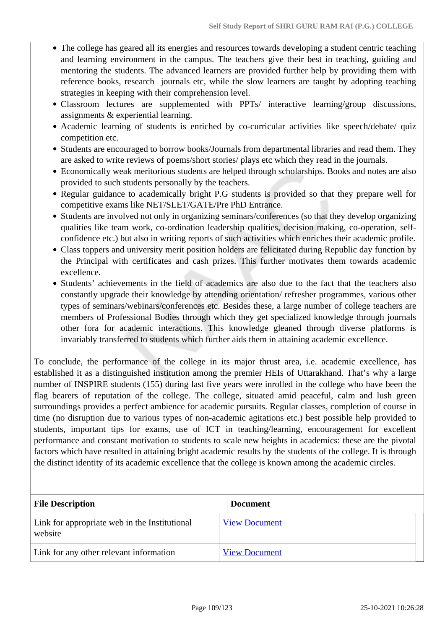- The college has geared all its energies and resources towards developing a student centric teaching and learning environment in the campus. The teachers give their best in teaching, guiding and mentoring the students. The advanced learners are provided further help by providing them with reference books, research journals etc, while the slow learners are taught by adopting teaching strategies in keeping with their comprehension level.
- Classroom lectures are supplemented with PPTs/ interactive learning/group discussions, assignments & experiential learning.
- Academic learning of students is enriched by co-curricular activities like speech/debate/ quiz competition etc.
- Students are encouraged to borrow books/Journals from departmental libraries and read them. They are asked to write reviews of poems/short stories/ plays etc which they read in the journals.
- Economically weak meritorious students are helped through scholarships. Books and notes are also provided to such students personally by the teachers.
- Regular guidance to academically bright P.G students is provided so that they prepare well for competitive exams like NET/SLET/GATE/Pre PhD Entrance.
- Students are involved not only in organizing seminars/conferences (so that they develop organizing qualities like team work, co-ordination leadership qualities, decision making, co-operation, selfconfidence etc.) but also in writing reports of such activities which enriches their academic profile.
- Class toppers and university merit position holders are felicitated during Republic day function by the Principal with certificates and cash prizes. This further motivates them towards academic excellence.
- Students' achievements in the field of academics are also due to the fact that the teachers also constantly upgrade their knowledge by attending orientation/ refresher programmes, various other types of seminars/webinars/conferences etc. Besides these, a large number of college teachers are members of Professional Bodies through which they get specialized knowledge through journals other fora for academic interactions. This knowledge gleaned through diverse platforms is invariably transferred to students which further aids them in attaining academic excellence.

To conclude, the performance of the college in its major thrust area, i.e. academic excellence, has established it as a distinguished institution among the premier HEIs of Uttarakhand. That's why a large number of INSPIRE students (155) during last five years were inrolled in the college who have been the flag bearers of reputation of the college. The college, situated amid peaceful, calm and lush green surroundings provides a perfect ambience for academic pursuits. Regular classes, completion of course in time (no disruption due to various types of non-academic agitations etc.) best possible help provided to students, important tips for exams, use of ICT in teaching/learning, encouragement for excellent performance and constant motivation to students to scale new heights in academics: these are the pivotal factors which have resulted in attaining bright academic results by the students of the college. It is through the distinct identity of its academic excellence that the college is known among the academic circles.

| <b>File Description</b>                                  | <b>Document</b>      |
|----------------------------------------------------------|----------------------|
| Link for appropriate web in the Institutional<br>website | <b>View Document</b> |
| Link for any other relevant information                  | <b>View Document</b> |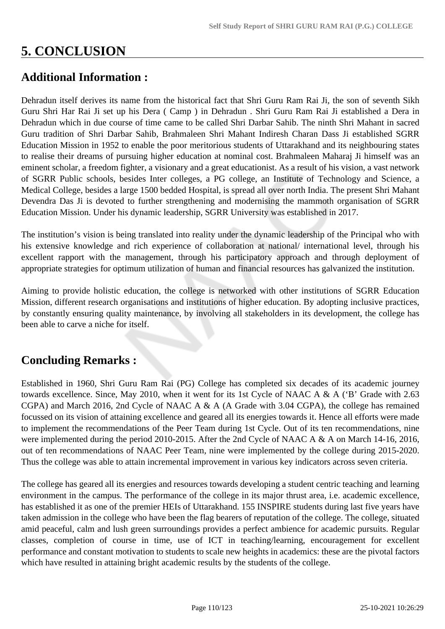## **5. CONCLUSION**

### **Additional Information :**

Dehradun itself derives its name from the historical fact that Shri Guru Ram Rai Ji, the son of seventh Sikh Guru Shri Har Rai Ji set up his Dera ( Camp ) in Dehradun . Shri Guru Ram Rai Ji established a Dera in Dehradun which in due course of time came to be called Shri Darbar Sahib. The ninth Shri Mahant in sacred Guru tradition of Shri Darbar Sahib, Brahmaleen Shri Mahant Indiresh Charan Dass Ji established SGRR Education Mission in 1952 to enable the poor meritorious students of Uttarakhand and its neighbouring states to realise their dreams of pursuing higher education at nominal cost. Brahmaleen Maharaj Ji himself was an eminent scholar, a freedom fighter, a visionary and a great educationist. As a result of his vision, a vast network of SGRR Public schools, besides Inter colleges, a PG college, an Institute of Technology and Science, a Medical College, besides a large 1500 bedded Hospital, is spread all over north India. The present Shri Mahant Devendra Das Ji is devoted to further strengthening and modernising the mammoth organisation of SGRR Education Mission. Under his dynamic leadership, SGRR University was established in 2017.

The institution's vision is being translated into reality under the dynamic leadership of the Principal who with his extensive knowledge and rich experience of collaboration at national/ international level, through his excellent rapport with the management, through his participatory approach and through deployment of appropriate strategies for optimum utilization of human and financial resources has galvanized the institution.

Aiming to provide holistic education, the college is networked with other institutions of SGRR Education Mission, different research organisations and institutions of higher education. By adopting inclusive practices, by constantly ensuring quality maintenance, by involving all stakeholders in its development, the college has been able to carve a niche for itself.

## **Concluding Remarks :**

Established in 1960, Shri Guru Ram Rai (PG) College has completed six decades of its academic journey towards excellence. Since, May 2010, when it went for its 1st Cycle of NAAC A & A ('B' Grade with 2.63 CGPA) and March 2016, 2nd Cycle of NAAC A & A (A Grade with 3.04 CGPA), the college has remained focussed on its vision of attaining excellence and geared all its energies towards it. Hence all efforts were made to implement the recommendations of the Peer Team during 1st Cycle. Out of its ten recommendations, nine were implemented during the period 2010-2015. After the 2nd Cycle of NAAC A & A on March 14-16, 2016, out of ten recommendations of NAAC Peer Team, nine were implemented by the college during 2015-2020. Thus the college was able to attain incremental improvement in various key indicators across seven criteria.

The college has geared all its energies and resources towards developing a student centric teaching and learning environment in the campus. The performance of the college in its major thrust area, i.e. academic excellence, has established it as one of the premier HEIs of Uttarakhand. 155 INSPIRE students during last five years have taken admission in the college who have been the flag bearers of reputation of the college. The college, situated amid peaceful, calm and lush green surroundings provides a perfect ambience for academic pursuits. Regular classes, completion of course in time, use of ICT in teaching/learning, encouragement for excellent performance and constant motivation to students to scale new heights in academics: these are the pivotal factors which have resulted in attaining bright academic results by the students of the college.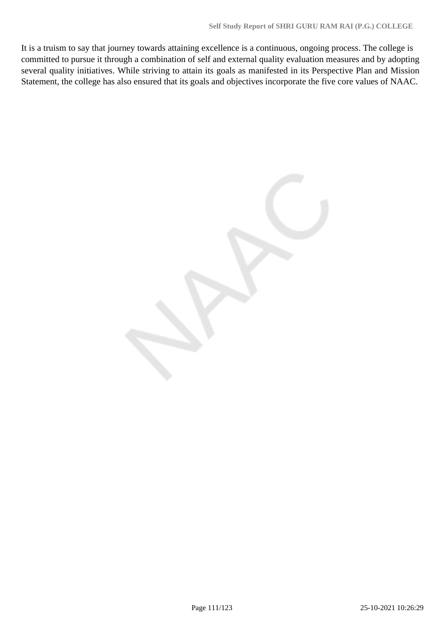It is a truism to say that journey towards attaining excellence is a continuous, ongoing process. The college is committed to pursue it through a combination of self and external quality evaluation measures and by adopting several quality initiatives. While striving to attain its goals as manifested in its Perspective Plan and Mission Statement, the college has also ensured that its goals and objectives incorporate the five core values of NAAC.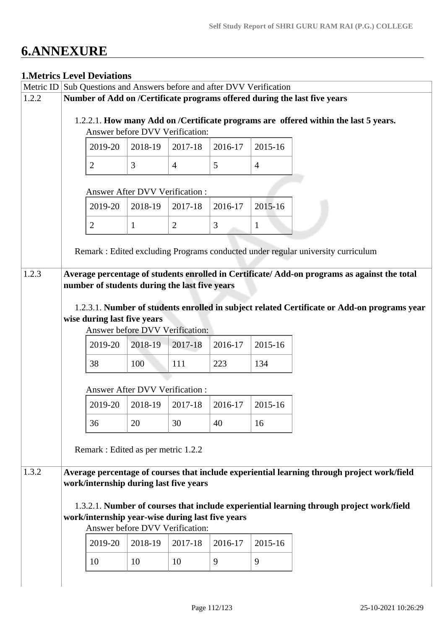# **6.ANNEXURE**

#### **1.Metrics Level Deviations**

|           | LIVICU IUS LICVUI LICVIAUVIIS          |                                                  |                |         |                                                             |                                                                                                                                                                  |
|-----------|----------------------------------------|--------------------------------------------------|----------------|---------|-------------------------------------------------------------|------------------------------------------------------------------------------------------------------------------------------------------------------------------|
| Metric ID |                                        |                                                  |                |         | Sub Questions and Answers before and after DVV Verification |                                                                                                                                                                  |
| 1.2.2     |                                        | Answer before DVV Verification:                  |                |         |                                                             | Number of Add on /Certificate programs offered during the last five years<br>1.2.2.1. How many Add on /Certificate programs are offered within the last 5 years. |
|           | 2019-20                                | 2018-19                                          | 2017-18        | 2016-17 | 2015-16                                                     |                                                                                                                                                                  |
|           | 2                                      | 3                                                | $\overline{4}$ | 5       | $\overline{4}$                                              |                                                                                                                                                                  |
|           |                                        | <b>Answer After DVV Verification:</b>            |                |         |                                                             |                                                                                                                                                                  |
|           | 2019-20                                | 2018-19                                          | 2017-18        | 2016-17 | 2015-16                                                     |                                                                                                                                                                  |
|           | $\overline{2}$                         | $\mathbf{1}$                                     | $\overline{2}$ | 3       | $\mathbf{1}$                                                |                                                                                                                                                                  |
|           |                                        |                                                  |                |         |                                                             | Remark: Edited excluding Programs conducted under regular university curriculum                                                                                  |
| 1.2.3     |                                        | number of students during the last five years    |                |         |                                                             | Average percentage of students enrolled in Certificate/Add-on programs as against the total                                                                      |
|           | wise during last five years<br>2019-20 | Answer before DVV Verification:<br>2018-19       | 2017-18        | 2016-17 | 2015-16                                                     | 1.2.3.1. Number of students enrolled in subject related Certificate or Add-on programs year                                                                      |
|           | 38                                     | 100                                              | 111            | 223     | 134                                                         |                                                                                                                                                                  |
|           |                                        | <b>Answer After DVV Verification:</b>            |                |         |                                                             |                                                                                                                                                                  |
|           | 2019-20                                | 2018-19                                          | 2017-18        | 2016-17 | 2015-16                                                     |                                                                                                                                                                  |
|           | 36                                     | 20                                               | 30             | 40      | 16                                                          |                                                                                                                                                                  |
|           |                                        | Remark : Edited as per metric 1.2.2              |                |         |                                                             |                                                                                                                                                                  |
| 1.3.2     |                                        | work/internship during last five years           |                |         |                                                             | Average percentage of courses that include experiential learning through project work/field                                                                      |
|           |                                        | work/internship year-wise during last five years |                |         |                                                             | 1.3.2.1. Number of courses that include experiential learning through project work/field                                                                         |
|           |                                        | Answer before DVV Verification:                  |                |         |                                                             |                                                                                                                                                                  |
|           | 2019-20                                | 2018-19                                          | 2017-18        | 2016-17 | 2015-16                                                     |                                                                                                                                                                  |
|           | 10                                     | 10                                               | 10             | 9       | 9                                                           |                                                                                                                                                                  |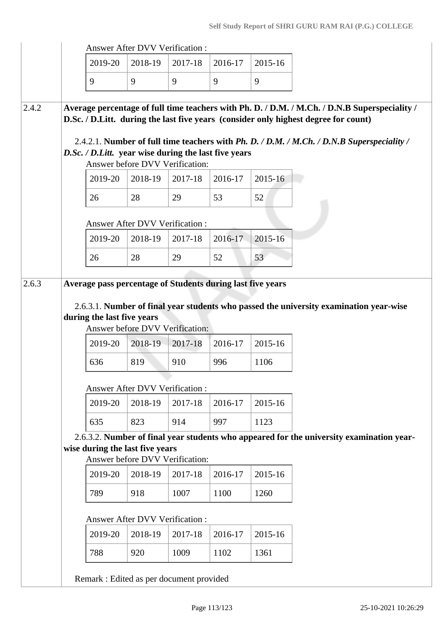|       |                                       | <b>Answer After DVV Verification:</b>                                                   |         |         |         |                                                                                                                                                                                      |
|-------|---------------------------------------|-----------------------------------------------------------------------------------------|---------|---------|---------|--------------------------------------------------------------------------------------------------------------------------------------------------------------------------------------|
|       | 2019-20                               | 2018-19                                                                                 | 2017-18 | 2016-17 | 2015-16 |                                                                                                                                                                                      |
|       | 9                                     | 9                                                                                       | 9       | 9       | 9       |                                                                                                                                                                                      |
| 2.4.2 |                                       |                                                                                         |         |         |         | Average percentage of full time teachers with Ph. D. / D.M. / M.Ch. / D.N.B Superspeciality /<br>D.Sc. / D.Litt. during the last five years (consider only highest degree for count) |
|       |                                       | D.Sc. / D.Litt. year wise during the last five years<br>Answer before DVV Verification: |         |         |         | 2.4.2.1. Number of full time teachers with Ph. D. / D.M. / M.Ch. / D.N.B Superspeciality /                                                                                           |
|       | 2019-20                               | 2018-19                                                                                 | 2017-18 | 2016-17 | 2015-16 |                                                                                                                                                                                      |
|       | 26                                    | 28                                                                                      | 29      | 53      | 52      |                                                                                                                                                                                      |
|       |                                       | <b>Answer After DVV Verification:</b>                                                   |         |         |         |                                                                                                                                                                                      |
|       | 2019-20                               | 2018-19                                                                                 | 2017-18 | 2016-17 | 2015-16 |                                                                                                                                                                                      |
|       | 26                                    | 28                                                                                      | 29      | 52      | 53      |                                                                                                                                                                                      |
|       | during the last five years<br>2019-20 | Answer before DVV Verification:<br>2018-19                                              | 2017-18 | 2016-17 | 2015-16 |                                                                                                                                                                                      |
|       | 636                                   | 819                                                                                     | 910     | 996     | 1106    |                                                                                                                                                                                      |
|       |                                       | <b>Answer After DVV Verification:</b>                                                   |         |         |         |                                                                                                                                                                                      |
|       | 2019-20                               | 2018-19                                                                                 | 2017-18 | 2016-17 | 2015-16 |                                                                                                                                                                                      |
|       | 635                                   | 823                                                                                     | 914     | 997     | 1123    |                                                                                                                                                                                      |
|       |                                       | wise during the last five years<br>Answer before DVV Verification:                      |         |         |         | 2.6.3.2. Number of final year students who appeared for the university examination year-                                                                                             |
|       | 2019-20                               | 2018-19                                                                                 | 2017-18 | 2016-17 | 2015-16 |                                                                                                                                                                                      |
|       | 789                                   | 918                                                                                     | 1007    | 1100    | 1260    |                                                                                                                                                                                      |
|       |                                       | Answer After DVV Verification:                                                          |         |         |         |                                                                                                                                                                                      |
|       | 2019-20                               | 2018-19                                                                                 | 2017-18 | 2016-17 | 2015-16 |                                                                                                                                                                                      |
|       | 788                                   | 920                                                                                     | 1009    | 1102    | 1361    |                                                                                                                                                                                      |
|       |                                       | Remark : Edited as per document provided                                                |         |         |         |                                                                                                                                                                                      |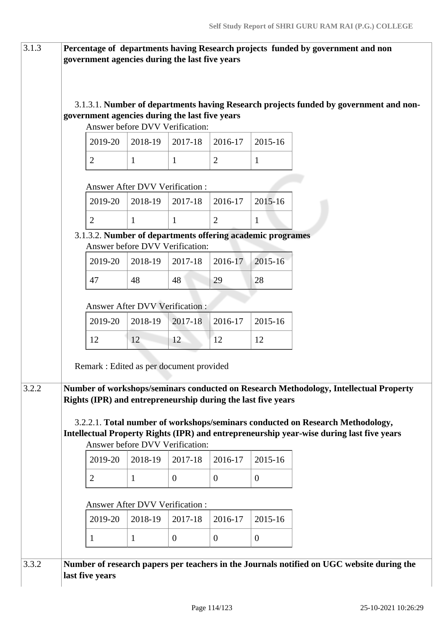| 3.1.3 | government agencies during the last five years                                                           |                                       |                |                  |                  | Percentage of departments having Research projects funded by government and non                                                                                            |
|-------|----------------------------------------------------------------------------------------------------------|---------------------------------------|----------------|------------------|------------------|----------------------------------------------------------------------------------------------------------------------------------------------------------------------------|
|       | government agencies during the last five years                                                           | Answer before DVV Verification:       |                |                  |                  | 3.1.3.1. Number of departments having Research projects funded by government and non-                                                                                      |
|       | 2019-20                                                                                                  | 2018-19                               | 2017-18        | 2016-17          | 2015-16          |                                                                                                                                                                            |
|       | $\overline{2}$                                                                                           | $\mathbf{1}$                          | $\mathbf{1}$   | $\overline{2}$   | $\mathbf{1}$     |                                                                                                                                                                            |
|       |                                                                                                          | <b>Answer After DVV Verification:</b> |                |                  |                  |                                                                                                                                                                            |
|       | 2019-20                                                                                                  | 2018-19                               | 2017-18        | 2016-17          | 2015-16          |                                                                                                                                                                            |
|       | $\overline{2}$                                                                                           | $\mathbf{1}$                          | $\mathbf{1}$   | $\overline{2}$   | $\mathbf{1}$     |                                                                                                                                                                            |
|       | 3.1.3.2. Number of departments offering academic programes                                               | Answer before DVV Verification:       |                |                  |                  |                                                                                                                                                                            |
|       | 2019-20                                                                                                  | 2018-19                               | 2017-18        | 2016-17          | 2015-16          |                                                                                                                                                                            |
|       | 47                                                                                                       | 48                                    | 48             | 29               | 28               |                                                                                                                                                                            |
|       |                                                                                                          | <b>Answer After DVV Verification:</b> |                |                  |                  |                                                                                                                                                                            |
|       | 2019-20                                                                                                  | 2018-19                               | 2017-18        | 2016-17          | 2015-16          |                                                                                                                                                                            |
|       | 12                                                                                                       | 12                                    | 12             | 12               | 12               |                                                                                                                                                                            |
| 3.2.2 | Remark : Edited as per document provided<br>Rights (IPR) and entrepreneurship during the last five years |                                       |                |                  |                  | Number of workshops/seminars conducted on Research Methodology, Intellectual Property                                                                                      |
|       |                                                                                                          | Answer before DVV Verification:       |                |                  |                  | 3.2.2.1. Total number of workshops/seminars conducted on Research Methodology,<br>Intellectual Property Rights (IPR) and entrepreneurship year-wise during last five years |
|       | 2019-20                                                                                                  | 2018-19                               | 2017-18        | 2016-17          | 2015-16          |                                                                                                                                                                            |
|       | $\overline{2}$                                                                                           | $\mathbf{1}$                          | $\overline{0}$ | $\overline{0}$   | $\overline{0}$   |                                                                                                                                                                            |
|       |                                                                                                          | <b>Answer After DVV Verification:</b> |                |                  |                  |                                                                                                                                                                            |
|       | 2019-20                                                                                                  | 2018-19                               | 2017-18        | 2016-17          | 2015-16          |                                                                                                                                                                            |
|       | 1                                                                                                        | $\mathbf{1}$                          | $\mathbf{0}$   | $\boldsymbol{0}$ | $\boldsymbol{0}$ |                                                                                                                                                                            |
| 3.3.2 | last five years                                                                                          |                                       |                |                  |                  | Number of research papers per teachers in the Journals notified on UGC website during the                                                                                  |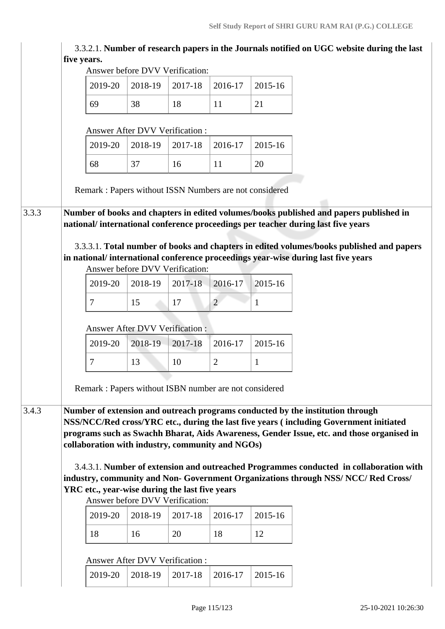|                                                        |                                       |         |                |              | Self Study Report of SHRI GURU RAM RAI (P.G.) COLLEGE<br>3.3.2.1. Number of research papers in the Journals notified on UGC website during the last |
|--------------------------------------------------------|---------------------------------------|---------|----------------|--------------|-----------------------------------------------------------------------------------------------------------------------------------------------------|
| five years.                                            |                                       |         |                |              |                                                                                                                                                     |
|                                                        | Answer before DVV Verification:       |         |                | 2015-16      |                                                                                                                                                     |
| 2019-20                                                | 2018-19                               | 2017-18 | 2016-17        |              |                                                                                                                                                     |
| 69                                                     | 38                                    | 18      | 11             | 21           |                                                                                                                                                     |
|                                                        | Answer After DVV Verification:        |         |                |              |                                                                                                                                                     |
| 2019-20                                                | 2018-19                               | 2017-18 | 2016-17        | 2015-16      |                                                                                                                                                     |
| 68                                                     | 37                                    | 16      | 11             | 20           |                                                                                                                                                     |
| Remark: Papers without ISSN Numbers are not considered |                                       |         |                |              |                                                                                                                                                     |
|                                                        |                                       |         |                |              | Number of books and chapters in edited volumes/books published and papers published in                                                              |
|                                                        |                                       |         |                |              | national/international conference proceedings per teacher during last five years                                                                    |
|                                                        |                                       |         |                |              | 3.3.3.1. Total number of books and chapters in edited volumes/books published and papers                                                            |
|                                                        | Answer before DVV Verification:       |         |                |              | in national/international conference proceedings year-wise during last five years                                                                   |
| 2019-20                                                | 2018-19                               | 2017-18 | 2016-17        | 2015-16      |                                                                                                                                                     |
| 7                                                      | 15                                    | 17      | $\overline{2}$ | 1            |                                                                                                                                                     |
|                                                        |                                       |         |                |              |                                                                                                                                                     |
|                                                        | <b>Answer After DVV Verification:</b> |         |                |              |                                                                                                                                                     |
| 2019-20                                                | 2018-19                               | 2017-18 | 2016-17        | 2015-16      |                                                                                                                                                     |
| 7                                                      | 13                                    | 10      | $\overline{2}$ | $\mathbf{1}$ |                                                                                                                                                     |
|                                                        |                                       |         |                |              |                                                                                                                                                     |
| Remark: Papers without ISBN number are not considered  |                                       |         |                |              |                                                                                                                                                     |
|                                                        |                                       |         |                |              |                                                                                                                                                     |
|                                                        |                                       |         |                |              | Number of extension and outreach programs conducted by the institution through                                                                      |
|                                                        |                                       |         |                |              | NSS/NCC/Red cross/YRC etc., during the last five years (including Government initiated                                                              |
|                                                        |                                       |         |                |              | programs such as Swachh Bharat, Aids Awareness, Gender Issue, etc. and those organised in                                                           |
| collaboration with industry, community and NGOs)       |                                       |         |                |              |                                                                                                                                                     |
|                                                        |                                       |         |                |              | 3.4.3.1. Number of extension and outreached Programmes conducted in collaboration with                                                              |
|                                                        |                                       |         |                |              | industry, community and Non- Government Organizations through NSS/ NCC/ Red Cross/                                                                  |
| YRC etc., year-wise during the last five years         | Answer before DVV Verification:       |         |                |              |                                                                                                                                                     |
| 2019-20                                                | 2018-19                               | 2017-18 | 2016-17        | 2015-16      |                                                                                                                                                     |

#### Answer After DVV Verification :

|  | $2019-20$   2018-19   2017-18   2016-17   2015-16 |  |  |  |
|--|---------------------------------------------------|--|--|--|
|--|---------------------------------------------------|--|--|--|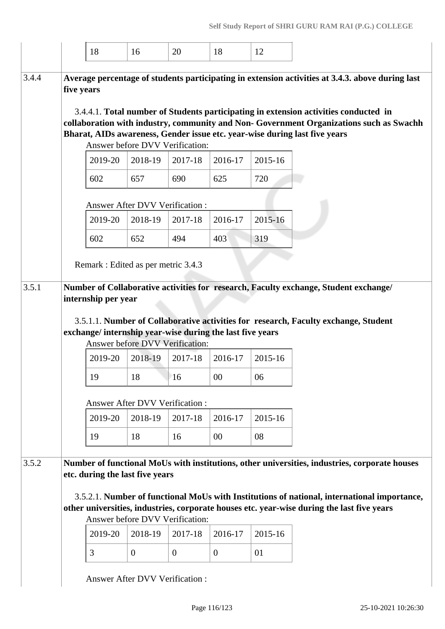|       |            | 18                  | 16                                    | 20             | 18                                                        | 12      |                                                                                                                                                                                                                                                               |
|-------|------------|---------------------|---------------------------------------|----------------|-----------------------------------------------------------|---------|---------------------------------------------------------------------------------------------------------------------------------------------------------------------------------------------------------------------------------------------------------------|
| 3.4.4 | five years |                     |                                       |                |                                                           |         | Average percentage of students participating in extension activities at 3.4.3. above during last                                                                                                                                                              |
|       |            |                     |                                       |                |                                                           |         | 3.4.4.1. Total number of Students participating in extension activities conducted in<br>collaboration with industry, community and Non- Government Organizations such as Swachh<br>Bharat, AIDs awareness, Gender issue etc. year-wise during last five years |
|       |            |                     | Answer before DVV Verification:       |                |                                                           |         |                                                                                                                                                                                                                                                               |
|       |            | 2019-20             | 2018-19                               | 2017-18        | 2016-17                                                   | 2015-16 |                                                                                                                                                                                                                                                               |
|       |            | 602                 | 657                                   | 690            | 625                                                       | 720     |                                                                                                                                                                                                                                                               |
|       |            |                     | Answer After DVV Verification :       |                |                                                           |         |                                                                                                                                                                                                                                                               |
|       |            | 2019-20             | 2018-19                               | 2017-18        | 2016-17                                                   | 2015-16 |                                                                                                                                                                                                                                                               |
|       |            | 602                 | 652                                   | 494            | 403                                                       | 319     |                                                                                                                                                                                                                                                               |
|       |            |                     | Remark : Edited as per metric 3.4.3   |                |                                                           |         |                                                                                                                                                                                                                                                               |
| 3.5.1 |            |                     |                                       |                |                                                           |         | Number of Collaborative activities for research, Faculty exchange, Student exchange/                                                                                                                                                                          |
|       |            | internship per year |                                       |                |                                                           |         |                                                                                                                                                                                                                                                               |
|       |            |                     |                                       |                |                                                           |         |                                                                                                                                                                                                                                                               |
|       |            |                     |                                       |                | exchange/ internship year-wise during the last five years |         | 3.5.1.1. Number of Collaborative activities for research, Faculty exchange, Student                                                                                                                                                                           |
|       |            |                     | Answer before DVV Verification:       |                |                                                           |         |                                                                                                                                                                                                                                                               |
|       |            | 2019-20             | 2018-19                               | 2017-18        | 2016-17                                                   | 2015-16 |                                                                                                                                                                                                                                                               |
|       |            | 19                  | $18\,$                                | 16             | $00\,$                                                    | 06      |                                                                                                                                                                                                                                                               |
|       |            |                     | <b>Answer After DVV Verification:</b> |                |                                                           |         |                                                                                                                                                                                                                                                               |
|       |            | 2019-20             | 2018-19                               | 2017-18        | 2016-17                                                   | 2015-16 |                                                                                                                                                                                                                                                               |
|       |            | 19                  | 18                                    | 16             | 00                                                        | 08      |                                                                                                                                                                                                                                                               |
| 3.5.2 |            |                     |                                       |                |                                                           |         | Number of functional MoUs with institutions, other universities, industries, corporate houses                                                                                                                                                                 |
|       |            |                     | etc. during the last five years       |                |                                                           |         |                                                                                                                                                                                                                                                               |
|       |            |                     |                                       |                |                                                           |         | 3.5.2.1. Number of functional MoUs with Institutions of national, international importance,                                                                                                                                                                   |
|       |            |                     | Answer before DVV Verification:       |                |                                                           |         | other universities, industries, corporate houses etc. year-wise during the last five years                                                                                                                                                                    |
|       |            | 2019-20             | 2018-19                               | 2017-18        | 2016-17                                                   | 2015-16 |                                                                                                                                                                                                                                                               |
|       |            | 3                   | $\overline{0}$                        | $\overline{0}$ | $\overline{0}$                                            | 01      |                                                                                                                                                                                                                                                               |
|       |            |                     |                                       |                |                                                           |         |                                                                                                                                                                                                                                                               |
|       |            |                     | <b>Answer After DVV Verification:</b> |                |                                                           |         |                                                                                                                                                                                                                                                               |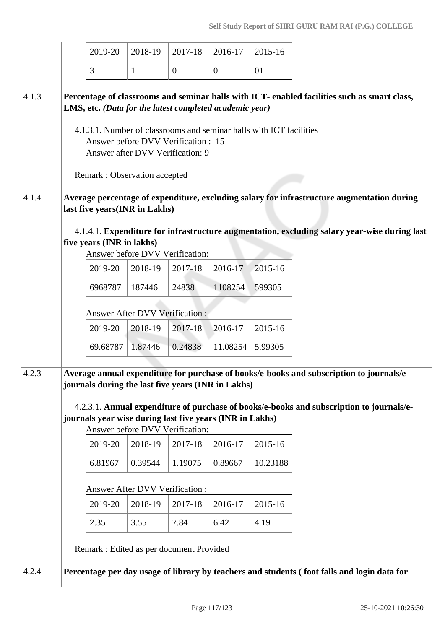|                | 2019-20                                                                                                                                                                                                              | 2018-19                       | 2017-18                       | 2016-17                       | 2015-16                                                             |                                                                                                                                                                                            |
|----------------|----------------------------------------------------------------------------------------------------------------------------------------------------------------------------------------------------------------------|-------------------------------|-------------------------------|-------------------------------|---------------------------------------------------------------------|--------------------------------------------------------------------------------------------------------------------------------------------------------------------------------------------|
|                | 3                                                                                                                                                                                                                    | $\mathbf{1}$                  | $\overline{0}$                | $\overline{0}$                | 01                                                                  |                                                                                                                                                                                            |
| 4.1.3<br>4.1.4 | LMS, etc. (Data for the latest completed academic year)<br>Answer before DVV Verification : 15<br>Answer after DVV Verification: 9<br>Remark: Observation accepted                                                   |                               |                               |                               | 4.1.3.1. Number of classrooms and seminar halls with ICT facilities | Percentage of classrooms and seminar halls with ICT- enabled facilities such as smart class,<br>Average percentage of expenditure, excluding salary for infrastructure augmentation during |
|                | last five years(INR in Lakhs)<br>five years (INR in lakhs)<br>Answer before DVV Verification:                                                                                                                        |                               |                               |                               |                                                                     | 4.1.4.1. Expenditure for infrastructure augmentation, excluding salary year-wise during last                                                                                               |
|                | 2019-20                                                                                                                                                                                                              | 2018-19                       | 2017-18                       | 2016-17                       | 2015-16                                                             |                                                                                                                                                                                            |
|                | 6968787                                                                                                                                                                                                              | 187446                        | 24838                         | 1108254                       | 599305                                                              |                                                                                                                                                                                            |
|                | Answer After DVV Verification :                                                                                                                                                                                      |                               |                               |                               |                                                                     |                                                                                                                                                                                            |
|                | 2019-20                                                                                                                                                                                                              | 2018-19                       | 2017-18                       | 2016-17                       | 2015-16                                                             |                                                                                                                                                                                            |
|                | 69.68787                                                                                                                                                                                                             | 1.87446                       | 0.24838                       | 11.08254                      | 5.99305                                                             |                                                                                                                                                                                            |
| 4.2.3          | journals during the last five years (INR in Lakhs)<br>journals year wise during last five years (INR in Lakhs)<br>Answer before DVV Verification:<br>2019-20<br>6.81967<br>Answer After DVV Verification:<br>2019-20 | 2018-19<br>0.39544<br>2018-19 | 2017-18<br>1.19075<br>2017-18 | 2016-17<br>0.89667<br>2016-17 | 2015-16<br>10.23188<br>2015-16                                      | Average annual expenditure for purchase of books/e-books and subscription to journals/e-<br>4.2.3.1. Annual expenditure of purchase of books/e-books and subscription to journals/e-       |
|                | 2.35                                                                                                                                                                                                                 | 3.55                          | 7.84                          | 6.42                          | 4.19                                                                |                                                                                                                                                                                            |
| 4.2.4          | Remark : Edited as per document Provided                                                                                                                                                                             |                               |                               |                               |                                                                     | Percentage per day usage of library by teachers and students (foot falls and login data for                                                                                                |
|                |                                                                                                                                                                                                                      |                               |                               |                               |                                                                     |                                                                                                                                                                                            |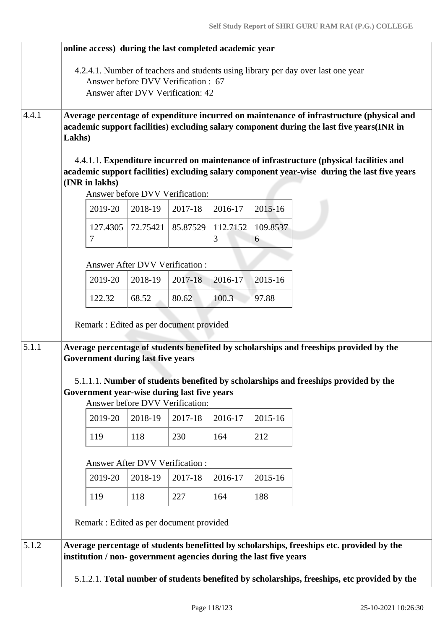|       |                |          |                                          | online access) during the last completed academic year                         |               |               | 4.2.4.1. Number of teachers and students using library per day over last one year                                                                                                       |
|-------|----------------|----------|------------------------------------------|--------------------------------------------------------------------------------|---------------|---------------|-----------------------------------------------------------------------------------------------------------------------------------------------------------------------------------------|
|       |                |          |                                          | Answer before DVV Verification: 67<br>Answer after DVV Verification: 42        |               |               |                                                                                                                                                                                         |
| 4.4.1 | Lakhs)         |          |                                          |                                                                                |               |               | Average percentage of expenditure incurred on maintenance of infrastructure (physical and<br>academic support facilities) excluding salary component during the last five years(INR in  |
|       | (INR in lakhs) |          |                                          | Answer before DVV Verification:                                                |               |               | 4.4.1.1. Expenditure incurred on maintenance of infrastructure (physical facilities and<br>academic support facilities) excluding salary component year-wise during the last five years |
|       |                | 2019-20  | 2018-19                                  | 2017-18                                                                        | 2016-17       | $2015 - 16$   |                                                                                                                                                                                         |
|       | 7              | 127.4305 | 72.75421                                 | 85.87529                                                                       | 112.7152<br>3 | 109.8537<br>6 |                                                                                                                                                                                         |
|       |                |          | Answer After DVV Verification :          |                                                                                |               |               |                                                                                                                                                                                         |
|       |                | 2019-20  | 2018-19                                  | 2017-18                                                                        | 2016-17       | 2015-16       |                                                                                                                                                                                         |
|       |                | 122.32   | 68.52                                    | 80.62                                                                          | 100.3         | 97.88         |                                                                                                                                                                                         |
|       |                |          |                                          | Remark : Edited as per document provided                                       |               |               |                                                                                                                                                                                         |
| 5.1.1 |                |          | <b>Government during last five years</b> |                                                                                |               |               | Average percentage of students benefited by scholarships and freeships provided by the                                                                                                  |
|       |                |          |                                          | Government year-wise during last five years<br>Answer before DVV Verification: |               |               | 5.1.1.1. Number of students benefited by scholarships and freeships provided by the                                                                                                     |
|       |                | 2019-20  | 2018-19                                  | 2017-18                                                                        | 2016-17       | 2015-16       |                                                                                                                                                                                         |
|       | 119            |          | 118                                      | 230                                                                            | 164           | 212           |                                                                                                                                                                                         |
|       |                |          | <b>Answer After DVV Verification:</b>    |                                                                                |               |               |                                                                                                                                                                                         |
|       |                | 2019-20  | 2018-19                                  | 2017-18                                                                        | 2016-17       | 2015-16       |                                                                                                                                                                                         |
|       | 119            |          | 118                                      | 227                                                                            | 164           | 188           |                                                                                                                                                                                         |
|       |                |          |                                          | Remark : Edited as per document provided                                       |               |               |                                                                                                                                                                                         |
| 5.1.2 |                |          |                                          | institution / non-government agencies during the last five years               |               |               | Average percentage of students benefitted by scholarships, freeships etc. provided by the                                                                                               |
|       |                |          |                                          |                                                                                |               |               | 5.1.2.1. Total number of students benefited by scholarships, freeships, etc provided by the                                                                                             |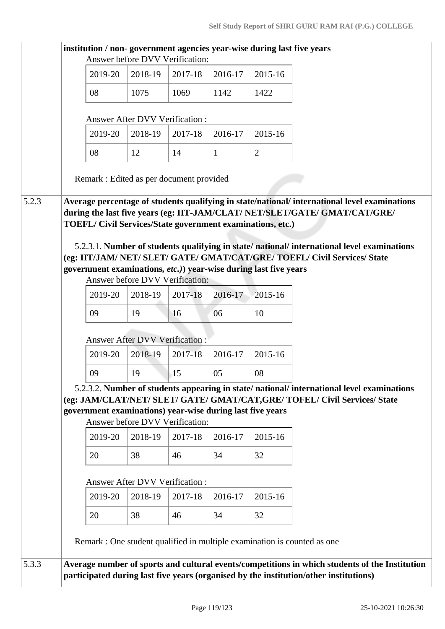|    | 2019-20 | 2018-19                               | 2017-18                                                                                      | 2016-17      | 2015-16                                                                                                                                                                     |
|----|---------|---------------------------------------|----------------------------------------------------------------------------------------------|--------------|-----------------------------------------------------------------------------------------------------------------------------------------------------------------------------|
| 08 |         | 1075                                  | 1069                                                                                         | 1142         | 1422                                                                                                                                                                        |
|    |         | Answer After DVV Verification:        |                                                                                              |              |                                                                                                                                                                             |
|    | 2019-20 | 2018-19                               | 2017-18                                                                                      | 2016-17      | 2015-16                                                                                                                                                                     |
| 08 |         | 12                                    | 14                                                                                           | $\mathbf{1}$ | $\overline{2}$                                                                                                                                                              |
|    |         |                                       | Remark : Edited as per document provided                                                     |              |                                                                                                                                                                             |
|    |         |                                       |                                                                                              |              | Average percentage of students qualifying in state/national/ international level examinations<br>during the last five years (eg: IIT-JAM/CLAT/ NET/SLET/GATE/ GMAT/CAT/GRE/ |
|    |         |                                       |                                                                                              |              | TOEFL/ Civil Services/State government examinations, etc.)                                                                                                                  |
|    |         |                                       |                                                                                              |              |                                                                                                                                                                             |
|    |         |                                       |                                                                                              |              | 5.2.3.1. Number of students qualifying in state/national/international level examinations                                                                                   |
|    |         |                                       |                                                                                              |              | (eg: IIT/JAM/ NET/ SLET/ GATE/ GMAT/CAT/GRE/ TOEFL/ Civil Services/ State                                                                                                   |
|    |         |                                       |                                                                                              |              | government examinations, etc.) year-wise during last five years                                                                                                             |
|    |         |                                       | Answer before DVV Verification:                                                              |              |                                                                                                                                                                             |
|    |         |                                       |                                                                                              |              |                                                                                                                                                                             |
|    | 2019-20 | 2018-19                               | 2017-18                                                                                      | 2016-17      | 2015-16                                                                                                                                                                     |
|    |         |                                       |                                                                                              |              |                                                                                                                                                                             |
| 09 |         | 19                                    | 16                                                                                           | 06           | 10                                                                                                                                                                          |
|    |         |                                       |                                                                                              |              |                                                                                                                                                                             |
|    |         | <b>Answer After DVV Verification:</b> |                                                                                              |              |                                                                                                                                                                             |
|    | 2019-20 | 2018-19                               | 2017-18                                                                                      | 2016-17      | 2015-16                                                                                                                                                                     |
|    | 09      | 19                                    | $\vert$ 15                                                                                   | 05           | 08                                                                                                                                                                          |
|    |         |                                       |                                                                                              |              | 5.2.3.2. Number of students appearing in state/national/international level examinations                                                                                    |
|    |         |                                       |                                                                                              |              | (eg: JAM/CLAT/NET/ SLET/ GATE/ GMAT/CAT, GRE/ TOFEL/ Civil Services/ State                                                                                                  |
|    |         |                                       | government examinations) year-wise during last five years<br>Answer before DVV Verification: |              |                                                                                                                                                                             |
|    | 2019-20 | 2018-19                               | 2017-18                                                                                      | 2016-17      | 2015-16                                                                                                                                                                     |
| 20 |         | 38                                    | 46                                                                                           | 34           | 32                                                                                                                                                                          |
|    |         | <b>Answer After DVV Verification:</b> |                                                                                              |              |                                                                                                                                                                             |
|    | 2019-20 | 2018-19                               | 2017-18                                                                                      | 2016-17      | 2015-16                                                                                                                                                                     |
| 20 |         | 38                                    | 46                                                                                           | 34           | 32                                                                                                                                                                          |
|    |         |                                       |                                                                                              |              | Remark : One student qualified in multiple examination is counted as one                                                                                                    |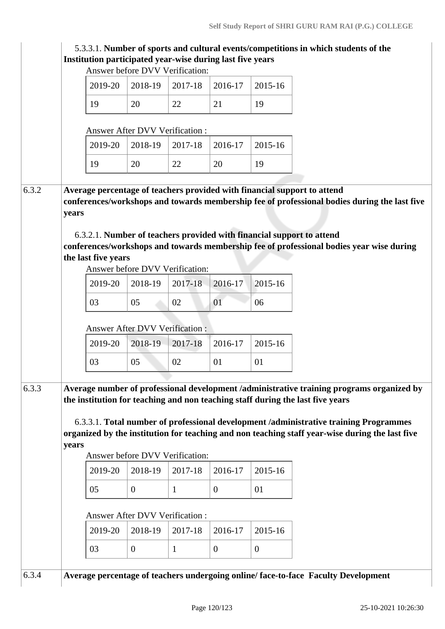| Institution participated year-wise during last five years<br>Answer before DVV Verification:<br>2019-20<br>2018-19<br>2017-18<br>2016-17<br>2015-16<br>19<br>20<br>22<br>21<br>19<br><b>Answer After DVV Verification:</b><br>2015-16<br>2019-20<br>2018-19<br>2017-18<br>2016-17<br>20<br>19<br>19<br>22<br>20<br>Average percentage of teachers provided with financial support to attend<br>conferences/workshops and towards membership fee of professional bodies during the last five<br>years<br>6.3.2.1. Number of teachers provided with financial support to attend<br>conferences/workshops and towards membership fee of professional bodies year wise during<br>the last five years<br>Answer before DVV Verification:<br>2015-16<br>2019-20<br>2018-19<br>2017-18<br>2016-17<br>03<br>05<br>02<br>01<br>06<br><b>Answer After DVV Verification:</b><br>2015-16<br>2019-20<br>2018-19<br>2017-18<br>2016-17<br>03<br>05<br>02<br>01<br>01<br>Average number of professional development /administrative training programs organized by<br>the institution for teaching and non teaching staff during the last five years<br>6.3.3.1. Total number of professional development /administrative training Programmes<br>organized by the institution for teaching and non teaching staff year-wise during the last five<br>years<br>Answer before DVV Verification:<br>2019-20<br>2018-19<br>2017-18<br>2016-17<br>2015-16<br>05<br>01<br>$\mathbf{0}$<br>$\mathbf{1}$<br>$\overline{0}$<br>Answer After DVV Verification:<br>2015-16<br>2019-20<br>2018-19<br>2017-18<br>2016-17 |       |    |                |              |              |                | 5.3.3.1. Number of sports and cultural events/competitions in which students of the |  |
|---------------------------------------------------------------------------------------------------------------------------------------------------------------------------------------------------------------------------------------------------------------------------------------------------------------------------------------------------------------------------------------------------------------------------------------------------------------------------------------------------------------------------------------------------------------------------------------------------------------------------------------------------------------------------------------------------------------------------------------------------------------------------------------------------------------------------------------------------------------------------------------------------------------------------------------------------------------------------------------------------------------------------------------------------------------------------------------------------------------------------------------------------------------------------------------------------------------------------------------------------------------------------------------------------------------------------------------------------------------------------------------------------------------------------------------------------------------------------------------------------------------------------------------------------------------------------------------------|-------|----|----------------|--------------|--------------|----------------|-------------------------------------------------------------------------------------|--|
|                                                                                                                                                                                                                                                                                                                                                                                                                                                                                                                                                                                                                                                                                                                                                                                                                                                                                                                                                                                                                                                                                                                                                                                                                                                                                                                                                                                                                                                                                                                                                                                             |       |    |                |              |              |                |                                                                                     |  |
| 6.3.2                                                                                                                                                                                                                                                                                                                                                                                                                                                                                                                                                                                                                                                                                                                                                                                                                                                                                                                                                                                                                                                                                                                                                                                                                                                                                                                                                                                                                                                                                                                                                                                       |       |    |                |              |              |                |                                                                                     |  |
|                                                                                                                                                                                                                                                                                                                                                                                                                                                                                                                                                                                                                                                                                                                                                                                                                                                                                                                                                                                                                                                                                                                                                                                                                                                                                                                                                                                                                                                                                                                                                                                             |       |    |                |              |              |                |                                                                                     |  |
|                                                                                                                                                                                                                                                                                                                                                                                                                                                                                                                                                                                                                                                                                                                                                                                                                                                                                                                                                                                                                                                                                                                                                                                                                                                                                                                                                                                                                                                                                                                                                                                             |       |    |                |              |              |                |                                                                                     |  |
|                                                                                                                                                                                                                                                                                                                                                                                                                                                                                                                                                                                                                                                                                                                                                                                                                                                                                                                                                                                                                                                                                                                                                                                                                                                                                                                                                                                                                                                                                                                                                                                             |       |    |                |              |              |                |                                                                                     |  |
|                                                                                                                                                                                                                                                                                                                                                                                                                                                                                                                                                                                                                                                                                                                                                                                                                                                                                                                                                                                                                                                                                                                                                                                                                                                                                                                                                                                                                                                                                                                                                                                             |       |    |                |              |              |                |                                                                                     |  |
|                                                                                                                                                                                                                                                                                                                                                                                                                                                                                                                                                                                                                                                                                                                                                                                                                                                                                                                                                                                                                                                                                                                                                                                                                                                                                                                                                                                                                                                                                                                                                                                             |       |    |                |              |              |                |                                                                                     |  |
|                                                                                                                                                                                                                                                                                                                                                                                                                                                                                                                                                                                                                                                                                                                                                                                                                                                                                                                                                                                                                                                                                                                                                                                                                                                                                                                                                                                                                                                                                                                                                                                             |       |    |                |              |              |                |                                                                                     |  |
|                                                                                                                                                                                                                                                                                                                                                                                                                                                                                                                                                                                                                                                                                                                                                                                                                                                                                                                                                                                                                                                                                                                                                                                                                                                                                                                                                                                                                                                                                                                                                                                             |       |    |                |              |              |                |                                                                                     |  |
|                                                                                                                                                                                                                                                                                                                                                                                                                                                                                                                                                                                                                                                                                                                                                                                                                                                                                                                                                                                                                                                                                                                                                                                                                                                                                                                                                                                                                                                                                                                                                                                             |       |    |                |              |              |                |                                                                                     |  |
|                                                                                                                                                                                                                                                                                                                                                                                                                                                                                                                                                                                                                                                                                                                                                                                                                                                                                                                                                                                                                                                                                                                                                                                                                                                                                                                                                                                                                                                                                                                                                                                             |       |    |                |              |              |                |                                                                                     |  |
|                                                                                                                                                                                                                                                                                                                                                                                                                                                                                                                                                                                                                                                                                                                                                                                                                                                                                                                                                                                                                                                                                                                                                                                                                                                                                                                                                                                                                                                                                                                                                                                             | 6.3.3 |    |                |              |              |                |                                                                                     |  |
|                                                                                                                                                                                                                                                                                                                                                                                                                                                                                                                                                                                                                                                                                                                                                                                                                                                                                                                                                                                                                                                                                                                                                                                                                                                                                                                                                                                                                                                                                                                                                                                             |       |    |                |              |              |                |                                                                                     |  |
|                                                                                                                                                                                                                                                                                                                                                                                                                                                                                                                                                                                                                                                                                                                                                                                                                                                                                                                                                                                                                                                                                                                                                                                                                                                                                                                                                                                                                                                                                                                                                                                             |       |    |                |              |              |                |                                                                                     |  |
|                                                                                                                                                                                                                                                                                                                                                                                                                                                                                                                                                                                                                                                                                                                                                                                                                                                                                                                                                                                                                                                                                                                                                                                                                                                                                                                                                                                                                                                                                                                                                                                             |       |    |                |              |              |                |                                                                                     |  |
|                                                                                                                                                                                                                                                                                                                                                                                                                                                                                                                                                                                                                                                                                                                                                                                                                                                                                                                                                                                                                                                                                                                                                                                                                                                                                                                                                                                                                                                                                                                                                                                             |       |    |                |              |              |                |                                                                                     |  |
|                                                                                                                                                                                                                                                                                                                                                                                                                                                                                                                                                                                                                                                                                                                                                                                                                                                                                                                                                                                                                                                                                                                                                                                                                                                                                                                                                                                                                                                                                                                                                                                             |       | 03 | $\overline{0}$ | $\mathbf{1}$ | $\mathbf{0}$ | $\overline{0}$ |                                                                                     |  |
| 6.3.4<br>Average percentage of teachers undergoing online/face-to-face Faculty Development                                                                                                                                                                                                                                                                                                                                                                                                                                                                                                                                                                                                                                                                                                                                                                                                                                                                                                                                                                                                                                                                                                                                                                                                                                                                                                                                                                                                                                                                                                  |       |    |                |              |              |                |                                                                                     |  |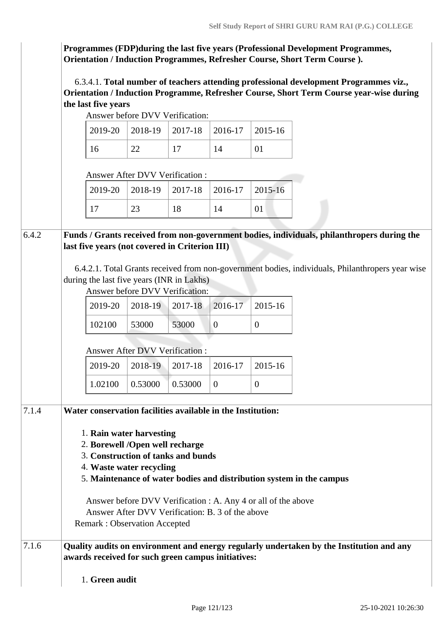**Programmes (FDP)during the last five years (Professional Development Programmes, Orientation / Induction Programmes, Refresher Course, Short Term Course ).**

 6.3.4.1. **Total number of teachers attending professional development Programmes viz., Orientation / Induction Programme, Refresher Course, Short Term Course year-wise during the last five years**

Answer before DVV Verification:

|  | $2019-20$   2018-19   2017-18   2016-17   2015-16 |  |
|--|---------------------------------------------------|--|
|  |                                                   |  |

Answer After DVV Verification :

|  | 2019-20   2018-19   2017-18   2016-17   2015-16 |  |
|--|-------------------------------------------------|--|
|  |                                                 |  |

6.4.2 **Funds / Grants received from non-government bodies, individuals, philanthropers during the last five years (not covered in Criterion III)**

> 6.4.2.1. Total Grants received from non-government bodies, individuals, Philanthropers year wise during the last five years (INR in Lakhs)

Answer before DVV Verification:

|        | $2019-20$   2018-19   2017-18   2016-17   2015-16 |       |  |
|--------|---------------------------------------------------|-------|--|
| 102100 | 53000                                             | 53000 |  |

Answer After DVV Verification :

| $\vert$ 2019-20 $\vert$ 2018-19 $\vert$ 2017-18 $\vert$ 2016-17 $\vert$ 2015-16 |  |  |
|---------------------------------------------------------------------------------|--|--|
| $\vert 1.02100 \vert 0.53000 \vert 0.53000$                                     |  |  |

| 7.1.4 | Water conservation facilities available in the Institution:                                                                                    |
|-------|------------------------------------------------------------------------------------------------------------------------------------------------|
|       | 1. Rain water harvesting                                                                                                                       |
|       | 2. Borewell /Open well recharge                                                                                                                |
|       | 3. Construction of tanks and bunds                                                                                                             |
|       | 4. Waste water recycling                                                                                                                       |
|       | 5. Maintenance of water bodies and distribution system in the campus                                                                           |
|       | Answer before DVV Verification : A. Any 4 or all of the above                                                                                  |
|       | Answer After DVV Verification: B, 3 of the above                                                                                               |
|       | Remark: Observation Accepted                                                                                                                   |
| 7.1.6 | Quality audits on environment and energy regularly undertaken by the Institution and any<br>awards received for such green campus initiatives: |
|       | 1. Green audit                                                                                                                                 |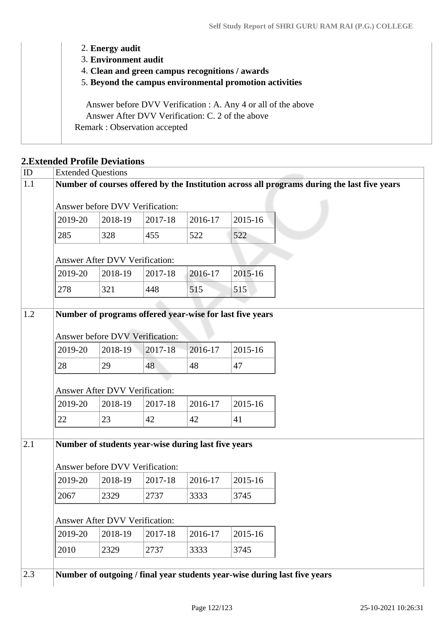| 2. Energy audit                                               |
|---------------------------------------------------------------|
| 3. Environment audit                                          |
| 4. Clean and green campus recognitions / awards               |
| 5. Beyond the campus environmental promotion activities       |
| Answer before DVV Verification : A. Any 4 or all of the above |
| Answer After DVV Verification: C. 2 of the above              |
| Remark: Observation accepted                                  |
|                                                               |

### **2.Extended Profile Deviations**

|         | <b>Extended Questions</b>                                                                   |         |         |         |  |  |
|---------|---------------------------------------------------------------------------------------------|---------|---------|---------|--|--|
|         | Number of courses offered by the Institution across all programs during the last five years |         |         |         |  |  |
|         | Answer before DVV Verification:                                                             |         |         |         |  |  |
| 2019-20 | 2018-19                                                                                     | 2017-18 | 2016-17 | 2015-16 |  |  |
| 285     | 328                                                                                         | 455     | 522     | 522     |  |  |
|         | Answer After DVV Verification:                                                              |         |         |         |  |  |
| 2019-20 | 2018-19                                                                                     | 2017-18 | 2016-17 | 2015-16 |  |  |
| 278     | 321                                                                                         | 448     | 515     | 515     |  |  |
|         |                                                                                             |         |         |         |  |  |
|         | Number of programs offered year-wise for last five years                                    |         |         |         |  |  |
|         | Answer before DVV Verification:                                                             |         |         |         |  |  |
| 2019-20 | 2018-19                                                                                     | 2017-18 | 2016-17 | 2015-16 |  |  |
| 28      | 29                                                                                          | 48      | 48      | 47      |  |  |
|         |                                                                                             |         |         |         |  |  |
|         |                                                                                             |         |         |         |  |  |
|         | <b>Answer After DVV Verification:</b>                                                       |         |         |         |  |  |
| 2019-20 | 2018-19                                                                                     | 2017-18 | 2016-17 | 2015-16 |  |  |
| 22      | 23                                                                                          | 42      | 42      | 41      |  |  |
|         |                                                                                             |         |         |         |  |  |
|         | Number of students year-wise during last five years                                         |         |         |         |  |  |
|         | Answer before DVV Verification:                                                             |         |         |         |  |  |
| 2019-20 | 2018-19                                                                                     | 2017-18 | 2016-17 | 2015-16 |  |  |
| 2067    | 2329                                                                                        | 2737    | 3333    | 3745    |  |  |
|         |                                                                                             |         |         |         |  |  |
|         | Answer After DVV Verification:                                                              |         |         |         |  |  |
| 2019-20 | 2018-19                                                                                     | 2017-18 | 2016-17 | 2015-16 |  |  |